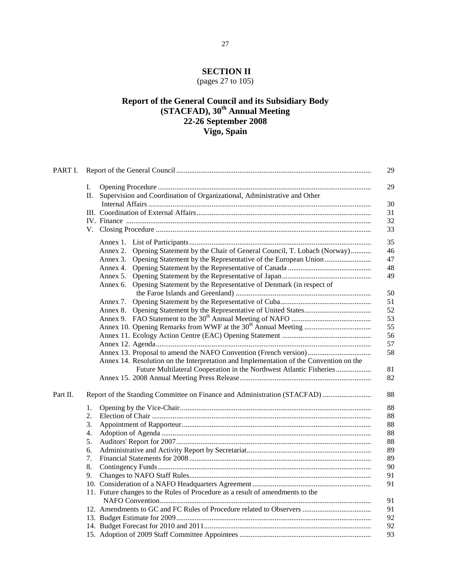# **SECTION II**

# (pages 27 to 105)

## **Report of the General Council and its Subsidiary Body (STACFAD), 30th Annual Meeting 22-26 September 2008 Vigo, Spain**

|          | 29                                                                                     |
|----------|----------------------------------------------------------------------------------------|
|          | 29<br>I.                                                                               |
|          | Supervision and Coordination of Organizational, Administrative and Other<br>П.         |
|          | 30                                                                                     |
|          | 31                                                                                     |
|          | 32                                                                                     |
|          | 33                                                                                     |
|          | 35                                                                                     |
|          | Annex 2. Opening Statement by the Chair of General Council, T. Lobach (Norway)<br>46   |
|          | 47                                                                                     |
|          | 48                                                                                     |
|          | 49                                                                                     |
|          | Annex 6. Opening Statement by the Representative of Denmark (in respect of             |
|          | 50                                                                                     |
|          | 51                                                                                     |
|          | 52                                                                                     |
|          | 53                                                                                     |
|          | 55                                                                                     |
|          | 56                                                                                     |
|          | 57                                                                                     |
|          | Annex 13. Proposal to amend the NAFO Convention (French version)<br>58                 |
|          | Annex 14. Resolution on the Interpretation and Implementation of the Convention on the |
|          | Future Multilateral Cooperation in the Northwest Atlantic Fisheries<br>81              |
|          | 82                                                                                     |
| Part II. | Report of the Standing Committee on Finance and Administration (STACFAD)<br>88         |
|          | 88<br>1.                                                                               |
|          | 2.<br>88                                                                               |
|          | 3.<br>88                                                                               |
|          | 88<br>4.                                                                               |
|          | 88<br>5.                                                                               |
|          | 89<br>6.                                                                               |
|          | 89<br>7.                                                                               |
|          | 8.<br>90                                                                               |
|          | 91<br>9.                                                                               |
|          | 91                                                                                     |
|          | 11. Future changes to the Rules of Procedure as a result of amendments to the          |
|          | 91                                                                                     |
|          | 91                                                                                     |
|          | 92                                                                                     |
|          | 92                                                                                     |
|          | 93                                                                                     |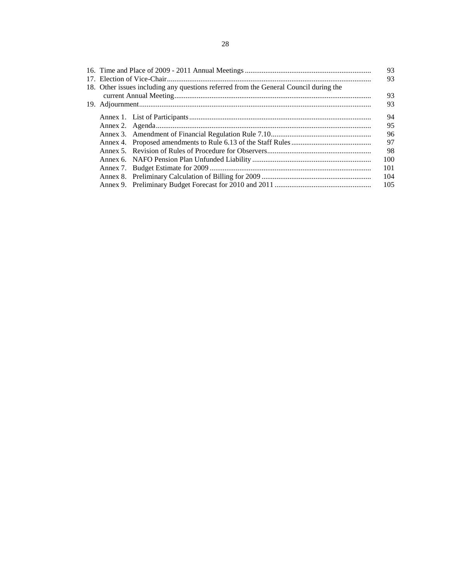|  |                                                                                       | 93  |
|--|---------------------------------------------------------------------------------------|-----|
|  |                                                                                       | 93  |
|  | 18. Other issues including any questions referred from the General Council during the |     |
|  |                                                                                       | 93  |
|  |                                                                                       | 93  |
|  |                                                                                       | 94  |
|  |                                                                                       | 95  |
|  |                                                                                       | 96  |
|  |                                                                                       | 97  |
|  |                                                                                       | 98  |
|  |                                                                                       | 100 |
|  |                                                                                       | 101 |
|  |                                                                                       | 104 |
|  |                                                                                       | 105 |
|  |                                                                                       |     |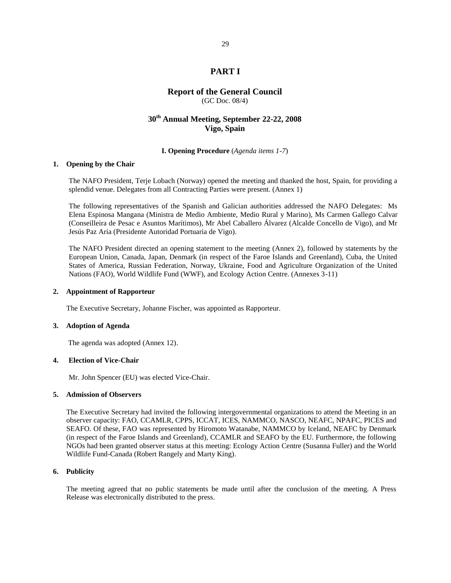## **PART I**

## **Report of the General Council**

(GC Doc. 08/4)

## **30th Annual Meeting, September 22-22, 2008 Vigo, Spain**

### **I. Opening Procedure** (*Agenda items 1-7*)

### **1. Opening by the Chair**

The NAFO President, Terje Lobach (Norway) opened the meeting and thanked the host, Spain, for providing a splendid venue. Delegates from all Contracting Parties were present. (Annex 1)

The following representatives of the Spanish and Galician authorities addressed the NAFO Delegates: Ms Elena Espinosa Mangana (Ministra de Medio Ambiente, Medio Rural y Marino), Ms Carmen Gallego Calvar (Conseilleira de Pesac e Asuntos Marítimos), Mr Abel Caballero Álvarez (Alcalde Concello de Vigo), and Mr Jesús Paz Aria (Presidente Autoridad Portuaria de Vigo).

The NAFO President directed an opening statement to the meeting (Annex 2), followed by statements by the European Union, Canada, Japan, Denmark (in respect of the Faroe Islands and Greenland), Cuba, the United States of America, Russian Federation, Norway, Ukraine, Food and Agriculture Organization of the United Nations (FAO), World Wildlife Fund (WWF), and Ecology Action Centre. (Annexes 3-11)

#### **2. Appointment of Rapporteur**

The Executive Secretary, Johanne Fischer, was appointed as Rapporteur.

### **3. Adoption of Agenda**

The agenda was adopted (Annex 12).

### **4. Election of Vice-Chair**

Mr. John Spencer (EU) was elected Vice-Chair.

#### **5. Admission of Observers**

The Executive Secretary had invited the following intergovernmental organizations to attend the Meeting in an observer capacity: FAO, CCAMLR, CPPS, ICCAT, ICES, NAMMCO, NASCO, NEAFC, NPAFC, PICES and SEAFO. Of these, FAO was represented by Hiromoto Watanabe, NAMMCO by Iceland, NEAFC by Denmark (in respect of the Faroe Islands and Greenland), CCAMLR and SEAFO by the EU. Furthermore, the following NGOs had been granted observer status at this meeting: Ecology Action Centre (Susanna Fuller) and the World Wildlife Fund-Canada (Robert Rangely and Marty King).

### **6. Publicity**

The meeting agreed that no public statements be made until after the conclusion of the meeting. A Press Release was electronically distributed to the press.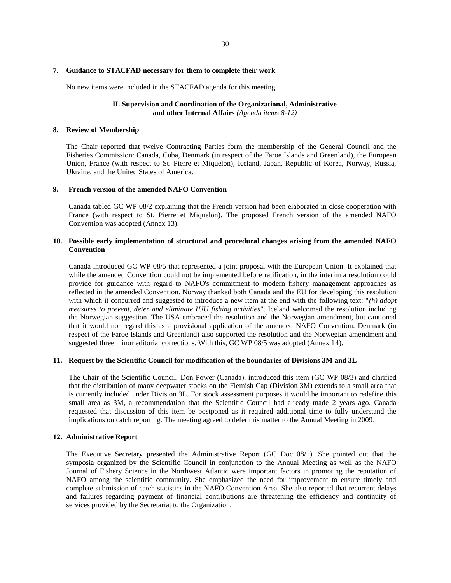### **7. Guidance to STACFAD necessary for them to complete their work**

No new items were included in the STACFAD agenda for this meeting.

## **II. Supervision and Coordination of the Organizational, Administrative and other Internal Affairs** *(Agenda items 8-12)*

#### **8. Review of Membership**

The Chair reported that twelve Contracting Parties form the membership of the General Council and the Fisheries Commission: Canada, Cuba, Denmark (in respect of the Faroe Islands and Greenland), the European Union, France (with respect to St. Pierre et Miquelon), Iceland, Japan, Republic of Korea, Norway, Russia, Ukraine, and the United States of America.

#### **9. French version of the amended NAFO Convention**

Canada tabled GC WP 08/2 explaining that the French version had been elaborated in close cooperation with France (with respect to St. Pierre et Miquelon). The proposed French version of the amended NAFO Convention was adopted (Annex 13).

### **10. Possible early implementation of structural and procedural changes arising from the amended NAFO Convention**

Canada introduced GC WP 08/5 that represented a joint proposal with the European Union. It explained that while the amended Convention could not be implemented before ratification, in the interim a resolution could provide for guidance with regard to NAFO's commitment to modern fishery management approaches as reflected in the amended Convention. Norway thanked both Canada and the EU for developing this resolution with which it concurred and suggested to introduce a new item at the end with the following text: "*(h) adopt measures to prevent, deter and eliminate IUU fishing activities*". Iceland welcomed the resolution including the Norwegian suggestion. The USA embraced the resolution and the Norwegian amendment, but cautioned that it would not regard this as a provisional application of the amended NAFO Convention. Denmark (in respect of the Faroe Islands and Greenland) also supported the resolution and the Norwegian amendment and suggested three minor editorial corrections. With this, GC WP 08/5 was adopted (Annex 14).

### **11. Request by the Scientific Council for modification of the boundaries of Divisions 3M and 3L**

The Chair of the Scientific Council, Don Power (Canada), introduced this item (GC WP 08/3) and clarified that the distribution of many deepwater stocks on the Flemish Cap (Division 3M) extends to a small area that is currently included under Division 3L. For stock assessment purposes it would be important to redefine this small area as 3M, a recommendation that the Scientific Council had already made 2 years ago. Canada requested that discussion of this item be postponed as it required additional time to fully understand the implications on catch reporting. The meeting agreed to defer this matter to the Annual Meeting in 2009.

### **12. Administrative Report**

The Executive Secretary presented the Administrative Report (GC Doc 08/1). She pointed out that the symposia organized by the Scientific Council in conjunction to the Annual Meeting as well as the NAFO Journal of Fishery Science in the Northwest Atlantic were important factors in promoting the reputation of NAFO among the scientific community. She emphasized the need for improvement to ensure timely and complete submission of catch statistics in the NAFO Convention Area. She also reported that recurrent delays and failures regarding payment of financial contributions are threatening the efficiency and continuity of services provided by the Secretariat to the Organization.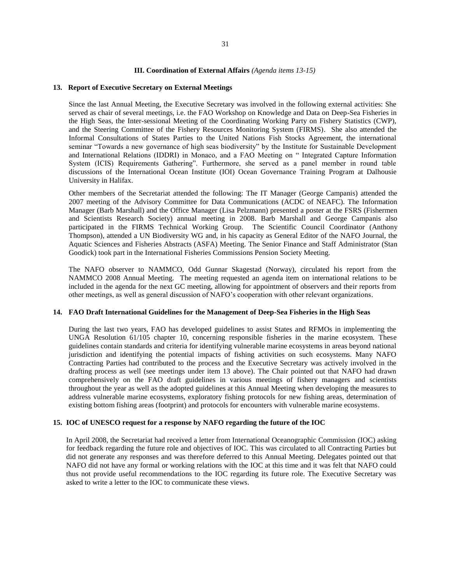#### **III. Coordination of External Affairs** *(Agenda items 13-15)*

#### **13. Report of Executive Secretary on External Meetings**

Since the last Annual Meeting, the Executive Secretary was involved in the following external activities: She served as chair of several meetings, i.e. the FAO Workshop on Knowledge and Data on Deep-Sea Fisheries in the High Seas, the Inter-sessional Meeting of the Coordinating Working Party on Fishery Statistics (CWP), and the Steering Committee of the Fishery Resources Monitoring System (FIRMS). She also attended the Informal Consultations of States Parties to the United Nations Fish Stocks Agreement, the international seminar "Towards a new governance of high seas biodiversity" by the Institute for Sustainable Development and International Relations (IDDRI) in Monaco, and a FAO Meeting on " Integrated Capture Information System (ICIS) Requirements Gathering". Furthermore, she served as a panel member in round table discussions of the International Ocean Institute (IOI) Ocean Governance Training Program at Dalhousie University in Halifax.

Other members of the Secretariat attended the following: The IT Manager (George Campanis) attended the 2007 meeting of the Advisory Committee for Data Communications (ACDC of NEAFC). The Information Manager (Barb Marshall) and the Office Manager (Lisa Pelzmann) presented a poster at the FSRS (Fishermen and Scientists Research Society) annual meeting in 2008. Barb Marshall and George Campanis also participated in the FIRMS Technical Working Group. The Scientific Council Coordinator (Anthony Thompson), attended a UN Biodiversity WG and, in his capacity as General Editor of the NAFO Journal, the Aquatic Sciences and Fisheries Abstracts (ASFA) Meeting. The Senior Finance and Staff Administrator (Stan Goodick) took part in the International Fisheries Commissions Pension Society Meeting.

The NAFO observer to NAMMCO, Odd Gunnar Skagestad (Norway), circulated his report from the NAMMCO 2008 Annual Meeting. The meeting requested an agenda item on international relations to be included in the agenda for the next GC meeting, allowing for appointment of observers and their reports from other meetings, as well as general discussion of NAFO's cooperation with other relevant organizations.

### **14. FAO Draft International Guidelines for the Management of Deep-Sea Fisheries in the High Seas**

During the last two years, FAO has developed guidelines to assist States and RFMOs in implementing the UNGA Resolution 61/105 chapter 10, concerning responsible fisheries in the marine ecosystem. These guidelines contain standards and criteria for identifying vulnerable marine ecosystems in areas beyond national jurisdiction and identifying the potential impacts of fishing activities on such ecosystems. Many NAFO Contracting Parties had contributed to the process and the Executive Secretary was actively involved in the drafting process as well (see meetings under item 13 above). The Chair pointed out that NAFO had drawn comprehensively on the FAO draft guidelines in various meetings of fishery managers and scientists throughout the year as well as the adopted guidelines at this Annual Meeting when developing the measures to address vulnerable marine ecosystems, exploratory fishing protocols for new fishing areas, determination of existing bottom fishing areas (footprint) and protocols for encounters with vulnerable marine ecosystems.

### **15. IOC of UNESCO request for a response by NAFO regarding the future of the IOC**

In April 2008, the Secretariat had received a letter from International Oceanographic Commission (IOC) asking for feedback regarding the future role and objectives of IOC. This was circulated to all Contracting Parties but did not generate any responses and was therefore deferred to this Annual Meeting. Delegates pointed out that NAFO did not have any formal or working relations with the IOC at this time and it was felt that NAFO could thus not provide useful recommendations to the IOC regarding its future role. The Executive Secretary was asked to write a letter to the IOC to communicate these views.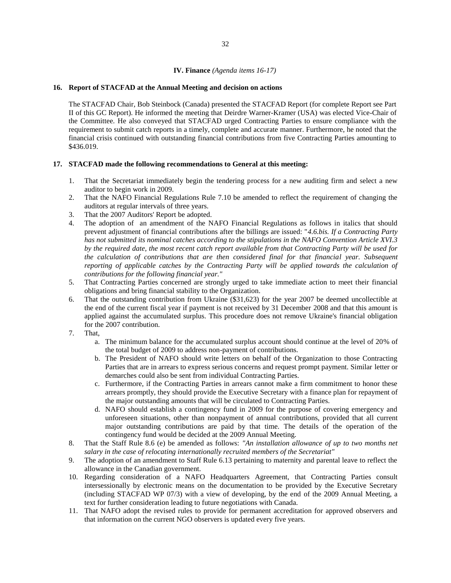### **IV. Finance** *(Agenda items 16-17)*

#### **16. Report of STACFAD at the Annual Meeting and decision on actions**

The STACFAD Chair, Bob Steinbock (Canada) presented the STACFAD Report (for complete Report see Part II of this GC Report). He informed the meeting that Deirdre Warner-Kramer (USA) was elected Vice-Chair of the Committee. He also conveyed that STACFAD urged Contracting Parties to ensure compliance with the requirement to submit catch reports in a timely, complete and accurate manner. Furthermore, he noted that the financial crisis continued with outstanding financial contributions from five Contracting Parties amounting to \$436.019.

#### **17. STACFAD made the following recommendations to General at this meeting:**

- 1. That the Secretariat immediately begin the tendering process for a new auditing firm and select a new auditor to begin work in 2009.
- 2. That the NAFO Financial Regulations Rule 7.10 be amended to reflect the requirement of changing the auditors at regular intervals of three years.
- 3. That the 2007 Auditors' Report be adopted.
- 4. The adoption of an amendment of the NAFO Financial Regulations as follows in italics that should prevent adjustment of financial contributions after the billings are issued: "*4.6.bis. If a Contracting Party has not submitted its nominal catches according to the stipulations in the NAFO Convention Article XVI.3 by the required date, the most recent catch report available from that Contracting Party will be used for the calculation of contributions that are then considered final for that financial year. Subsequent reporting of applicable catches by the Contracting Party will be applied towards the calculation of contributions for the following financial year."*
- 5. That Contracting Parties concerned are strongly urged to take immediate action to meet their financial obligations and bring financial stability to the Organization.
- 6. That the outstanding contribution from Ukraine (\$31,623) for the year 2007 be deemed uncollectible at the end of the current fiscal year if payment is not received by 31 December 2008 and that this amount is applied against the accumulated surplus. This procedure does not remove Ukraine's financial obligation for the 2007 contribution.
- 7. That,
	- a. The minimum balance for the accumulated surplus account should continue at the level of 20% of the total budget of 2009 to address non-payment of contributions.
	- b. The President of NAFO should write letters on behalf of the Organization to those Contracting Parties that are in arrears to express serious concerns and request prompt payment. Similar letter or demarches could also be sent from individual Contracting Parties.
	- c. Furthermore, if the Contracting Parties in arrears cannot make a firm commitment to honor these arrears promptly, they should provide the Executive Secretary with a finance plan for repayment of the major outstanding amounts that will be circulated to Contracting Parties.
	- d. NAFO should establish a contingency fund in 2009 for the purpose of covering emergency and unforeseen situations, other than nonpayment of annual contributions, provided that all current major outstanding contributions are paid by that time. The details of the operation of the contingency fund would be decided at the 2009 Annual Meeting.
- 8. That the Staff Rule 8.6 (e) be amended as follows: *"An installation allowance of up to two months net salary in the case of relocating internationally recruited members of the Secretariat"*
- 9. The adoption of an amendment to Staff Rule 6.13 pertaining to maternity and parental leave to reflect the allowance in the Canadian government.
- 10. Regarding consideration of a NAFO Headquarters Agreement, that Contracting Parties consult intersessionally by electronic means on the documentation to be provided by the Executive Secretary (including STACFAD WP 07/3) with a view of developing, by the end of the 2009 Annual Meeting, a text for further consideration leading to future negotiations with Canada.
- 11. That NAFO adopt the revised rules to provide for permanent accreditation for approved observers and that information on the current NGO observers is updated every five years.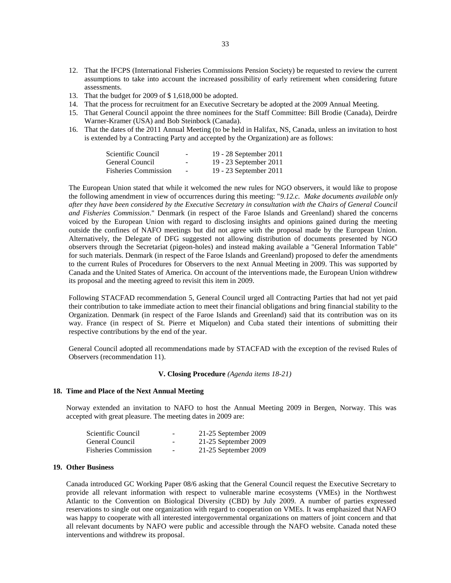- 12. That the IFCPS (International Fisheries Commissions Pension Society) be requested to review the current assumptions to take into account the increased possibility of early retirement when considering future assessments.
- 13. That the budget for 2009 of \$ 1,618,000 be adopted.
- 14. That the process for recruitment for an Executive Secretary be adopted at the 2009 Annual Meeting.
- 15. That General Council appoint the three nominees for the Staff Committee: Bill Brodie (Canada), Deirdre Warner-Kramer (USA) and Bob Steinbock (Canada).
- 16. That the dates of the 2011 Annual Meeting (to be held in Halifax, NS, Canada, unless an invitation to host is extended by a Contracting Party and accepted by the Organization) are as follows:

| Scientific Council   | -                        | 19 - 28 September 2011 |
|----------------------|--------------------------|------------------------|
| General Council      | -                        | 19 - 23 September 2011 |
| Fisheries Commission | $\overline{\phantom{a}}$ | 19 - 23 September 2011 |

The European Union stated that while it welcomed the new rules for NGO observers, it would like to propose the following amendment in view of occurrences during this meeting: "*9.12.c. Make documents available only after they have been considered by the Executive Secretary in consultation with the Chairs of General Council and Fisheries Commission*." Denmark (in respect of the Faroe Islands and Greenland) shared the concerns voiced by the European Union with regard to disclosing insights and opinions gained during the meeting outside the confines of NAFO meetings but did not agree with the proposal made by the European Union. Alternatively, the Delegate of DFG suggested not allowing distribution of documents presented by NGO observers through the Secretariat (pigeon-holes) and instead making available a "General Information Table" for such materials. Denmark (in respect of the Faroe Islands and Greenland) proposed to defer the amendments to the current Rules of Procedures for Observers to the next Annual Meeting in 2009. This was supported by Canada and the United States of America. On account of the interventions made, the European Union withdrew its proposal and the meeting agreed to revisit this item in 2009.

Following STACFAD recommendation 5, General Council urged all Contracting Parties that had not yet paid their contribution to take immediate action to meet their financial obligations and bring financial stability to the Organization. Denmark (in respect of the Faroe Islands and Greenland) said that its contribution was on its way. France (in respect of St. Pierre et Miquelon) and Cuba stated their intentions of submitting their respective contributions by the end of the year.

General Council adopted all recommendations made by STACFAD with the exception of the revised Rules of Observers (recommendation 11).

#### **V. Closing Procedure** *(Agenda items 18-21)*

#### **18. Time and Place of the Next Annual Meeting**

Norway extended an invitation to NAFO to host the Annual Meeting 2009 in Bergen, Norway. This was accepted with great pleasure. The meeting dates in 2009 are:

| Scientific Council          | $\overline{\phantom{a}}$ | 21-25 September 2009   |
|-----------------------------|--------------------------|------------------------|
| General Council             | $\qquad \qquad$          | 21-25 September 2009   |
| <b>Fisheries Commission</b> | $\overline{\phantom{a}}$ | $21-25$ September 2009 |

### **19. Other Business**

Canada introduced GC Working Paper 08/6 asking that the General Council request the Executive Secretary to provide all relevant information with respect to vulnerable marine ecosystems (VMEs) in the Northwest Atlantic to the Convention on Biological Diversity (CBD) by July 2009. A number of parties expressed reservations to single out one organization with regard to cooperation on VMEs. It was emphasized that NAFO was happy to cooperate with all interested intergovernmental organizations on matters of joint concern and that all relevant documents by NAFO were public and accessible through the NAFO website. Canada noted these interventions and withdrew its proposal.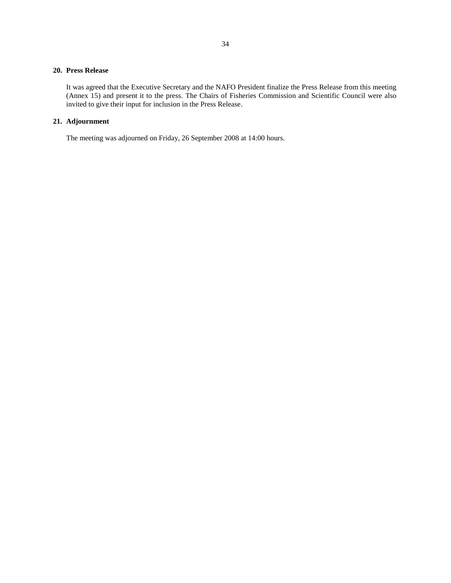### **20. Press Release**

It was agreed that the Executive Secretary and the NAFO President finalize the Press Release from this meeting (Annex 15) and present it to the press. The Chairs of Fisheries Commission and Scientific Council were also invited to give their input for inclusion in the Press Release.

## **21. Adjournment**

The meeting was adjourned on Friday, 26 September 2008 at 14:00 hours.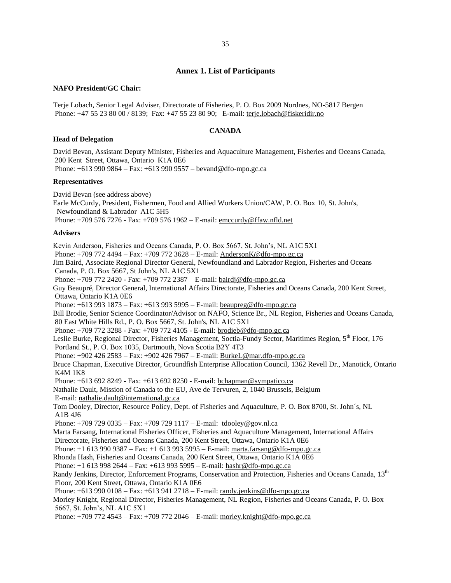#### **NAFO President/GC Chair:**

Terje Lobach, Senior Legal Adviser, Directorate of Fisheries, P. O. Box 2009 Nordnes, NO-5817 Bergen Phone: +47 55 23 80 00 / 8139; Fax: +47 55 23 80 90; E-mail[: terje.lobach@fiskeridir.no](mailto:terje.lobach@fiskeridir.dep.telemax.no)

### **CANADA**

#### **Head of Delegation**

David Bevan, Assistant Deputy Minister, Fisheries and Aquaculture Management, Fisheries and Oceans Canada, 200 Kent Street, Ottawa, Ontario K1A 0E6 Phone: +613 990 9864 – Fax: +613 990 9557 – bevand@dfo-mpo.gc.ca

## **Representatives**

David Bevan (see address above) Earle McCurdy, President, Fishermen, Food and Allied Workers Union/CAW, P. O. Box 10, St. John's, Newfoundland & Labrador A1C 5H5 Phone: +709 576 7276 - Fax: +709 576 1962 – E-mail: [emccurdy@ffaw.nfld.net](mailto:emccurdy@ffaw.nfld.net)

#### **Advisers**

Kevin Anderson, Fisheries and Oceans Canada, P. O. Box 5667, St. John's, NL A1C 5X1 Phone: +709 772 4494 – Fax: +709 772 3628 – E-mail: [AndersonK@dfo-mpo.gc.ca](mailto:AndersonK@dfo-mpo.gc.ca) Jim Baird, Associate Regional Director General, Newfoundland and Labrador Region, Fisheries and Oceans Canada, P. O. Box 5667, St John's, NL A1C 5X1 Phone: +709 772 2420 - Fax: +709 772 2387 – E-mail: bairdj@dfo-mpo.gc.ca Guy Beaupré, Director General, International Affairs Directorate, Fisheries and Oceans Canada, 200 Kent Street, Ottawa, Ontario K1A 0E6 Phone: +613 993 1873 – Fax: +613 993 5995 – E-mail: [beaupreg@dfo-mpo.gc.ca](mailto:beaupreg@dfo-mpo.gc.ca) Bill Brodie, Senior Science Coordinator/Advisor on NAFO, Science Br., NL Region, Fisheries and Oceans Canada, 80 East White Hills Rd., P. O. Box 5667, St. John's, NL A1C 5X1 Phone: +709 772 3288 - Fax: +709 772 4105 - E-mail: [brodieb@dfo-mpo.gc.ca](mailto:brodieb@dfo-mpo.gc.ca) Leslie Burke, Regional Director, Fisheries Management, Soctia-Fundy Sector, Maritimes Region, 5<sup>th</sup> Floor, 176 Portland St., P. O. Box 1035, Dartmouth, Nova Scotia B2Y 4T3 Phone: +902 426 2583 – Fax: +902 426 7967 – E-mail: [BurkeL@mar.dfo-mpo.gc.ca](mailto:BurkeL@mar.dfo-mpo.gc.ca) Bruce Chapman, Executive Director, Groundfish Enterprise Allocation Council, 1362 Revell Dr., Manotick, Ontario K4M 1K8 Phone: +613 692 8249 - Fax: +613 692 8250 - E-mail: bchapman@sympatico.ca Nathalie Dault, Mission of Canada to the EU, Ave de Tervuren, 2, 1040 Brussels, Belgium E-mail: [nathalie.dault@international.gc.ca](mailto:nathalie.dault@international.gc.ca) Tom Dooley, Director, Resource Policy, Dept. of Fisheries and Aquaculture, P. O. Box 8700, St. John´s, NL A1B 4J6 Phone: +709 729 0335 – Fax: +709 729 1117 – E-mail: tdoole[y@gov.nl.ca](mailto:atkinson@athena.nwafc.nf.ca) Marta Farsang, International Fisheries Officer, Fisheries and Aquaculture Management, International Affairs Directorate, Fisheries and Oceans Canada, 200 Kent Street, Ottawa, Ontario K1A 0E6 Phone: +1 613 990 9387 – Fax: +1 613 993 5995 – E-mail: [marta.farsang@dfo-mpo.gc.ca](mailto:marta.farsang@dfo-mpo.gc.ca) Rhonda Hash, Fisheries and Oceans Canada, 200 Kent Street, Ottawa, Ontario K1A 0E6 Phone: +1 613 998 2644 – Fax: +613 993 5995 – E-mail: [hashr@dfo-mpo.gc.ca](mailto:hashr@dfo-mpo.gc.ca) Randy Jenkins, Director, Enforcement Programs, Conservation and Protection, Fisheries and Oceans Canada, 13<sup>th</sup> Floor, 200 Kent Street, Ottawa, Ontario K1A 0E6 Phone: +613 990 0108 – Fax: +613 941 2718 – E-mail: [randy.jenkins@dfo-mpo.gc.ca](mailto:randy.jenkins@dfo-mpo.gc.ca) Morley Knight, Regional Director, Fisheries Management, NL Region, Fisheries and Oceans Canada, P. O. Box 5667, St. John's, NL A1C 5X1 Phone: +709 772 4543 – Fax: +709 772 2046 – E-mail: [morley.knight@dfo-mpo.gc.ca](mailto:morley.knight@dfo-mpo.gc.ca)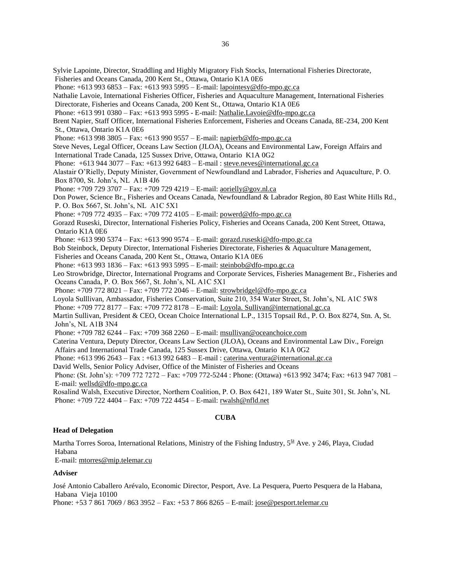Sylvie Lapointe, Director, Straddling and Highly Migratory Fish Stocks, International Fisheries Directorate, Fisheries and Oceans Canada, 200 Kent St., Ottawa, Ontario K1A 0E6 Phone: +613 993 6853 – Fax: +613 993 5995 – E-mail: [lapointesy@dfo-mpo.gc.ca](mailto:lapointesy@dfo-mpo.gc.ca) Nathalie Lavoie, International Fisheries Officer, Fisheries and Aquaculture Management, International Fisheries Directorate, Fisheries and Oceans Canada, 200 Kent St., Ottawa, Ontario K1A 0E6 Phone: +613 991 0380 – Fax: +613 993 5995 - E-mail: [Nathalie.Lavoie@dfo-mpo.gc.ca](mailto:Nathalie.Lavoie@dfo-mpo.gc.ca) Brent Napier, Staff Officer, International Fisheries Enforcement, Fisheries and Oceans Canada, 8E-234, 200 Kent St., Ottawa, Ontario K1A 0E6 Phone: +613 998 3805 – Fax: +613 990 9557 – E-mail: [napierb@dfo-mpo.gc.ca](mailto:napierb@dfo-mpo.gc.ca) Steve Neves, Legal Officer, Oceans Law Section (JLOA), Oceans and Environmental Law, Foreign Affairs and International Trade Canada, 125 Sussex Drive, Ottawa, Ontario K1A 0G2 Phone: +613 944 3077 – Fax: +613 992 6483 – E-mail : [steve.neves@international.gc.ca](mailto:steve.neves@international.gc.ca) Alastair O'Rielly, Deputy Minister, Government of Newfoundland and Labrador, Fisheries and Aquaculture, P. O. Box 8700, St. John's, NL A1B 4J6 Phone: +709 729 3707 – Fax: +709 729 4219 – E-mail: [aorielly@gov.nl.ca](mailto:aorielly@gov.nl.ca) Don Power, Science Br., Fisheries and Oceans Canada, Newfoundland & Labrador Region, 80 East White Hills Rd., P. O. Box 5667, St. John's, NL A1C 5X1 Phone: +709 772 4935 – Fax: +709 772 4105 – E-mail: [powerd@dfo-mpo.gc.ca](mailto:powerd@dfo-mpo.gc.ca) Gorazd Ruseski, Director, International Fisheries Policy, Fisheries and Oceans Canada, 200 Kent Street, Ottawa, Ontario K1A 0E6 Phone: +613 990 5374 – Fax: +613 990 9574 – E-mail: [gorazd.ruseski@dfo-mpo.gc.ca](mailto:gorazd.ruseski@dfo-mpo.gc.ca) Bob Steinbock, Deputy Director, International Fisheries Directorate, Fisheries & Aquaculture Management, Fisheries and Oceans Canada, 200 Kent St., Ottawa, Ontario K1A 0E6 Phone: +613 993 1836 – Fax: +613 993 5995 – E-mail: [steinbob@dfo-mpo.gc.ca](mailto:steinbob@dfo-mpo.gc.ca) Leo Strowbridge, Director, International Programs and Corporate Services, Fisheries Management Br., Fisheries and Oceans Canada, P. O. Box 5667, St. John's, NL A1C 5X1 Phone: +709 772 8021 – Fax: +709 772 2046 – E-mail: [strowbridgel@dfo-mpo.gc.ca](mailto:strowbridgel@dfo-mpo.gc.ca) Loyola Sulllivan, Ambassador, Fisheries Conservation, Suite 210, 354 Water Street, St. John's, NL A1C 5W8 Phone: +709 772 8177 – Fax: +709 772 8178 – E-mail: [Loyola. Sullivan@international.gc.ca](mailto:Loyola.%20Sullivan@international.gc.ca) Martin Sullivan, President & CEO, Ocean Choice International L.P., 1315 Topsail Rd., P. O. Box 8274, Stn. A, St. John's, NL A1B 3N4 Phone: +709 782 6244 – Fax: +709 368 2260 – E-mail: [msullivan@oceanchoice.com](mailto:msullivan@oceanchoice.com) Caterina Ventura, Deputy Director, Oceans Law Section (JLOA), Oceans and Environmental Law Div., Foreign Affairs and International Trade Canada, 125 Sussex Drive, Ottawa, Ontario K1A 0G2 Phone: +613 996 2643 – Fax : +613 992 6483 – E-mail : [caterina.ventura@international.gc.ca](mailto:caterina.ventura@international.gc.ca) David Wells, Senior Policy Adviser, Office of the Minister of Fisheries and Oceans Phone: (St. John's): +709 772 7272 – Fax: +709 772-5244 : Phone: (Ottawa) +613 992 3474; Fax: +613 947 7081 – E-mail: [wellsd@dfo-mpo.gc.ca](mailto:wellsd@dfo-mpo.gc.ca) Rosalind Walsh, Executive Director, Northern Coalition, P. O. Box 6421, 189 Water St., Suite 301, St. John's, NL Phone: +709 722 4404 – Fax: +709 722 4454 – E-mail: [rwalsh@nfld.net](mailto:rwalsh@nfld.net)

## **CUBA**

### **Head of Delegation**

Martha Torres Soroa, International Relations, Ministry of the Fishing Industry,  $5^{\underline{ta}}$  Ave. y 246, Playa, Ciudad Habana

E-mail: [mtorres@mip.telemar.cu](mailto:mtorres@mip.telemar.cu)

### **Adviser**

José Antonio Caballero Arévalo, Economic Director, Pesport, Ave. La Pesquera, Puerto Pesquera de la Habana, Habana Vieja 10100 Phone: +53 7 861 7069 / 863 3952 – Fax: +53 7 866 8265 – E-mail[: jose@pesport.telemar.cu](mailto:jose@pesport.telemar.cu)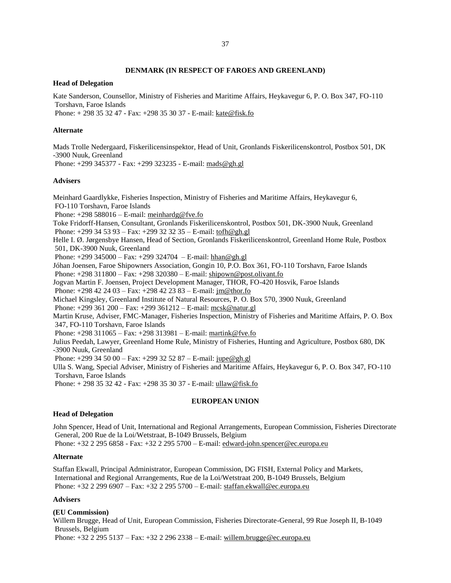### **DENMARK (IN RESPECT OF FAROES AND GREENLAND)**

#### **Head of Delegation**

Kate Sanderson, Counsellor, Ministry of Fisheries and Maritime Affairs, Heykavegur 6, P. O. Box 347, FO-110 Torshavn, Faroe Islands

Phone: + 298 35 32 47 - Fax: +298 35 30 37 - E-mail: kate@fisk.fo

#### **Alternate**

Mads Trolle Nedergaard, Fiskerilicensinspektor, Head of Unit, Gronlands Fiskerilicenskontrol, Postbox 501, DK -3900 Nuuk, Greenland

Phone: +299 345377 - Fax: +299 323235 - E-mail: mads@gh.gl

#### **Advisers**

Meinhard Gaardlykke, Fisheries Inspection, Ministry of Fisheries and Maritime Affairs, Heykavegur 6, FO-110 Torshavn, Faroe Islands Phone:  $+298\,588016$  – E-mail: [meinhardg@fve.fo](mailto:meinhardg@fve.fo) Toke Fridorff-Hansen, Consultant, Gronlands Fiskerilicenskontrol, Postbox 501, DK-3900 Nuuk, Greenland Phone: +299 34 53 93 – Fax: +299 32 32 35 – E-mail: [tofh@gh.gl](mailto:tofh@gh.gl) Helle I. Ø. Jørgensbye Hansen, Head of Section, Gronlands Fiskerilicenskontrol, Greenland Home Rule, Postbox 501, DK-3900 Nuuk, Greenland Phone: +299 345000 – Fax: +299 324704 – E-mail: [hhan@gh.gl](mailto:hhan@gh.gl) Jóhan Joensen, Faroe Shipowners Association, Gongin 10, P.O. Box 361, FO-110 Torshavn, Faroe Islands Phone: +298 311800 – Fax: +298 320380 – E-mail: [shipown@post.olivant.fo](mailto:shipown@post.olivant.fo) Jogvan Martin F. Joensen, Project Development Manager, THOR, FO-420 Hosvik, Faroe Islands Phone: +298 42 24 03 – Fax: +298 42 23 83 – E-mail: [jm@thor.fo](mailto:jm@thor.fo) Michael Kingsley, Greenland Institute of Natural Resources, P. O. Box 570, 3900 Nuuk, Greenland Phone: +299 361 200 – Fax: +299 361212 – E-mail: [mcsk@natur.gl](mailto:mcsk@natur.gl) Martin Kruse, Adviser, FMC-Manager, Fisheries Inspection, Ministry of Fisheries and Maritime Affairs, P. O. Box 347, FO-110 Torshavn, Faroe Islands Phone: +298 311065 – Fax: +298 313981 – E-mail: [martink@fve.fo](mailto:martink@fve.fo) Julius Peedah, Lawyer, Greenland Home Rule, Ministry of Fisheries, Hunting and Agriculture, Postbox 680, DK -3900 Nuuk, Greenland Phone: +299 34 50 00 – Fax: +299 32 52 87 – E-mail: [jupe@gh.gl](mailto:jupe@gh.gl) Ulla S. Wang, Special Adviser, Ministry of Fisheries and Maritime Affairs, Heykavegur 6, P. O. Box 347, FO-110 Torshavn, Faroe Islands Phone: + 298 35 32 42 - Fax: +298 35 30 37 - E-mail: ullaw@fisk.fo

## **EUROPEAN UNION**

### **Head of Delegation**

John Spencer, Head of Unit, International and Regional Arrangements, European Commission, Fisheries Directorate General, 200 Rue de la Loi/Wetstraat, B-1049 Brussels, Belgium Phone: +32 2 295 6858 - Fax: +32 2 295 5700 – E-mail: [edward-john.spencer@ec.europa.eu](mailto:edward-john.spencer@ec.europa.eu)

#### **Alternate**

Staffan Ekwall, Principal Administrator, European Commission, DG FISH, External Policy and Markets, International and Regional Arrangements, Rue de la Loi/Wetstraat 200, B-1049 Brussels, Belgium Phone: +32 2 299 6907 – Fax: +32 2 295 5700 – E-mail: [staffan.ekwall@ec.europa.e](mailto:staffan.ekwall@ec.europa.)u

#### **Advisers**

### **(EU Commission)**

Willem Brugge, Head of Unit, European Commission, Fisheries Directorate-General, 99 Rue Joseph II, B-1049 Brussels, Belgium

Phone: +32 2 295 5137 – Fax: +32 2 296 2338 – E-mail: [willem.brugge@ec.europa.eu](mailto:willem.brugge@ec.europa.eu)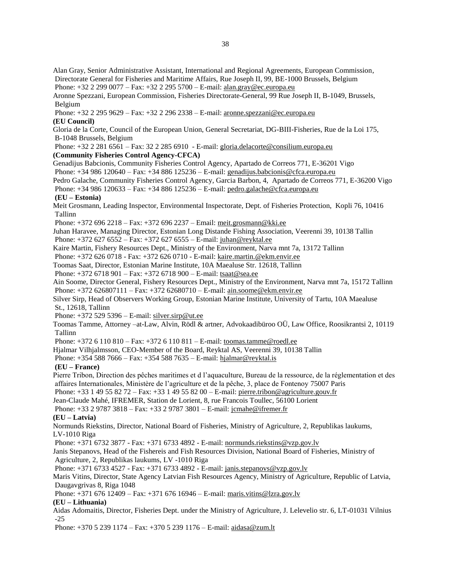Alan Gray, Senior Administrative Assistant, International and Regional Agreements, European Commission, Directorate General for Fisheries and Maritime Affairs, Rue Joseph II, 99, BE-1000 Brussels, Belgium Phone: +32 2 299 0077 – Fax: +32 2 295 5700 – E-mail: [alan.gray@ec.europa.eu](mailto:alan.gray@ec.europa.eu)

Aronne Spezzani, European Commission, Fisheries Directorate-General, 99 Rue Joseph II, B-1049, Brussels, Belgium

 Phone: +32 2 295 9629 – Fax: +32 2 296 2338 – E-mail: [aronne.spezzani@ec.europa.eu](mailto:aronne.spezzani@ec.europa.eu) **(EU Council)** 

Gloria de la Corte, Council of the European Union, General Secretariat, DG-BIII-Fisheries, Rue de la Loi 175, B-1048 Brussels, Belgium

 Phone: +32 2 281 6561 – Fax: 32 2 285 6910 - E-mail: [gloria.delacorte@consilium.europa.eu](mailto:gloria.delacorte@consilium.europa.eu) **(Community Fisheries Control Agency-CFCA)** 

Genadijus Babcionis, Community Fisheries Control Agency, Apartado de Correos 771, E-36201 Vigo Phone: +34 986 120640 – Fax: +34 886 125236 – E-mail: [genadijus.babcionis@cfca.europa.eu](mailto:genadijus.babcionis@cfca.europa.eu)

Pedro Galache, Community Fisheries Control Agency, Garcia Barbon, 4, Apartado de Correos 771, E-36200 Vigo

Phone: +34 986 120633 – Fax: +34 886 125236 – E-mail: [pedro.galache@cfca.europa.eu](mailto:pedro.galache@cfca.europa.eu)

### **(EU – Estonia)**

Meit Grosmann, Leading Inspector, Environmental Inspectorate, Dept. of Fisheries Protection, Kopli 76, 10416 Tallinn

Phone: +372 696 2218 – Fax: +372 696 2237 – Email: [meit.grosmann@kki.ee](mailto:meit.grosmann@kki.ee)

Juhan Haravee, Managing Director, Estonian Long Distande Fishing Association, Veerenni 39, 10138 Tallin Phone: +372 627 6552 – Fax: +372 627 6555 – E-mail: [juhan@reyktal.ee](mailto:juhan@reyktal.ee)

Kaire Martin, Fishery Resources Dept., Ministry of the Environment, Narva mnt 7a, 13172 Tallinn

Phone: +372 626 0718 - Fax: +372 626 0710 - E-mail: [kaire.martin.@ekm.envir.ee](mailto:kaire.martin.@ekm.envir.ee)

Toomas Saat, Director, Estonian Marine Institute, 10A Maealuse Str. 12618, Tallinn

Phone: +372 6718 901 – Fax: +372 6718 900 – E-mail: [tsaat@sea.ee](mailto:tsaat@sea.ee)

Ain Soome, Director General, Fishery Resources Dept., Ministry of the Environment, Narva mnt 7a, 15172 Tallinn Phone: +372 626807111 – Fax: +372 62680710 – E-mail: [ain.soome@ekm.envir.ee](mailto:ain.soome@ekm.envir.ee)

Silver Sirp, Head of Observers Working Group, Estonian Marine Institute, University of Tartu, 10A Maealuse St., 12618, Tallinn

Phone: +372 529 5396 – E-mail: [silver.sirp@ut.ee](mailto:silver.sirp@ut.ee)

Toomas Tamme, Attorney –at-Law, Alvin, Rödl & artner, Advokaadibüroo OÜ, Law Office, Roosikrantsi 2, 10119 Tallinn

Phone: +372 6 110 810 – Fax: +372 6 110 811 – E-mail: [toomas.tamme@roedl.ee](mailto:toomas.tamme@roedl.ee)

Hjalmar Vilhjalmsson, CEO-Member of the Board, Reyktal AS, Veerenni 39, 10138 Tallin

Phone: +354 588 7666 – Fax: +354 588 7635 – E-mail: [hjalmar@reyktal.is](mailto:hjalmar@reyktal.is)

### **(EU – France)**

Pierre Tribon, Direction des pêches maritimes et d l'aquaculture, Bureau de la ressource, de la réglementation et des affaires Internationales, Ministère de l'agriculture et de la pêche, 3, place de Fontenoy 75007 Paris

Phone: +33 1 49 55 82 72 – Fax: +33 1 49 55 82 00 – E-mail: [pierre.tribon@agriculture.gouv.fr](mailto:pierre.tribon@agriculture.gouv.fr)

Jean-Claude Mahé, IFREMER, Station de Lorient, 8, rue Francois Toullec, 56100 Lorient

Phone: +33 2 9787 3818 – Fax: +33 2 9787 3801 – E-mail: [jcmahe@ifremer.fr](mailto:jcmahe@ifremer.fr)

### **(EU – Latvia)**

Normunds Riekstins, Director, National Board of Fisheries, Ministry of Agriculture, 2, Republikas laukums, LV-1010 Riga

Phone: +371 6732 3877 - Fax: +371 6733 4892 - E-mail: [normunds.riekstins@vzp.gov.lv](mailto:normunds.riekstins@latnet.lv)

Janis Stepanovs, Head of the Fishereis and Fish Resources Division, National Board of Fisheries, Ministry of Agriculture, 2, Republikas laukums, LV -1010 Riga

Phone: +371 6733 4527 - Fax: +371 6733 4892 - E-mail: [janis.stepanovs@vzp.gov.lv](mailto:janis.stepanovs@vzp.gov.lv)

Maris Vitins, Director, State Agency Latvian Fish Resources Agency, Ministry of Agriculture, Republic of Latvia, Daugavgrivas 8, Riga 1048

Phone: +371 676 12409 – Fax: +371 676 16946 – E-mail: [maris.vitins@lzra.gov.lv](mailto:maris.vitins@lzra.gov.lv)

### **(EU – Lithuania)**

Aidas Adomaitis, Director, Fisheries Dept. under the Ministry of Agriculture, J. Lelevelio str. 6, LT-01031 Vilnius -25

Phone: +370 5 239 1174 – Fax: +370 5 239 1176 – E-mail: [aidasa@zum.lt](mailto:aidasa@zum.lt)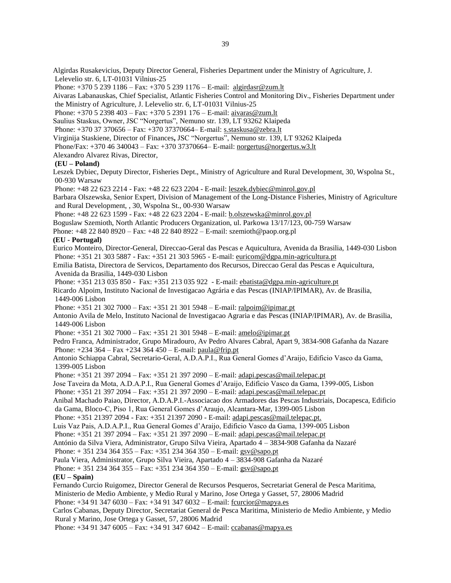Algirdas Rusakevicius, Deputy Director General, Fisheries Department under the Ministry of Agriculture, J. Lelevelio str. 6, LT-01031 Vilnius-25

Phone: +370 5 239 1186 – Fax: +370 5 239 1176 – E-mail: [algirdasr@zum.lt](mailto:algirdasr@zum.lt)

Aivaras Labanauskas, Chief Specialist, Atlantic Fisheries Control and Monitoring Div., Fisheries Department under the Ministry of Agriculture, J. Lelevelio str. 6, LT-01031 Vilnius-25

Phone: +370 5 2398 403 – Fax: +370 5 2391 176 – E-mail: [aivaras@zum.lt](mailto:aivaras@zum.lt)

Saulius Staskus, Owner, JSC "Norgertus", Nemuno str. 139, LT 93262 Klaipeda

Phone: +370 37 370656 – Fax: +370 37370664– E-mail: [s.staskusa@zebra.lt](mailto:s.staskusa@zebra.lt)

Virginija Staskiene, Director of Finances**,** JSC "Norgertus", Nemuno str. 139, LT 93262 Klaipeda

Phone/Fax: +370 46 340043 – Fax: +370 37370664– E-mail[: norgertus@norgertus.w3.lt](mailto:norgertus@norgertus.w3.lt)

Alexandro Alvarez Rivas, Director,

### **(EU – Poland)**

Leszek Dybiec, Deputy Director, Fisheries Dept., Ministry of Agriculture and Rural Development, 30, Wspolna St., 00-930 Warsaw

Phone: +48 22 623 2214 - Fax: +48 22 623 2204 - E-mail: [leszek.dybiec@minrol.gov.pl](mailto:leszek.dybiec@minrol.gov.pl) 

Barbara Olszewska, Senior Expert, Division of Management of the Long-Distance Fisheries, Ministry of Agriculture and Rural Development, , 30, Wspolna St., 00-930 Warsaw

Phone: +48 22 623 1599 - Fax: +48 22 623 2204 - E-mail: [b.olszewska@minrol.gov.pl](mailto:b.olszewska@minrol.gov.pl)

Boguslaw Szemioth, North Atlantic Producers Organization, ul. Parkowa 13/17/123, 00-759 Warsaw

Phone: +48 22 840 8920 – Fax: +48 22 840 8922 – E-mail: szemioth@paop.org.pl

## **(EU - Portugal)**

Eurico Monteiro, Director-General, Direccao-Geral das Pescas e Aquicultura, Avenida da Brasilia, 1449-030 Lisbon Phone: +351 21 303 5887 - Fax: +351 21 303 5965 - E-mail: [euricom@dgpa.min-agricultura.pt](mailto:euricom@dgpa.min-agricultura.pt)

Emilia Batista, Directora de Servicos, Departamento dos Recursos, Direccao Geral das Pescas e Aquicultura, Avenida da Brasilia, 1449-030 Lisbon

Phone: +351 213 035 850 - Fax: +351 213 035 922 - E-mail[: ebatista@dgpa.min-agriculture.pt](mailto:ebatista@dgpa.min-agriculture.pt)

Ricardo Alpoim, Instituto Nacional de Investigacao Agrária e das Pescas (INIAP/IPIMAR), Av. de Brasilia, 1449-006 Lisbon

Phone: +351 21 302 7000 – Fax: +351 21 301 5948 – E-mail: ralpoim@ipimar.pt

Antonio Avila de Melo, Instituto Nacional de Investigacao Agraria e das Pescas (INIAP/IPIMAR), Av. de Brasilia, 1449-006 Lisbon

Phone: +351 21 302 7000 – Fax: +351 21 301 5948 – E-mail: [amelo@ipimar.pt](mailto:amelo@ipimar.pt)

Pedro Franca, Administrador, Grupo Miradouro, Av Pedro Alvares Cabral, Apart 9, 3834-908 Gafanha da Nazare Phone: +234 364 – Fax +234 364 450 – E-mail: [paula@frip.pt](mailto:paula@frip.pt)

Antonio Schiappa Cabral, Secretario-Geral, A.D.A.P.I., Rua General Gomes d'Araijo, Edificio Vasco da Gama, 1399-005 Lisbon

Phone: +351 21 397 2094 – Fax: +351 21 397 2090 – E-mail: [adapi.pescas@mail.telepac.pt](mailto:adapi.pescas@mail.telepac.pt)

Jose Taveira da Mota, A.D.A.P.I., Rua General Gomes d'Araijo, Edificio Vasco da Gama, 1399-005, Lisbon

Phone: +351 21 397 2094 – Fax: +351 21 397 2090 – E-mail: [adapi.pescas@mail.telepac.pt](mailto:adapi.pescas@mail.telepac.pt)

Anibal Machado Paiao, Director, A.D.A.P.I.-Associacao dos Armadores das Pescas Industriais, Docapesca, Edificio da Gama, Bloco-C, Piso 1, Rua General Gomes d'Araujo, Alcantara-Mar, 1399-005 Lisbon

Phone: +351 21397 2094 - Fax: +351 21397 2090 - E-mail[: adapi.pescas@mail.telepac.pt.](mailto:lorenzo@rp.azti.es)

Luis Vaz Pais, A.D.A.P.I., Rua General Gomes d'Araijo, Edificio Vasco da Gama, 1399-005 Lisbon

Phone: +351 21 397 2094 – Fax: +351 21 397 2090 – E-mail: [adapi.pescas@mail.telepac.pt](mailto:adapi.pescas@mail.telepac.pt)

António da Silva Viera, Administrator, Grupo Silva Vieira, Apartado 4 – 3834-908 Gafanha da Nazaré

Phone: + 351 234 364 355 – Fax: +351 234 364 350 – E-mail: [gsv@sapo.pt](mailto:gsv@sapo.pt)

Paula Viera, Administrator, Grupo Silva Vieira, Apartado 4 – 3834-908 Gafanha da Nazaré

Phone: + 351 234 364 355 – Fax: +351 234 364 350 – E-mail: [gsv@sapo.pt](mailto:gsv@sapo.pt)

### **(EU – Spain)**

Fernando Curcio Ruigomez, Director General de Recursos Pesqueros, Secretariat General de Pesca Maritima,

Ministerio de Medio Ambiente, y Medio Rural y Marino, Jose Ortega y Gasset, 57, 28006 Madrid

Phone: +34 91 347 6030 – Fax: +34 91 347 6032 – E-mail: [fcurcior@mapya.es](mailto:fcurcior@mapya.es)

Carlos Cabanas, Deputy Director, Secretariat General de Pesca Maritima, Ministerio de Medio Ambiente, y Medio Rural y Marino, Jose Ortega y Gasset, 57, 28006 Madrid

Phone: +34 91 347 6005 – Fax: +34 91 347 6042 – E-mail: [ccabanas@mapya.es](mailto:ccabanas@mapya.es)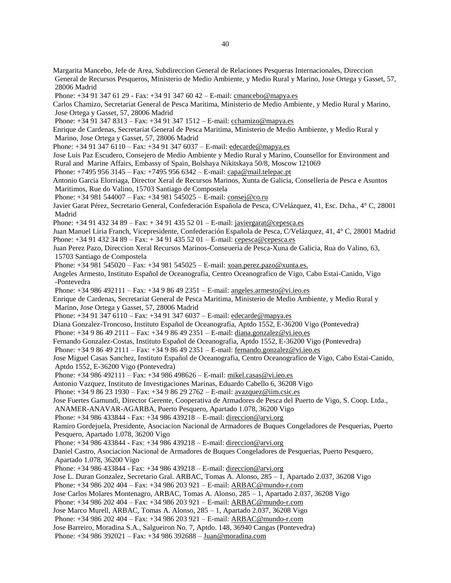Margarita Mancebo, Jefe de Area, Subdireccion General de Relaciones Pesqueras Internacionales, Direccion General de Recursos Pesqueros, Ministerio de Medio Ambiente, y Medio Rural y Marino, Jose Ortega y Gasset, 57, 28006 Madrid

Phone: +34 91 347 61 29 - Fax: +34 91 347 60 42 - E-mail: cmancebo@mapya.es

Carlos Chamizo, Secretariat General de Pesca Maritima, Ministerio de Medio Ambiente, y Medio Rural y Marino, Jose Ortega y Gasset, 57, 28006 Madrid

Phone: +34 91 347 8313 – Fax: +34 91 347 1512 – E-mail: [cchamizo@mapya.es](mailto:cchamizo@mapya.es)

Enrique de Cardenas, Secretariat General de Pesca Maritima, Ministerio de Medio Ambiente, y Medio Rural y Marino, Jose Ortega y Gasset, 57, 28006 Madrid

Phone: +34 91 347 6110 – Fax: +34 91 347 6037 – E-mail: [edecarde@mapya.es](mailto:edecarde@mapya.es)

Jose Luis Paz Escudero, Consejero de Medio Ambiente y Medio Rural y Marino, Counsellor for Environment and Rural and Marine Affairs, Embassy of Spain, Bolshaya Nikitskaya 50/8, Moscow 121069

Phone: +7495 956 3145 – Fax: +7495 956 6342 – E-mail: [capa@mail.telepac.pt](mailto:capa@mail.telepac.pt)

Antonio Garcia Elorriaga, Director Xeral de Recursos Marinos, Xunta de Galicia, Conselleria de Pesca e Asuntos Maritimos, Rue do Valino, 15703 Santiago de Compostela

Phone: +34 981 544007 – Fax: +34 981 545025 – E-mail: [consej@co.ru](mailto:consej@co.ru)

Javier Garat Pérez, Secretario General, Confederación Española de Pesca, C/Velázquez, 41, Esc. Dcha., 4° C, 28001 Madrid

Phone: +34 91 432 34 89 – Fax: + 34 91 435 52 01 – E-mail: [javiergarat@cepesca.es](mailto:javiergarat@cepesca.es)

Juan Manuel Liria Franch, Vicepresidente, Confederación Española de Pesca, C/Velázquez, 41, 4° C, 28001 Madrid Phone: +34 91 432 34 89 – Fax: + 34 91 435 52 01 – E-mail: [cepesca@cepesca.es](mailto:cepesca@cepesca.es)

Juan Perez Pazo, Direccion Xeral Recursos Marinos-Conseueria de Pesca-Xuna de Galicia, Rua do Valino, 63, 15703 Santiago de Compostela

Phone: +34 981 545020 – Fax: +34 981 545025 – E-mail: [xoan.perez.pazo@xunta.es.](mailto:xoan.perez.pazo@xunta.es.)

Angeles Armesto, Instituto Español de Oceanografia, Centro Oceanografico de Vigo, Cabo Estai-Canido, Vigo -Pontevedra

Phone: +34 986 492111 – Fax: +34 9 86 49 2351 – E-mail: [angeles.armesto@vi.ieo.es](mailto:angeles.armesto@vi.ieo.es)

Enrique de Cardenas, Secretariat General de Pesca Maritima, Ministerio de Medio Ambiente, y Medio Rural y Marino, Jose Ortega y Gasset, 57, 28006 Madrid

Phone: +34 91 347 6110 – Fax: +34 91 347 6037 – E-mail: [edecarde@mapya.es](mailto:edecarde@mapya.es)

Diana Gonzalez-Troncoso, Instituto Español de Oceanografia, Aptdo 1552, E-36200 Vigo (Pontevedra)

Phone: +34 9 86 49 2111 – Fax: +34 9 86 49 2351 – E-mail: [diana.gonzalez@vi.ieo.es](mailto:diana.gonzalez@vi.ieo.es)

Fernando Gonzalez-Costas, Instituto Español de Oceanografia, Aptdo 1552, E-36200 Vigo (Pontevedra)

Phone: +34 9 86 49 2111 – Fax: +34 9 86 49 2351 – E-mail: [fernando.gonzalez@vi.ieo.es](mailto:fernando.gonzalez@vi.ieo.es)

Jose Miguel Casas Sanchez, Instituto Español de Oceanografia, Centro Oceanografico de Vigo, Cabo Estai-Canido, Aptdo 1552, E-36200 Vigo (Pontevedra)

Phone: +34 986 492111 – Fax: +34 986 498626 – E-mail: [mikel.casas@vi.ieo.es](mailto:mikel.casas@vi.ieo.es)

Antonio Vazquez, Instituto de Investigaciones Marinas, Eduardo Cabello 6, 36208 Vigo

Phone: +34 9 86 23 1930 – Fax: +34 9 86 29 2762 – E-mail: [avazquez@iim.csic.es](mailto:avazquez@iim.csic.es)

Jose Fuertes Gamundi, Director Gerente, Cooperativa de Armadores de Pesca del Puerto de Vigo, S. Coop. Ltda.,

ANAMER-ANAVAR-AGARBA, Puerto Pesquero, Apartado 1.078, 36200 Vigo

Phone: +34 986 433844 - Fax: +34 986 439218 – E-mail: [direccion@arvi.org](mailto:direccion@arvi.org)

Ramiro Gordejuela, Presidente, Asociacion Nacional de Armadores de Buques Congeladores de Pesquerias, Puerto Pesquero, Apartado 1.078, 36200 Vigo

Phone: +34 986 433844 - Fax: +34 986 439218 – E-mail: [direccion@arvi.org](mailto:direccion@arvi.org)

Daniel Castro, Asociacion Nacional de Armadores de Buques Congeladores de Pesquerias, Puerto Pesquero, Apartado 1.078, 36200 Vigo

Phone: +34 986 433844 - Fax: +34 986 439218 – E-mail: [direccion@arvi.org](mailto:direccion@arvi.org)

Jose L. Duran Gonzalez, Secretario Gral. ARBAC, Tomas A. Alonso, 285 – 1, Apartado 2.037, 36208 Vigo

Phone: +34 986 202 404 – Fax: +34 986 203 921 – E-mail: [ARBAC@mundo-r.com](mailto:ARBAC@mundo-r.com)

Jose Carlos Molares Montenagro, ARBAC, Tomas A. Alonso, 285 – 1, Apartado 2.037, 36208 Vigo

Phone: +34 986 202 404 – Fax: +34 986 203 921 – E-mail: [ARBAC@mundo-r.com](mailto:ARBAC@mundo-r.com)

Jose Marco Murell, ARBAC, Tomas A. Alonso, 285 – 1, Apartado 2.037, 36208 Vigo

Phone: +34 986 202 404 – Fax: +34 986 203 921 – E-mail: [ARBAC@mundo-r.com](mailto:ARBAC@mundo-r.com)

Jose Barreiro, Moradina S.A., Salgueiron No. 7, Aptdo. 148, 36940 Cangas (Pontevedra)

Phone: +34 986 392021 – Fax: +34 986 392688 – [Juan@moradina.com](mailto:Juan@moradina.com)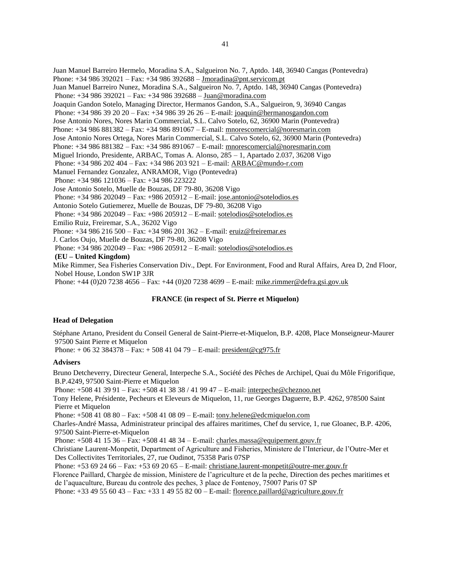Juan Manuel Barreiro Hermelo, Moradina S.A., Salgueiron No. 7, Aptdo. 148, 36940 Cangas (Pontevedra) Phone: +34 986 392021 – Fax: +34 986 392688 – [Jmoradina@pnt.servicom.pt](mailto:Jmoradina@pnt.servicom.pt) Juan Manuel Barreiro Nunez, Moradina S.A., Salgueiron No. 7, Aptdo. 148, 36940 Cangas (Pontevedra) Phone: +34 986 392021 – Fax: +34 986 392688 – [Juan@moradina.com](mailto:Juan@moradina.com) Joaquin Gandon Sotelo, Managing Director, Hermanos Gandon, S.A., Salgueiron, 9, 36940 Cangas Phone: +34 986 39 20 20 – Fax: +34 986 39 26 26 – E-mail: [joaquin@hermanosgandon.com](mailto:joaquin@hermanosgandon.com) Jose Antonio Nores, Nores Marin Commercial, S.L. Calvo Sotelo, 62, 36900 Marin (Pontevedra) Phone: +34 986 881382 – Fax: +34 986 891067 – E-mail: [mnorescomercial@noresmarin.com](mailto:mnorescomercial@noresmarin.com) Jose Antonio Nores Ortega, Nores Marin Commercial, S.L. Calvo Sotelo, 62, 36900 Marin (Pontevedra) Phone: +34 986 881382 – Fax: +34 986 891067 – E-mail: [mnorescomercial@noresmarin.com](mailto:mnorescomercial@noresmarin.com) Miguel Iriondo, Presidente, ARBAC, Tomas A. Alonso, 285 – 1, Apartado 2.037, 36208 Vigo Phone: +34 986 202 404 – Fax: +34 986 203 921 – E-mail: [ARBAC@mundo-r.com](mailto:ARBAC@mundo-r.com) Manuel Fernandez Gonzalez, ANRAMOR, Vigo (Pontevedra) Phone: +34 986 121036 – Fax: +34 986 223222 Jose Antonio Sotelo, Muelle de Bouzas, DF 79-80, 36208 Vigo Phone: +34 986 202049 – Fax: +986 205912 – E-mail: [jose.antonio@sotelodios.es](mailto:jose.antonio@sotelodios.es) Antonio Sotelo Gutiemerez, Muelle de Bouzas, DF 79-80, 36208 Vigo Phone: +34 986 202049 – Fax: +986 205912 – E-mail: [sotelodios@sotelodios.es](mailto:sotelodios@sotelodios.es) Emilio Ruiz, Freiremar, S.A., 36202 Vigo Phone: +34 986 216 500 – Fax: +34 986 201 362 – E-mail: [eruiz@freiremar.es](mailto:eruiz@freiremar.es) J. Carlos Oujo, Muelle de Bouzas, DF 79-80, 36208 Vigo Phone: +34 986 202049 – Fax: +986 205912 – E-mail: [sotelodios@sotelodios.es](mailto:sotelodios@sotelodios.es)  **(EU – United Kingdom)**  Mike Rimmer, Sea Fisheries Conservation Div., Dept. For Environment, Food and Rural Affairs, Area D, 2nd Floor, Nobel House, London SW1P 3JR Phone: +44 (0)20 7238 4656 – Fax: +44 (0)20 7238 4699 – E-mail: [mike.rimmer@defra.gsi.gov.uk](mailto:mike.rimmer@defra.gsi.gov.uk)

#### **FRANCE (in respect of St. Pierre et Miquelon)**

#### **Head of Delegation**

Stéphane Artano, President du Conseil General de Saint-Pierre-et-Miquelon, B.P. 4208, Place Monseigneur-Maurer 97500 Saint Pierre et Miquelon

Phone:  $+0632384378 - Fax: +508410479 - E-mail: president@cg975.fr$  $+0632384378 - Fax: +508410479 - E-mail: president@cg975.fr$ 

#### **Advisers**

Bruno Detcheverry, Directeur General, Interpeche S.A., Société des Pêches de Archipel, Quai du Môle Frigorifique, B.P.4249, 97500 Saint-Pierre et Miquelon

Phone: +508 41 39 91 – Fax: +508 41 38 38 / 41 99 47 – E-mail[: interpeche@cheznoo.net](mailto:interpeche@cheznoo.net)

Tony Helene, Présidente, Pecheurs et Eleveurs de Miquelon, 11, rue Georges Daguerre, B.P. 4262, 978500 Saint Pierre et Miquelon

Phone: +508 41 08 80 – Fax: +508 41 08 09 – E-mail: [tony.helene@edcmiquelon.com](mailto:tony.helene@edcmiquelon.com)

Charles-André Massa, Administrateur principal des affaires maritimes, Chef du service, 1, rue Gloanec, B.P. 4206, 97500 Saint-Pierre-et-Miquelon

Phone: +508 41 15 36 – Fax: +508 41 48 34 – E-mail: [charles.massa@equipement.gouv.fr](mailto:charles.massa@equipement.gouv.fr)

Christiane Laurent-Monpetit, Department of Agriculture and Fisheries, Ministere de l'Interieur, de l'Outre-Mer et Des Collectivites Territoriales, 27, rue Oudinot, 75358 Paris 07SP

Phone: +53 69 24 66 – Fax: +53 69 20 65 – E-mail: [christiane.laurent-monpetit@outre-mer.gouv.fr](mailto:christiane.laurent-monpetit@outre-mer.gouv.fr)

Florence Paillard, Chargée de mission, Ministere de l'agriculture et de la peche, Direction des peches maritimes et de l'aquaculture, Bureau du controle des peches, 3 place de Fontenoy, 75007 Paris 07 SP

Phone: +33 49 55 60 43 – Fax: +33 1 49 55 82 00 – E-mail: [florence.paillard@agriculture.gouv.fr](mailto:florence.paillard@agriculture.gouv.fr)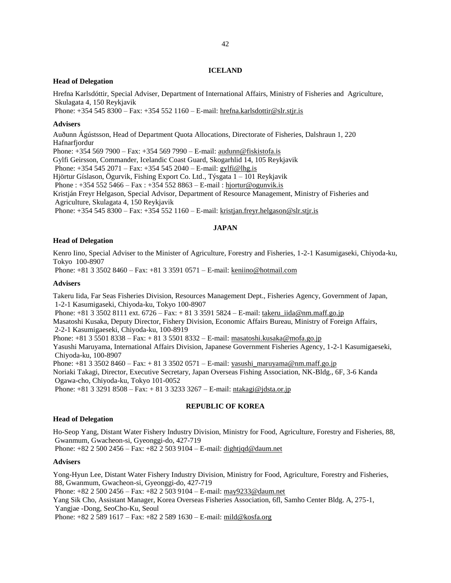#### **ICELAND**

#### **Head of Delegation**

Hrefna Karlsdóttir, Special Adviser, Department of International Affairs, Ministry of Fisheries and Agriculture, Skulagata 4, 150 Reykjavik

Phone: +354 545 8300 – Fax: +354 552 1160 – E-mail: [hrefna.karlsdottir@slr.stjr.is](mailto:hrefna.karlsdottir@slr.stjr.is)

#### **Advisers**

Auðunn Ágústsson, Head of Department Quota Allocations, Directorate of Fisheries, Dalshraun 1, 220 Hafnarfjordur

Phone: +354 569 7900 – Fax: +354 569 7990 – E-mail: [audunn@fiskistofa.is](mailto:audunn@fiskistofa.is)

Gylfi Geirsson, Commander, Icelandic Coast Guard, Skogarhlid 14, 105 Reykjavik

Phone: +354 545 2071 – Fax: +354 545 2040 – E-mail: gylfi@lhg.is

Hjörtur Gíslason, Ögurvik, Fishing Export Co. Ltd., Týsgata 1 – 101 Reykjavik

Phone :  $+3545525466 - Fax : +3545528863 - E-mail : hjortur@ogunvik.is$ 

Kristján Freyr Helgason, Special Advisor, Department of Resource Management, Ministry of Fisheries and Agriculture, Skulagata 4, 150 Reykjavik

Phone: +354 545 8300 – Fax: +354 552 1160 – E-mail: [kristjan.freyr.helgason@slr.stjr.is](mailto:kristjan.freyr.helgason@slr.stjr.is)

### **JAPAN**

#### **Head of Delegation**

Kenro Iino, Special Adviser to the Minister of Agriculture, Forestry and Fisheries, 1-2-1 Kasumigaseki, Chiyoda-ku, Tokyo 100-8907

Phone: +81 3 3502 8460 – Fax: +81 3 3591 0571 – E-mail: [keniino@hotmail.com](mailto:keniino@hotmail.com)

#### **Advisers**

Takeru Iida, Far Seas Fisheries Division, Resources Management Dept., Fisheries Agency, Government of Japan, 1-2-1 Kasumigaseki, Chiyoda-ku, Tokyo 100-8907

 Phone: +81 3 3502 8111 ext. 6726 – Fax: + 81 3 3591 5824 – E-mail: [takeru\\_iida@nm.maff.go.jp](mailto:takeru_iida@nm.maff.go.jp) Masatoshi Kusaka, Deputy Director, Fishery Division, Economic Affairs Bureau, Ministry of Foreign Affairs, 2-2-1 Kasumigaeseki, Chiyoda-ku, 100-8919

Phone: +81 3 5501 8338 – Fax: + 81 3 5501 8332 – E-mail: [masatoshi.kusaka@mofa.go.jp](mailto:masatoshi.kusaka@mofa.go.jp)

Yasushi Maruyama, International Affairs Division, Japanese Government Fisheries Agency, 1-2-1 Kasumigaeseki, Chiyoda-ku, 100-8907

Phone:  $+81335028460 - Fax: +81335020571 - E-mail: yasushi-maruyama@nm.maff.go.jp$ 

Noriaki Takagi, Director, Executive Secretary, Japan Overseas Fishing Association, NK-Bldg., 6F, 3-6 Kanda Ogawa-cho, Chiyoda-ku, Tokyo 101-0052

Phone: +81 3 3291 8508 – Fax: + 81 3 3233 3267 – E-mail: [ntakagi@jdsta.or.jp](mailto:ntakagi@jdsta.or.jp)

### **REPUBLIC OF KOREA**

### **Head of Delegation**

Ho-Seop Yang, Distant Water Fishery Industry Division, Ministry for Food, Agriculture, Forestry and Fisheries, 88, Gwanmum, Gwacheon-si, Gyeonggi-do, 427-719

Phone: +82 2 500 2456 – Fax: +82 2 503 9104 – E-mail: [dightjqd@daum.net](mailto:dightjqd@daum.net)

#### **Advisers**

Yong-Hyun Lee, Distant Water Fishery Industry Division, Ministry for Food, Agriculture, Forestry and Fisheries, 88, Gwanmum, Gwacheon-si, Gyeonggi-do, 427-719

Phone: +82 2 500 2456 – Fax: +82 2 503 9104 – E-mail: [may9233@daum.net](mailto:may9233@daum.net)

Yang Sik Cho, Assistant Manager, Korea Overseas Fisheries Association, 6fl, Samho Center Bldg. A, 275-1, Yangjae -Dong, SeoCho-Ku, Seoul

Phone: +82 2 589 1617 – Fax: +82 2 589 1630 – E-mail: [mild@kosfa.org](mailto:mild@kosfa.org)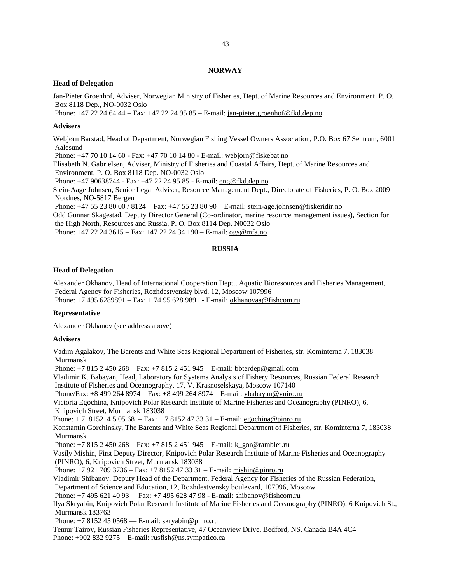### **NORWAY**

### **Head of Delegation**

Jan-Pieter Groenhof, Adviser, Norwegian Ministry of Fisheries, Dept. of Marine Resources and Environment, P. O. Box 8118 Dep., NO-0032 Oslo

Phone: +47 22 24 64 44 – Fax: +47 22 24 95 85 – E-mail: [jan-pieter.groenhof@fkd.dep.no](mailto:jan-pieter.groenhof@fkd.dep.no)

#### **Advisers**

Webjørn Barstad, Head of Department, Norwegian Fishing Vessel Owners Association, P.O. Box 67 Sentrum, 6001 Aalesund

Phone: +47 70 10 14 60 - Fax: +47 70 10 14 80 - E-mail: [webjorn@fiskebat.no](mailto:webjorn@fiskebat.no)

Elisabeth N. Gabrielsen, Adviser, Ministry of Fisheries and Coastal Affairs, Dept. of Marine Resources and Environment, P. O. Box 8118 Dep. NO-0032 Oslo

Phone: +47 90638744 - Fax: +47 22 24 95 85 - E-mail: [eng@fkd.dep.no](mailto:eng@fkd.dep.no)

Stein-Aage Johnsen, Senior Legal Adviser, Resource Management Dept., Directorate of Fisheries, P. O. Box 2009 Nordnes, NO-5817 Bergen

Phone: +47 55 23 80 00 / 8124 – Fax: +47 55 23 80 90 – E-mail[: stein-age.johnsen@fiskeridir.no](mailto:stein-age.johnsen@fiskeridir.no)

Odd Gunnar Skagestad, Deputy Director General (Co-ordinator, marine resource management issues), Section for the High North, Resources and Russia, P. O. Box 8114 Dep. N0032 Oslo

Phone: +47 22 24 3615 – Fax: +47 22 24 34 190 – E-mail: [ogs@mfa.no](mailto:ogs@mfa.no)

### **RUSSIA**

#### **Head of Delegation**

Alexander Okhanov, Head of International Cooperation Dept., Aquatic Bioresources and Fisheries Management, Federal Agency for Fisheries, Rozhdestvensky blvd. 12, Moscow 107996 Phone: +7 495 6289891 – Fax: + 74 95 628 9891 - E-mail: [okhanovaa@fishcom.ru](mailto:okhanovaa@fishcom.ru)

### **Representative**

Alexander Okhanov (see address above)

### **Advisers**

Vadim Agalakov, The Barents and White Seas Regional Department of Fisheries, str. Kominterna 7, 183038 Murmansk Phone: +7 815 2 450 268 – Fax: +7 815 2 451 945 – E-mail: [bbterdep@gmail.com](mailto:bbterdep@gmail.com) Vladimir K. Babayan, Head, Laboratory for Systems Analysis of Fishery Resources, Russian Federal Research Institute of Fisheries and Oceanography, 17, V. Krasnoselskaya, Moscow 107140 Phone/Fax: +8 499 264 8974 – Fax: +8 499 264 8974 – E-mail: [vbabayan@vniro.ru](mailto:vbabayan@vniro.ru) Victoria Egochina, Knipovich Polar Research Institute of Marine Fisheries and Oceanography (PINRO), 6, Knipovich Street, Murmansk 183038 Phone: + 7 8152 4 5 05 68 – Fax: + 7 8152 47 33 31 – E-mail: [egochina@pinro.ru](mailto:egochina@pinro.ru) Konstantin Gorchinsky, The Barents and White Seas Regional Department of Fisheries, str. Kominterna 7, 183038 Murmansk Phone: +7 815 2 450 268 – Fax: +7 815 2 451 945 – E-mail: [k\\_gor@rambler.ru](mailto:k_gor@rambler.ru) Vasily Mishin, First Deputy Director, Knipovich Polar Research Institute of Marine Fisheries and Oceanography (PINRO), 6, Knipovich Street, Murmansk 183038 Phone: +7 921 709 3736 – Fax: +7 8152 47 33 31 – E-mail: [mishin@pinro.ru](mailto:mishin@pinro.ru) Vladimir Shibanov, Deputy Head of the Department, Federal Agency for Fisheries of the Russian Federation, Department of Science and Education, 12, Rozhdestvensky boulevard, 107996, Moscow Phone: +7 495 621 40 93 – Fax: +7 495 628 47 98 - E-mail[: shibanov@fishcom.ru](mailto:shibanov@fishcom.ru) Ilya Skryabin, Knipovich Polar Research Institute of Marine Fisheries and Oceanography (PINRO), 6 Knipovich St., Murmansk 183763 Phone:  $+78152450568$  — E-mail: [skryabin@pinro.ru](mailto:skryabin@pinro.ru) Temur Tairov, Russian Fisheries Representative, 47 Oceanview Drive, Bedford, NS, Canada B4A 4C4 Phone:  $+9028329275 - E$ -mail: [rusfish@ns.sympatico.ca](mailto:rusfish@ns.sympatico.ca)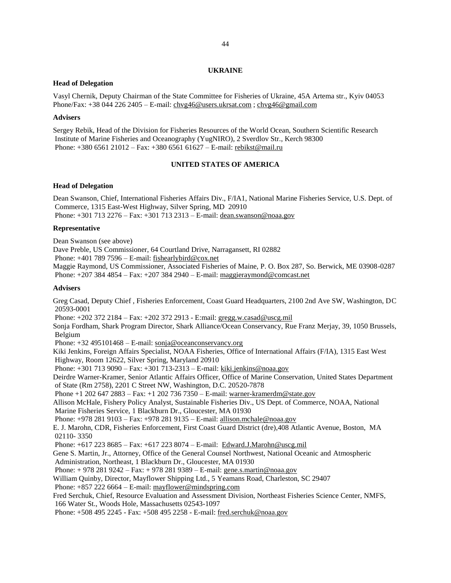#### **UKRAINE**

#### **Head of Delegation**

Vasyl Chernik, Deputy Chairman of the State Committee for Fisheries of Ukraine, 45A Artema str., Kyiv 04053 Phone/Fax: +38 044 226 2405 – E-mail[: chvg46@users.ukrsat.com](mailto:chvg46@users.ukrsat.com) ; [chvg46@gmail.com](mailto:chvg46@gmail.com)

#### **Advisers**

Sergey Rebik, Head of the Division for Fisheries Resources of the World Ocean, Southern Scientific Research Institute of Marine Fisheries and Oceanography (YugNIRO), 2 Sverdlov Str., Kerch 98300 Phone: +380 6561 21012 – Fax: +380 6561 61627 – E-mail: [rebikst@mail.ru](mailto:rebikst@mail.ru)

### **UNITED STATES OF AMERICA**

#### **Head of Delegation**

Dean Swanson, Chief, International Fisheries Affairs Div., F/IA1, National Marine Fisheries Service, U.S. Dept. of Commerce, 1315 East-West Highway, Silver Spring, MD 20910 Phone: +301 713 2276 – Fax: +301 713 2313 – E-mail: [dean.swanson@noaa.gov](mailto:dean.swanson@noaa.gov)

#### **Representative**

Dean Swanson (see above)

Dave Preble, US Commissioner, 64 Courtland Drive, Narragansett, RI 02882

Phone: +401 789 7596 – E-mail: [fishearlybird@cox.net](mailto:fishearlybird@cox.net)

Maggie Raymond, US Commissioner, Associated Fisheries of Maine, P. O. Box 287, So. Berwick, ME 03908-0287 Phone: +207 384 4854 – Fax: +207 384 2940 – E-mail: [maggieraymond@comcast.net](mailto:maggieraymond@comcast.net)

### **Advisers**

Greg Casad, Deputy Chief , Fisheries Enforcement, Coast Guard Headquarters, 2100 2nd Ave SW, Washington, DC 20593-0001

Phone: +202 372 2184 – Fax: +202 372 2913 - E:mail[: gregg.w.casad@uscg.mil](mailto:gregg.w.casad@uscg.mil)

Sonja Fordham, Shark Program Director, Shark Alliance/Ocean Conservancy, Rue Franz Merjay, 39, 1050 Brussels, Belgium

Phone: +32 495101468 – E-mail: sonja@oceanconservancy.org

Kiki Jenkins, Foreign Affairs Specialist, NOAA Fisheries, Office of International Affairs (F/IA), 1315 East West Highway, Room 12622, Silver Spring, Maryland 20910

Phone: +301 713 9090 – Fax: +301 713-2313 – E-mail[: kiki.jenkins@noaa.gov](mailto:kiki.jenkins@noaa.gov)

Deirdre Warner-Kramer, Senior Atlantic Affairs Officer, Office of Marine Conservation, United States Department of State (Rm 2758), 2201 C Street NW, Washington, D.C. 20520-7878

Phone +1 202 647 2883 – Fax: +1 202 736 7350 – E-mail: [warner-kramerdm@state.gov](mailto:warner-kramerdm@state.gov)

Allison McHale, Fishery Policy Analyst, Sustainable Fisheries Div., US Dept. of Commerce, NOAA, National Marine Fisheries Service, 1 Blackburn Dr., Gloucester, MA 01930

Phone: +978 281 9103 – Fax: +978 281 9135 – E-mail: [allison.mchale@noaa.gov](mailto:allison.mchale@noaa.gov)

E. J. Marohn, CDR, Fisheries Enforcement, First Coast Guard District (dre),408 Atlantic Avenue, Boston, MA 02110- 3350

Phone: +617 223 8685 – Fax: +617 223 8074 – E-mail: [Edward.J.Marohn@uscg.mil](mailto:Edward.J.Marohn@uscg.mil)

Gene S. Martin, Jr., Attorney, Office of the General Counsel Northwest, National Oceanic and Atmospheric Administration, Northeast, 1 Blackburn Dr., Gloucester, MA 01930

Phone: + 978 281 9242 – Fax: + 978 281 9389 – E-mail: [gene.s.martin@noaa.gov](mailto:gene.s.martin@noaa.gov)

William Quinby, Director, Mayflower Shipping Ltd., 5 Yeamans Road, Charleston, SC 29407

Phone: +857 222 6664 – E-mail: [mayflower@mindspring.com](mailto:mayflower@mindspring.com)

Fred Serchuk, Chief, Resource Evaluation and Assessment Division, Northeast Fisheries Science Center, NMFS, 166 Water St., Woods Hole, Massachusetts 02543-1097

Phone: +508 495 2245 - Fax: +508 495 2258 - E-mail: [fred.serchuk@noaa.gov](mailto:fred.serchuk@noaa.gov)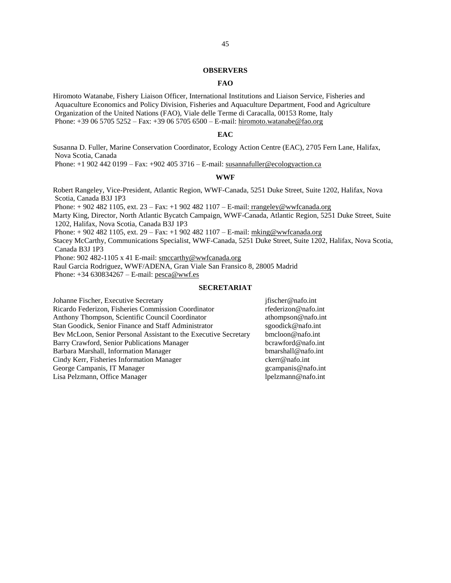#### **OBSERVERS**

### **FAO**

Hiromoto Watanabe, Fishery Liaison Officer, International Institutions and Liaison Service, Fisheries and Aquaculture Economics and Policy Division, Fisheries and Aquaculture Department, Food and Agriculture Organization of the United Nations (FAO), Viale delle Terme di Caracalla, 00153 Rome, Italy Phone: +39 06 5705 5252 – Fax: +39 06 5705 6500 – E-mail: [hiromoto.watanabe@fao.org](mailto:hiromoto.watanabe@fao.org)

#### **EAC**

Susanna D. Fuller, Marine Conservation Coordinator, Ecology Action Centre (EAC), 2705 Fern Lane, Halifax, Nova Scotia, Canada

Phone: +1 902 442 0199 – Fax: +902 405 3716 – E-mail: [susannafuller@ecologyaction.ca](mailto:susannafuller@ecologyaction.ca)

#### **WWF**

Robert Rangeley, Vice-President, Atlantic Region, WWF-Canada, 5251 Duke Street, Suite 1202, Halifax, Nova Scotia, Canada B3J 1P3 Phone:  $+9024821105$ , ext.  $23 - Fax: +19024821107 - E-mail: rrangleley@wwfcanada.org$ Marty King, Director, North Atlantic Bycatch Campaign, WWF-Canada, Atlantic Region, 5251 Duke Street, Suite 1202, Halifax, Nova Scotia, Canada B3J 1P3 Phone: + 902 482 1105, ext. 29 – Fax: +1 902 482 1107 – E-mail: [mking@wwfcanada.org](mailto:mking@wwfcanada.org) Stacey McCarthy, Communications Specialist, WWF-Canada, 5251 Duke Street, Suite 1202, Halifax, Nova Scotia, Canada B3J 1P3 Phone: 902 482-1105 x 41 E-mail: smccarthy@wwfcanada.org Raul Garcia Rodriguez, WWF/ADENA, Gran Viale San Fransico 8, 28005 Madrid Phone: +34 630834267 – E-mail: pesca@wwf.es **SECRETARIAT** 

Johanne Fischer, Executive Secretary jfischer@nafo.int Ricardo Federizon, Fisheries Commission Coordinator rfederizon@nafo.int Anthony Thompson, Scientific Council Coordinator athompson@nafo.int Stan Goodick, Senior Finance and Staff Administrator sgoodick@nafo.int Bev McLoon, Senior Personal Assistant to the Executive Secretary bmcloon@nafo.int Barry Crawford, Senior Publications Manager bcrawford@nafo.int Barbara Marshall, Information Manager bmarshall@nafo.int Cindy Kerr, Fisheries Information Manager ckerr@nafo.int George Campanis, IT Manager gcampanis@nafo.int Lisa Pelzmann, Office Manager lpelzmann@nafo.int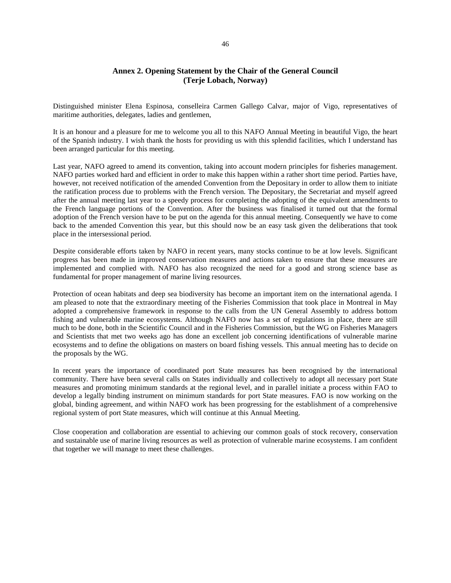## **Annex 2. Opening Statement by the Chair of the General Council (Terje Lobach, Norway)**

Distinguished minister Elena Espinosa, conselleira Carmen Gallego Calvar, major of Vigo, representatives of maritime authorities, delegates, ladies and gentlemen,

It is an honour and a pleasure for me to welcome you all to this NAFO Annual Meeting in beautiful Vigo, the heart of the Spanish industry. I wish thank the hosts for providing us with this splendid facilities, which I understand has been arranged particular for this meeting.

Last year, NAFO agreed to amend its convention, taking into account modern principles for fisheries management. NAFO parties worked hard and efficient in order to make this happen within a rather short time period. Parties have, however, not received notification of the amended Convention from the Depositary in order to allow them to initiate the ratification process due to problems with the French version. The Depositary, the Secretariat and myself agreed after the annual meeting last year to a speedy process for completing the adopting of the equivalent amendments to the French language portions of the Convention. After the business was finalised it turned out that the formal adoption of the French version have to be put on the agenda for this annual meeting. Consequently we have to come back to the amended Convention this year, but this should now be an easy task given the deliberations that took place in the intersessional period.

Despite considerable efforts taken by NAFO in recent years, many stocks continue to be at low levels. Significant progress has been made in improved conservation measures and actions taken to ensure that these measures are implemented and complied with. NAFO has also recognized the need for a good and strong science base as fundamental for proper management of marine living resources.

Protection of ocean habitats and deep sea biodiversity has become an important item on the international agenda. I am pleased to note that the extraordinary meeting of the Fisheries Commission that took place in Montreal in May adopted a comprehensive framework in response to the calls from the UN General Assembly to address bottom fishing and vulnerable marine ecosystems. Although NAFO now has a set of regulations in place, there are still much to be done, both in the Scientific Council and in the Fisheries Commission, but the WG on Fisheries Managers and Scientists that met two weeks ago has done an excellent job concerning identifications of vulnerable marine ecosystems and to define the obligations on masters on board fishing vessels. This annual meeting has to decide on the proposals by the WG.

In recent years the importance of coordinated port State measures has been recognised by the international community. There have been several calls on States individually and collectively to adopt all necessary port State measures and promoting minimum standards at the regional level, and in parallel initiate a process within FAO to develop a legally binding instrument on minimum standards for port State measures. FAO is now working on the global, binding agreement, and within NAFO work has been progressing for the establishment of a comprehensive regional system of port State measures, which will continue at this Annual Meeting.

Close cooperation and collaboration are essential to achieving our common goals of stock recovery, conservation and sustainable use of marine living resources as well as protection of vulnerable marine ecosystems. I am confident that together we will manage to meet these challenges.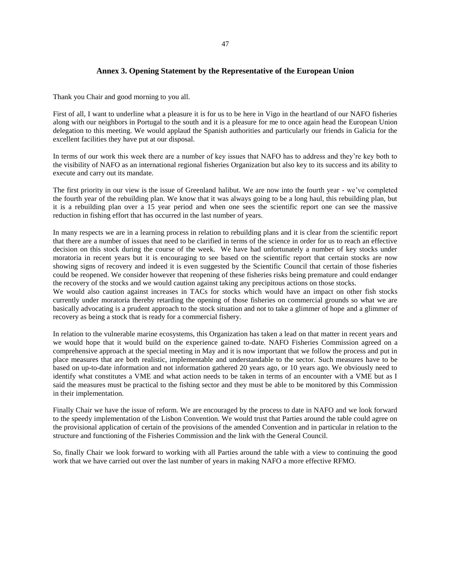### 47

### **Annex 3. Opening Statement by the Representative of the European Union**

Thank you Chair and good morning to you all.

First of all, I want to underline what a pleasure it is for us to be here in Vigo in the heartland of our NAFO fisheries along with our neighbors in Portugal to the south and it is a pleasure for me to once again head the European Union delegation to this meeting. We would applaud the Spanish authorities and particularly our friends in Galicia for the excellent facilities they have put at our disposal.

In terms of our work this week there are a number of key issues that NAFO has to address and they're key both to the visibility of NAFO as an international regional fisheries Organization but also key to its success and its ability to execute and carry out its mandate.

The first priority in our view is the issue of Greenland halibut. We are now into the fourth year - we've completed the fourth year of the rebuilding plan. We know that it was always going to be a long haul, this rebuilding plan, but it is a rebuilding plan over a 15 year period and when one sees the scientific report one can see the massive reduction in fishing effort that has occurred in the last number of years.

In many respects we are in a learning process in relation to rebuilding plans and it is clear from the scientific report that there are a number of issues that need to be clarified in terms of the science in order for us to reach an effective decision on this stock during the course of the week. We have had unfortunately a number of key stocks under moratoria in recent years but it is encouraging to see based on the scientific report that certain stocks are now showing signs of recovery and indeed it is even suggested by the Scientific Council that certain of those fisheries could be reopened. We consider however that reopening of these fisheries risks being premature and could endanger the recovery of the stocks and we would caution against taking any precipitous actions on those stocks.

We would also caution against increases in TACs for stocks which would have an impact on other fish stocks currently under moratoria thereby retarding the opening of those fisheries on commercial grounds so what we are basically advocating is a prudent approach to the stock situation and not to take a glimmer of hope and a glimmer of recovery as being a stock that is ready for a commercial fishery.

In relation to the vulnerable marine ecosystems, this Organization has taken a lead on that matter in recent years and we would hope that it would build on the experience gained to-date. NAFO Fisheries Commission agreed on a comprehensive approach at the special meeting in May and it is now important that we follow the process and put in place measures that are both realistic, implementable and understandable to the sector. Such measures have to be based on up-to-date information and not information gathered 20 years ago, or 10 years ago. We obviously need to identify what constitutes a VME and what action needs to be taken in terms of an encounter with a VME but as I said the measures must be practical to the fishing sector and they must be able to be monitored by this Commission in their implementation.

Finally Chair we have the issue of reform. We are encouraged by the process to date in NAFO and we look forward to the speedy implementation of the Lisbon Convention. We would trust that Parties around the table could agree on the provisional application of certain of the provisions of the amended Convention and in particular in relation to the structure and functioning of the Fisheries Commission and the link with the General Council.

So, finally Chair we look forward to working with all Parties around the table with a view to continuing the good work that we have carried out over the last number of years in making NAFO a more effective RFMO.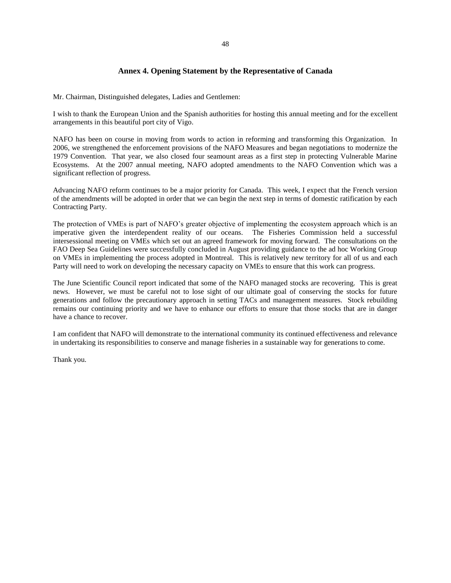## **Annex 4. Opening Statement by the Representative of Canada**

Mr. Chairman, Distinguished delegates, Ladies and Gentlemen:

I wish to thank the European Union and the Spanish authorities for hosting this annual meeting and for the excellent arrangements in this beautiful port city of Vigo.

NAFO has been on course in moving from words to action in reforming and transforming this Organization. In 2006, we strengthened the enforcement provisions of the NAFO Measures and began negotiations to modernize the 1979 Convention. That year, we also closed four seamount areas as a first step in protecting Vulnerable Marine Ecosystems. At the 2007 annual meeting, NAFO adopted amendments to the NAFO Convention which was a significant reflection of progress.

Advancing NAFO reform continues to be a major priority for Canada. This week, I expect that the French version of the amendments will be adopted in order that we can begin the next step in terms of domestic ratification by each Contracting Party.

The protection of VMEs is part of NAFO's greater objective of implementing the ecosystem approach which is an imperative given the interdependent reality of our oceans. The Fisheries Commission held a successful intersessional meeting on VMEs which set out an agreed framework for moving forward. The consultations on the FAO Deep Sea Guidelines were successfully concluded in August providing guidance to the ad hoc Working Group on VMEs in implementing the process adopted in Montreal. This is relatively new territory for all of us and each Party will need to work on developing the necessary capacity on VMEs to ensure that this work can progress.

The June Scientific Council report indicated that some of the NAFO managed stocks are recovering. This is great news. However, we must be careful not to lose sight of our ultimate goal of conserving the stocks for future generations and follow the precautionary approach in setting TACs and management measures. Stock rebuilding remains our continuing priority and we have to enhance our efforts to ensure that those stocks that are in danger have a chance to recover.

I am confident that NAFO will demonstrate to the international community its continued effectiveness and relevance in undertaking its responsibilities to conserve and manage fisheries in a sustainable way for generations to come.

Thank you.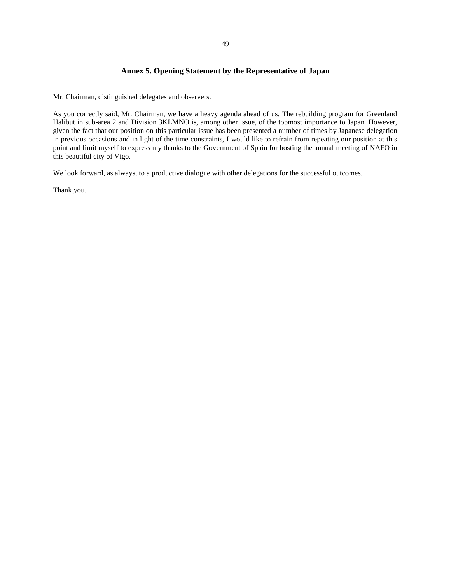## **Annex 5. Opening Statement by the Representative of Japan**

Mr. Chairman, distinguished delegates and observers.

As you correctly said, Mr. Chairman, we have a heavy agenda ahead of us. The rebuilding program for Greenland Halibut in sub-area 2 and Division 3KLMNO is, among other issue, of the topmost importance to Japan. However, given the fact that our position on this particular issue has been presented a number of times by Japanese delegation in previous occasions and in light of the time constraints, I would like to refrain from repeating our position at this point and limit myself to express my thanks to the Government of Spain for hosting the annual meeting of NAFO in this beautiful city of Vigo.

We look forward, as always, to a productive dialogue with other delegations for the successful outcomes.

Thank you.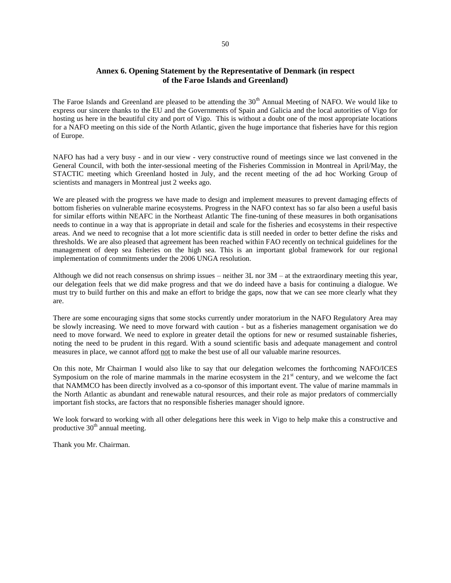## **Annex 6. Opening Statement by the Representative of Denmark (in respect of the Faroe Islands and Greenland)**

The Faroe Islands and Greenland are pleased to be attending the 30<sup>th</sup> Annual Meeting of NAFO. We would like to express our sincere thanks to the EU and the Governments of Spain and Galicia and the local autorities of Vigo for hosting us here in the beautiful city and port of Vigo. This is without a doubt one of the most appropriate locations for a NAFO meeting on this side of the North Atlantic, given the huge importance that fisheries have for this region of Europe.

NAFO has had a very busy - and in our view - very constructive round of meetings since we last convened in the General Council, with both the inter-sessional meeting of the Fisheries Commission in Montreal in April/May, the STACTIC meeting which Greenland hosted in July, and the recent meeting of the ad hoc Working Group of scientists and managers in Montreal just 2 weeks ago.

We are pleased with the progress we have made to design and implement measures to prevent damaging effects of bottom fisheries on vulnerable marine ecosystems. Progress in the NAFO context has so far also been a useful basis for similar efforts within NEAFC in the Northeast Atlantic The fine-tuning of these measures in both organisations needs to continue in a way that is appropriate in detail and scale for the fisheries and ecosystems in their respective areas. And we need to recognise that a lot more scientific data is still needed in order to better define the risks and thresholds. We are also pleased that agreement has been reached within FAO recently on technical guidelines for the management of deep sea fisheries on the high sea. This is an important global framework for our regional implementation of commitments under the 2006 UNGA resolution.

Although we did not reach consensus on shrimp issues – neither 3L nor 3M – at the extraordinary meeting this year, our delegation feels that we did make progress and that we do indeed have a basis for continuing a dialogue. We must try to build further on this and make an effort to bridge the gaps, now that we can see more clearly what they are.

There are some encouraging signs that some stocks currently under moratorium in the NAFO Regulatory Area may be slowly increasing. We need to move forward with caution - but as a fisheries management organisation we do need to move forward. We need to explore in greater detail the options for new or resumed sustainable fisheries, noting the need to be prudent in this regard. With a sound scientific basis and adequate management and control measures in place, we cannot afford not to make the best use of all our valuable marine resources.

On this note, Mr Chairman I would also like to say that our delegation welcomes the forthcoming NAFO/ICES Symposium on the role of marine mammals in the marine ecosystem in the  $21<sup>st</sup>$  century, and we welcome the fact that NAMMCO has been directly involved as a co-sponsor of this important event. The value of marine mammals in the North Atlantic as abundant and renewable natural resources, and their role as major predators of commercially important fish stocks, are factors that no responsible fisheries manager should ignore.

We look forward to working with all other delegations here this week in Vigo to help make this a constructive and productive  $30<sup>th</sup>$  annual meeting.

Thank you Mr. Chairman.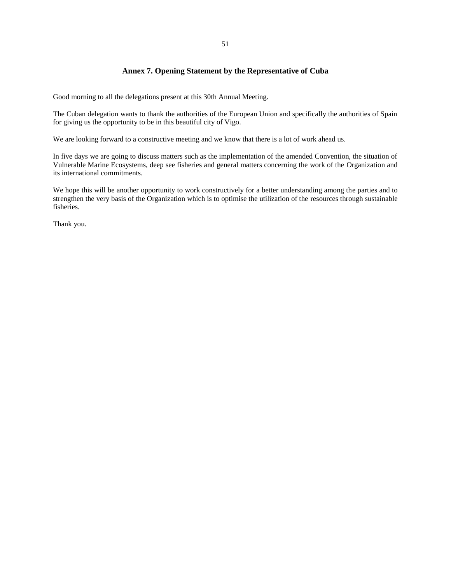## **Annex 7. Opening Statement by the Representative of Cuba**

Good morning to all the delegations present at this 30th Annual Meeting.

The Cuban delegation wants to thank the authorities of the European Union and specifically the authorities of Spain for giving us the opportunity to be in this beautiful city of Vigo.

We are looking forward to a constructive meeting and we know that there is a lot of work ahead us.

In five days we are going to discuss matters such as the implementation of the amended Convention, the situation of Vulnerable Marine Ecosystems, deep see fisheries and general matters concerning the work of the Organization and its international commitments.

We hope this will be another opportunity to work constructively for a better understanding among the parties and to strengthen the very basis of the Organization which is to optimise the utilization of the resources through sustainable fisheries.

Thank you.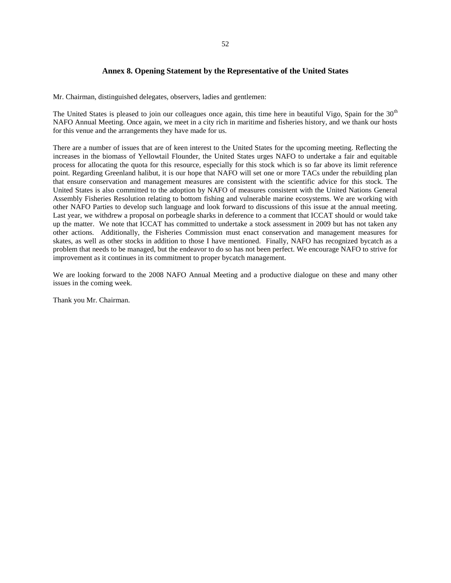### 52

## **Annex 8. Opening Statement by the Representative of the United States**

Mr. Chairman, distinguished delegates, observers, ladies and gentlemen:

The United States is pleased to join our colleagues once again, this time here in beautiful Vigo, Spain for the 30<sup>th</sup> NAFO Annual Meeting. Once again, we meet in a city rich in maritime and fisheries history, and we thank our hosts for this venue and the arrangements they have made for us.

There are a number of issues that are of keen interest to the United States for the upcoming meeting. Reflecting the increases in the biomass of Yellowtail Flounder, the United States urges NAFO to undertake a fair and equitable process for allocating the quota for this resource, especially for this stock which is so far above its limit reference point. Regarding Greenland halibut, it is our hope that NAFO will set one or more TACs under the rebuilding plan that ensure conservation and management measures are consistent with the scientific advice for this stock. The United States is also committed to the adoption by NAFO of measures consistent with the United Nations General Assembly Fisheries Resolution relating to bottom fishing and vulnerable marine ecosystems. We are working with other NAFO Parties to develop such language and look forward to discussions of this issue at the annual meeting. Last year, we withdrew a proposal on porbeagle sharks in deference to a comment that ICCAT should or would take up the matter. We note that ICCAT has committed to undertake a stock assessment in 2009 but has not taken any other actions. Additionally, the Fisheries Commission must enact conservation and management measures for skates, as well as other stocks in addition to those I have mentioned. Finally, NAFO has recognized bycatch as a problem that needs to be managed, but the endeavor to do so has not been perfect. We encourage NAFO to strive for improvement as it continues in its commitment to proper bycatch management.

We are looking forward to the 2008 NAFO Annual Meeting and a productive dialogue on these and many other issues in the coming week.

Thank you Mr. Chairman.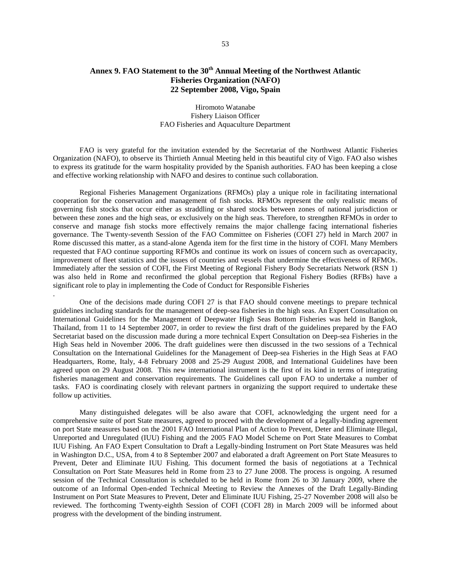## **Annex 9. FAO Statement to the 30th Annual Meeting of the Northwest Atlantic Fisheries Organization (NAFO) 22 September 2008, Vigo, Spain**

### Hiromoto Watanabe Fishery Liaison Officer FAO Fisheries and Aquaculture Department

 FAO is very grateful for the invitation extended by the Secretariat of the Northwest Atlantic Fisheries Organization (NAFO), to observe its Thirtieth Annual Meeting held in this beautiful city of Vigo. FAO also wishes to express its gratitude for the warm hospitality provided by the Spanish authorities. FAO has been keeping a close and effective working relationship with NAFO and desires to continue such collaboration.

 Regional Fisheries Management Organizations (RFMOs) play a unique role in facilitating international cooperation for the conservation and management of fish stocks. RFMOs represent the only realistic means of governing fish stocks that occur either as straddling or shared stocks between zones of national jurisdiction or between these zones and the high seas, or exclusively on the high seas. Therefore, to strengthen RFMOs in order to conserve and manage fish stocks more effectively remains the major challenge facing international fisheries governance. The Twenty-seventh Session of the FAO Committee on Fisheries (COFI 27) held in March 2007 in Rome discussed this matter, as a stand-alone Agenda item for the first time in the history of COFI. Many Members requested that FAO continue supporting RFMOs and continue its work on issues of concern such as overcapacity, improvement of fleet statistics and the issues of countries and vessels that undermine the effectiveness of RFMOs. Immediately after the session of COFI, the First Meeting of Regional Fishery Body Secretariats Network (RSN 1) was also held in Rome and reconfirmed the global perception that Regional Fishery Bodies (RFBs) have a significant role to play in implementing the Code of Conduct for Responsible Fisheries

 One of the decisions made during COFI 27 is that FAO should convene meetings to prepare technical guidelines including standards for the management of deep-sea fisheries in the high seas. An Expert Consultation on International Guidelines for the Management of Deepwater High Seas Bottom Fisheries was held in Bangkok, Thailand, from 11 to 14 September 2007, in order to review the first draft of the guidelines prepared by the FAO Secretariat based on the discussion made during a more technical Expert Consultation on Deep-sea Fisheries in the High Seas held in November 2006. The draft guidelines were then discussed in the two sessions of a Technical Consultation on the International Guidelines for the Management of Deep-sea Fisheries in the High Seas at FAO Headquarters, Rome, Italy, 4-8 February 2008 and 25-29 August 2008, and International Guidelines have been agreed upon on 29 August 2008. This new international instrument is the first of its kind in terms of integrating fisheries management and conservation requirements. The Guidelines call upon FAO to undertake a number of tasks. FAO is coordinating closely with relevant partners in organizing the support required to undertake these follow up activities.

.

 Many distinguished delegates will be also aware that COFI, acknowledging the urgent need for a comprehensive suite of port State measures, agreed to proceed with the development of a legally-binding agreement on port State measures based on the 2001 FAO International Plan of Action to Prevent, Deter and Eliminate Illegal, Unreported and Unregulated (IUU) Fishing and the 2005 FAO Model Scheme on Port State Measures to Combat IUU Fishing. An FAO Expert Consultation to Draft a Legally-binding Instrument on Port State Measures was held in Washington D.C., USA, from 4 to 8 September 2007 and elaborated a draft Agreement on Port State Measures to Prevent, Deter and Eliminate IUU Fishing. This document formed the basis of negotiations at a Technical Consultation on Port State Measures held in Rome from 23 to 27 June 2008. The process is ongoing. A resumed session of the Technical Consultation is scheduled to be held in Rome from 26 to 30 January 2009, where the outcome of an Informal Open-ended Technical Meeting to Review the Annexes of the Draft Legally-Binding Instrument on Port State Measures to Prevent, Deter and Eliminate IUU Fishing, 25-27 November 2008 will also be reviewed. The forthcoming Twenty-eighth Session of COFI (COFI 28) in March 2009 will be informed about progress with the development of the binding instrument.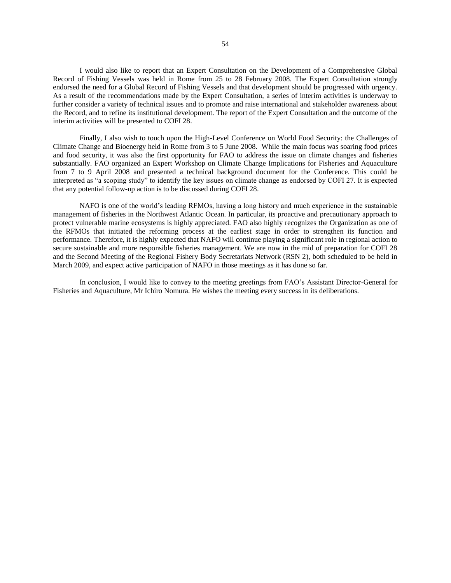I would also like to report that an Expert Consultation on the Development of a Comprehensive Global Record of Fishing Vessels was held in Rome from 25 to 28 February 2008. The Expert Consultation strongly endorsed the need for a Global Record of Fishing Vessels and that development should be progressed with urgency. As a result of the recommendations made by the Expert Consultation, a series of interim activities is underway to further consider a variety of technical issues and to promote and raise international and stakeholder awareness about the Record, and to refine its institutional development. The report of the Expert Consultation and the outcome of the interim activities will be presented to COFI 28.

 Finally, I also wish to touch upon the High-Level Conference on World Food Security: the Challenges of Climate Change and Bioenergy held in Rome from 3 to 5 June 2008. While the main focus was soaring food prices and food security, it was also the first opportunity for FAO to address the issue on climate changes and fisheries substantially. FAO organized an Expert Workshop on Climate Change Implications for Fisheries and Aquaculture from 7 to 9 April 2008 and presented a technical background document for the Conference. This could be interpreted as "a scoping study" to identify the key issues on climate change as endorsed by COFI 27. It is expected that any potential follow-up action is to be discussed during COFI 28.

 NAFO is one of the world's leading RFMOs, having a long history and much experience in the sustainable management of fisheries in the Northwest Atlantic Ocean. In particular, its proactive and precautionary approach to protect vulnerable marine ecosystems is highly appreciated. FAO also highly recognizes the Organization as one of the RFMOs that initiated the reforming process at the earliest stage in order to strengthen its function and performance. Therefore, it is highly expected that NAFO will continue playing a significant role in regional action to secure sustainable and more responsible fisheries management. We are now in the mid of preparation for COFI 28 and the Second Meeting of the Regional Fishery Body Secretariats Network (RSN 2), both scheduled to be held in March 2009, and expect active participation of NAFO in those meetings as it has done so far.

In conclusion, I would like to convey to the meeting greetings from FAO's Assistant Director-General for Fisheries and Aquaculture, Mr Ichiro Nomura. He wishes the meeting every success in its deliberations.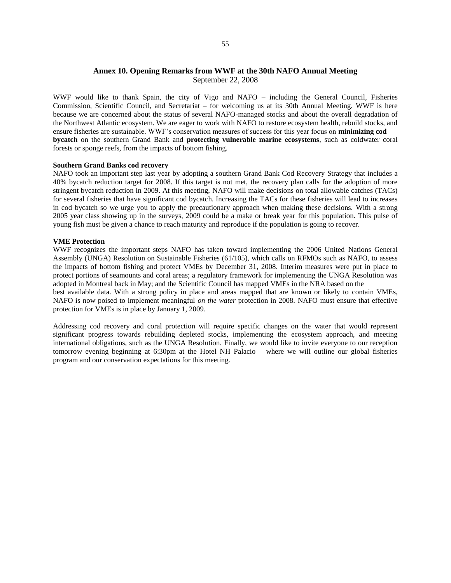## **Annex 10. Opening Remarks from WWF at the 30th NAFO Annual Meeting**  September 22, 2008

WWF would like to thank Spain, the city of Vigo and NAFO – including the General Council, Fisheries Commission, Scientific Council, and Secretariat – for welcoming us at its 30th Annual Meeting. WWF is here because we are concerned about the status of several NAFO-managed stocks and about the overall degradation of the Northwest Atlantic ecosystem. We are eager to work with NAFO to restore ecosystem health, rebuild stocks, and ensure fisheries are sustainable. WWF's conservation measures of success for this year focus on **minimizing cod bycatch** on the southern Grand Bank and **protecting vulnerable marine ecosystems**, such as coldwater coral forests or sponge reefs, from the impacts of bottom fishing.

#### **Southern Grand Banks cod recovery**

NAFO took an important step last year by adopting a southern Grand Bank Cod Recovery Strategy that includes a 40% bycatch reduction target for 2008. If this target is not met, the recovery plan calls for the adoption of more stringent bycatch reduction in 2009. At this meeting, NAFO will make decisions on total allowable catches (TACs) for several fisheries that have significant cod bycatch. Increasing the TACs for these fisheries will lead to increases in cod bycatch so we urge you to apply the precautionary approach when making these decisions. With a strong 2005 year class showing up in the surveys, 2009 could be a make or break year for this population. This pulse of young fish must be given a chance to reach maturity and reproduce if the population is going to recover.

#### **VME Protection**

WWF recognizes the important steps NAFO has taken toward implementing the 2006 United Nations General Assembly (UNGA) Resolution on Sustainable Fisheries (61/105), which calls on RFMOs such as NAFO, to assess the impacts of bottom fishing and protect VMEs by December 31, 2008. Interim measures were put in place to protect portions of seamounts and coral areas; a regulatory framework for implementing the UNGA Resolution was adopted in Montreal back in May; and the Scientific Council has mapped VMEs in the NRA based on the

best available data. With a strong policy in place and areas mapped that are known or likely to contain VMEs, NAFO is now poised to implement meaningful *on the water* protection in 2008. NAFO must ensure that effective protection for VMEs is in place by January 1, 2009.

Addressing cod recovery and coral protection will require specific changes on the water that would represent significant progress towards rebuilding depleted stocks, implementing the ecosystem approach, and meeting international obligations, such as the UNGA Resolution. Finally, we would like to invite everyone to our reception tomorrow evening beginning at 6:30pm at the Hotel NH Palacio – where we will outline our global fisheries program and our conservation expectations for this meeting.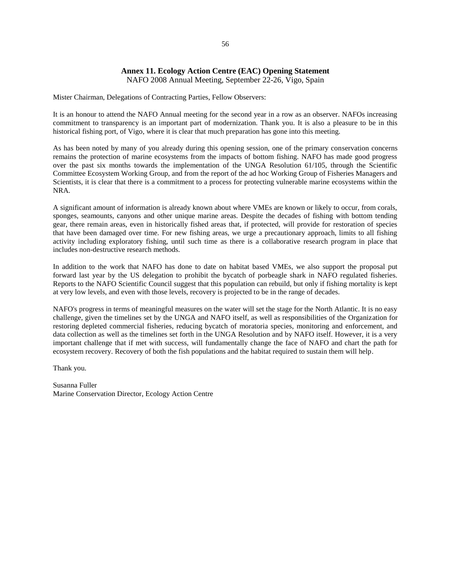## **Annex 11. Ecology Action Centre (EAC) Opening Statement**

NAFO 2008 Annual Meeting, September 22-26, Vigo, Spain

Mister Chairman, Delegations of Contracting Parties, Fellow Observers:

It is an honour to attend the NAFO Annual meeting for the second year in a row as an observer. NAFOs increasing commitment to transparency is an important part of modernization. Thank you. It is also a pleasure to be in this historical fishing port, of Vigo, where it is clear that much preparation has gone into this meeting.

As has been noted by many of you already during this opening session, one of the primary conservation concerns remains the protection of marine ecosystems from the impacts of bottom fishing. NAFO has made good progress over the past six months towards the implementation of the UNGA Resolution 61/105, through the Scientific Committee Ecosystem Working Group, and from the report of the ad hoc Working Group of Fisheries Managers and Scientists, it is clear that there is a commitment to a process for protecting vulnerable marine ecosystems within the NRA.

A significant amount of information is already known about where VMEs are known or likely to occur, from corals, sponges, seamounts, canyons and other unique marine areas. Despite the decades of fishing with bottom tending gear, there remain areas, even in historically fished areas that, if protected, will provide for restoration of species that have been damaged over time. For new fishing areas, we urge a precautionary approach, limits to all fishing activity including exploratory fishing, until such time as there is a collaborative research program in place that includes non-destructive research methods.

In addition to the work that NAFO has done to date on habitat based VMEs, we also support the proposal put forward last year by the US delegation to prohibit the bycatch of porbeagle shark in NAFO regulated fisheries. Reports to the NAFO Scientific Council suggest that this population can rebuild, but only if fishing mortality is kept at very low levels, and even with those levels, recovery is projected to be in the range of decades.

NAFO's progress in terms of meaningful measures on the water will set the stage for the North Atlantic. It is no easy challenge, given the timelines set by the UNGA and NAFO itself, as well as responsibilities of the Organization for restoring depleted commercial fisheries, reducing bycatch of moratoria species, monitoring and enforcement, and data collection as well as the timelines set forth in the UNGA Resolution and by NAFO itself. However, it is a very important challenge that if met with success, will fundamentally change the face of NAFO and chart the path for ecosystem recovery. Recovery of both the fish populations and the habitat required to sustain them will help.

Thank you.

Susanna Fuller Marine Conservation Director, Ecology Action Centre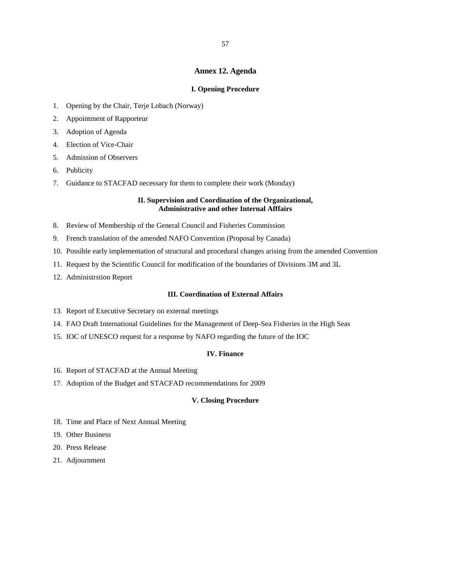### **Annex 12. Agenda**

### **I. Opening Procedure**

- 1. Opening by the Chair, Terje Lobach (Norway)
- 2. Appointment of Rapporteur
- 3. Adoption of Agenda
- 4. Election of Vice-Chair
- 5. Admission of Observers
- 6. Publicity
- 7. Guidance to STACFAD necessary for them to complete their work (Monday)

### **II. Supervision and Coordination of the Organizational, Administrative and other Internal Afffairs**

- 8. Review of Membership of the General Council and Fisheries Commission
- 9. French translation of the amended NAFO Convention (Proposal by Canada)
- 10. Possible early implementation of structural and procedural changes arising from the amended Convention
- 11. Request by the Scientific Council for modification of the boundaries of Divisions 3M and 3L
- 12. Administrstion Report

### **III. Coordination of External Affairs**

- 13. Report of Executive Secretary on external meetings
- 14. FAO Draft International Guidelines for the Management of Deep-Sea Fisheries in the High Seas
- 15. IOC of UNESCO request for a response by NAFO regarding the future of the IOC

### **IV. Finance**

- 16. Report of STACFAD at the Annual Meeting
- 17. Adoption of the Budget and STACFAD recommendations for 2009

### **V. Closing Procedure**

- 18. Time and Place of Next Annual Meeting
- 19. Other Business
- 20. Press Release
- 21. Adjournment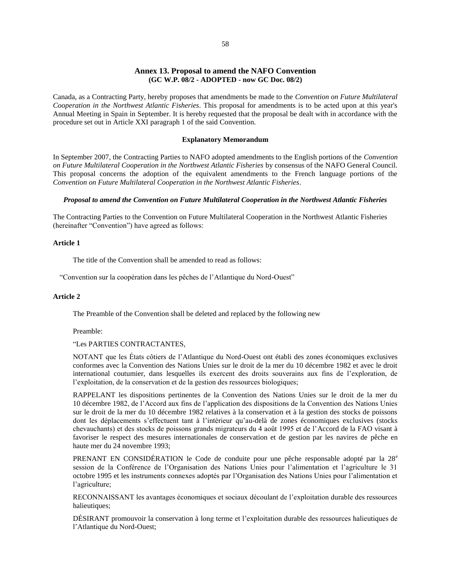### **Annex 13. Proposal to amend the NAFO Convention (GC W.P. 08/2 - ADOPTED - now GC Doc. 08/2)**

Canada, as a Contracting Party, hereby proposes that amendments be made to the *Convention on Future Multilateral Cooperation in the Northwest Atlantic Fisheries*. This proposal for amendments is to be acted upon at this year's Annual Meeting in Spain in September. It is hereby requested that the proposal be dealt with in accordance with the procedure set out in Article XXI paragraph 1 of the said Convention.

#### **Explanatory Memorandum**

In September 2007, the Contracting Parties to NAFO adopted amendments to the English portions of the *Convention on Future Multilateral Cooperation in the Northwest Atlantic Fisheries* by consensus of the NAFO General Council. This proposal concerns the adoption of the equivalent amendments to the French language portions of the *Convention on Future Multilateral Cooperation in the Northwest Atlantic Fisheries*.

#### *Proposal to amend the Convention on Future Multilateral Cooperation in the Northwest Atlantic Fisheries*

The Contracting Parties to the Convention on Future Multilateral Cooperation in the Northwest Atlantic Fisheries (hereinafter "Convention") have agreed as follows:

#### **Article 1**

The title of the Convention shall be amended to read as follows:

"Convention sur la coopération dans les pêches de l'Atlantique du Nord-Ouest"

### **Article 2**

The Preamble of the Convention shall be deleted and replaced by the following new

Preamble:

### "Les PARTIES CONTRACTANTES,

NOTANT que les États côtiers de l'Atlantique du Nord-Ouest ont établi des zones économiques exclusives conformes avec la Convention des Nations Unies sur le droit de la mer du 10 décembre 1982 et avec le droit international coutumier, dans lesquelles ils exercent des droits souverains aux fins de l'exploration, de l'exploitation, de la conservation et de la gestion des ressources biologiques;

RAPPELANT les dispositions pertinentes de la Convention des Nations Unies sur le droit de la mer du 10 décembre 1982, de l'Accord aux fins de l'application des dispositions de la Convention des Nations Unies sur le droit de la mer du 10 décembre 1982 relatives à la conservation et à la gestion des stocks de poissons dont les déplacements s'effectuent tant à l'intérieur qu'au-delà de zones économiques exclusives (stocks chevauchants) et des stocks de poissons grands migrateurs du 4 août 1995 et de l'Accord de la FAO visant à favoriser le respect des mesures internationales de conservation et de gestion par les navires de pêche en haute mer du 24 novembre 1993;

PRENANT EN CONSIDÉRATION le Code de conduite pour une pêche responsable adopté par la 28<sup>e</sup> session de la Conférence de l'Organisation des Nations Unies pour l'alimentation et l'agriculture le 31 octobre 1995 et les instruments connexes adoptés par l'Organisation des Nations Unies pour l'alimentation et l'agriculture;

RECONNAISSANT les avantages économiques et sociaux découlant de l'exploitation durable des ressources halieutiques;

DÉSIRANT promouvoir la conservation à long terme et l'exploitation durable des ressources halieutiques de l'Atlantique du Nord-Ouest;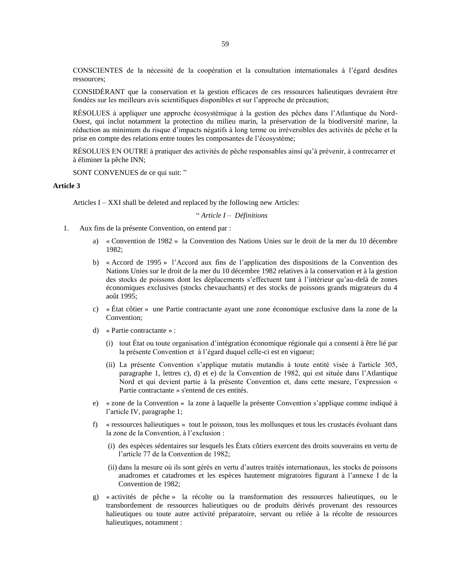CONSCIENTES de la nécessité de la coopération et la consultation internationales à l'égard desdites ressources;

CONSIDÉRANT que la conservation et la gestion efficaces de ces ressources halieutiques devraient être fondées sur les meilleurs avis scientifiques disponibles et sur l'approche de précaution;

RÉSOLUES à appliquer une approche écosystémique à la gestion des pêches dans l'Atlantique du Nord-Ouest, qui inclut notamment la protection du milieu marin, la préservation de la biodiversité marine, la réduction au minimum du risque d'impacts négatifs à long terme ou irréversibles des activités de pêche et la prise en compte des relations entre toutes les composantes de l'écosystème;

RÉSOLUES EN OUTRE à pratiquer des activités de pêche responsables ainsi qu'à prévenir, à contrecarrer et à éliminer la pêche INN;

SONT CONVENUES de ce qui suit: "

### **Article 3**

Articles I – XXI shall be deleted and replaced by the following new Articles:

" *Article I – Définitions* 

- 1. Aux fins de la présente Convention, on entend par :
	- a) « Convention de 1982 » la Convention des Nations Unies sur le droit de la mer du 10 décembre 1982;
	- b) « Accord de 1995 » l'Accord aux fins de l'application des dispositions de la Convention des Nations Unies sur le droit de la mer du 10 décembre 1982 relatives à la conservation et à la gestion des stocks de poissons dont les déplacements s'effectuent tant à l'intérieur qu'au-delà de zones économiques exclusives (stocks chevauchants) et des stocks de poissons grands migrateurs du 4 août 1995;
	- c) « État côtier » une Partie contractante ayant une zone économique exclusive dans la zone de la Convention;
	- d) « Partie contractante » :
		- (i) tout État ou toute organisation d'intégration économique régionale qui a consenti à être lié par la présente Convention et à l'égard duquel celle-ci est en vigueur;
		- (ii) La présente Convention s'applique mutatis mutandis à toute entité visée à l'article 305, paragraphe 1, lettres c), d) et e) de la Convention de 1982, qui est située dans l'Atlantique Nord et qui devient partie à la présente Convention et, dans cette mesure, l'expression « Partie contractante » s'entend de ces entités.
	- e) « zone de la Convention » la zone à laquelle la présente Convention s'applique comme indiqué à l'article IV, paragraphe 1;
	- f) « ressources halieutiques » tout le poisson, tous les mollusques et tous les crustacés évoluant dans la zone de la Convention, à l'exclusion :
		- (i) des espèces sédentaires sur lesquels les États côtiers exercent des droits souverains en vertu de l'article 77 de la Convention de 1982;
		- (ii) dans la mesure où ils sont gérés en vertu d'autres traités internationaux, les stocks de poissons anadromes et catadromes et les espèces hautement migratoires figurant à l'annexe I de la Convention de 1982;
	- g) « activités de pêche » la récolte ou la transformation des ressources halieutiques, ou le transbordement de ressources halieutiques ou de produits dérivés provenant des ressources halieutiques ou toute autre activité préparatoire, servant ou reliée à la récolte de ressources halieutiques, notamment :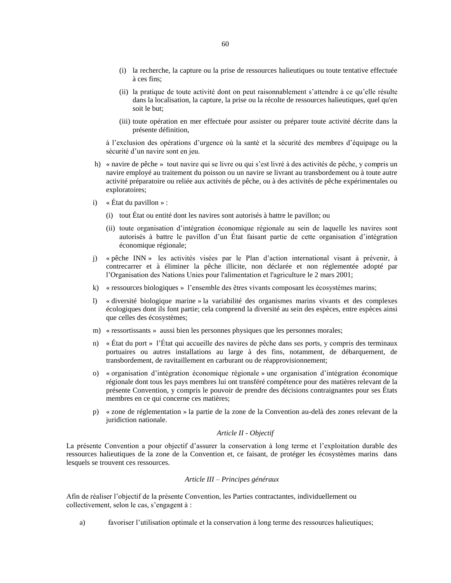- (i) la recherche, la capture ou la prise de ressources halieutiques ou toute tentative effectuée à ces fins;
- (ii) la pratique de toute activité dont on peut raisonnablement s'attendre à ce qu'elle résulte dans la localisation, la capture, la prise ou la récolte de ressources halieutiques, quel qu'en soit le but;
- (iii) toute opération en mer effectuée pour assister ou préparer toute activité décrite dans la présente définition,

à l'exclusion des opérations d'urgence où la santé et la sécurité des membres d'équipage ou la sécurité d'un navire sont en jeu.

- h) « navire de pêche » tout navire qui se livre ou qui s'est livré à des activités de pêche, y compris un navire employé au traitement du poisson ou un navire se livrant au transbordement ou à toute autre activité préparatoire ou reliée aux activités de pêche, ou à des activités de pêche expérimentales ou exploratoires;
- i)  $\ltimes$  État du pavillon » :
	- (i) tout État ou entité dont les navires sont autorisés à battre le pavillon; ou
	- (ii) toute organisation d'intégration économique régionale au sein de laquelle les navires sont autorisés à battre le pavillon d'un État faisant partie de cette organisation d'intégration économique régionale;
- j) « pêche INN » les activités visées par le Plan d'action international visant à prévenir, à contrecarrer et à éliminer la pêche illicite, non déclarée et non réglementée adopté par l'Organisation des Nations Unies pour l'alimentation et l'agriculture le 2 mars 2001;
- k) « ressources biologiques » l'ensemble des êtres vivants composant les écosystèmes marins;
- l) « diversité biologique marine » la variabilité des organismes marins vivants et des complexes écologiques dont ils font partie; cela comprend la diversité au sein des espèces, entre espèces ainsi que celles des écosystèmes;
- m) « ressortissants » aussi bien les personnes physiques que les personnes morales;
- n) « État du port » l'État qui accueille des navires de pêche dans ses ports, y compris des terminaux portuaires ou autres installations au large à des fins, notamment, de débarquement, de transbordement, de ravitaillement en carburant ou de réapprovisionnement;
- o) « organisation d'intégration économique régionale » une organisation d'intégration économique régionale dont tous les pays membres lui ont transféré compétence pour des matières relevant de la présente Convention, y compris le pouvoir de prendre des décisions contraignantes pour ses États membres en ce qui concerne ces matières;
- p) « zone de réglementation » la partie de la zone de la Convention au-delà des zones relevant de la juridiction nationale.

### *Article II - Objectif*

La présente Convention a pour objectif d'assurer la conservation à long terme et l'exploitation durable des ressources halieutiques de la zone de la Convention et, ce faisant, de protéger les écosystèmes marins dans lesquels se trouvent ces ressources.

#### *Article III – Principes généraux*

Afin de réaliser l'objectif de la présente Convention, les Parties contractantes, individuellement ou collectivement, selon le cas, s'engagent à :

a) favoriser l'utilisation optimale et la conservation à long terme des ressources halieutiques;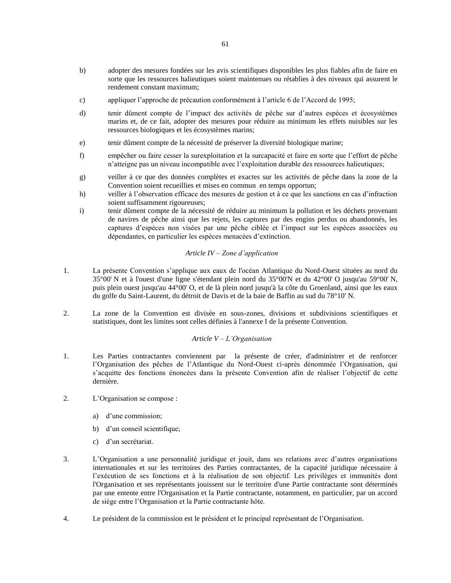- b) adopter des mesures fondées sur les avis scientifiques disponibles les plus fiables afin de faire en sorte que les ressources halieutiques soient maintenues ou rétablies à des niveaux qui assurent le rendement constant maximum;
- c) appliquer l'approche de précaution conformément à l'article 6 de l'Accord de 1995;
- d) tenir dûment compte de l'impact des activités de pêche sur d'autres espèces et écosystèmes marins et, de ce fait, adopter des mesures pour réduire au minimum les effets nuisibles sur les ressources biologiques et les écosystèmes marins;
- e) tenir dûment compte de la nécessité de préserver la diversité biologique marine;
- f) empêcher ou faire cesser la surexploitation et la surcapacité et faire en sorte que l'effort de pêche n'atteigne pas un niveau incompatible avec l'exploitation durable des ressources halieutiques;
- g) veiller à ce que des données complètes et exactes sur les activités de pêche dans la zone de la Convention soient recueillies et mises en commun en temps opportun;
- h) veiller à l'observation efficace des mesures de gestion et à ce que les sanctions en cas d'infraction soient suffisamment rigoureuses;
- i) tenir dûment compte de la nécessité de réduire au minimum la pollution et les déchets provenant de navires de pêche ainsi que les rejets, les captures par des engins perdus ou abandonnés, les captures d'espèces non visées par une pêche ciblée et l'impact sur les espèces associées ou dépendantes, en particulier les espèces menacées d'extinction.

### *Article IV – Zone d'application*

- 1. La présente Convention s'applique aux eaux de l'océan Atlantique du Nord-Ouest situées au nord du 35°00' N et à l'ouest d'une ligne s'étendant plein nord du 35°00'N et du 42°00' O jusqu'au 59°00' N, puis plein ouest jusqu'au 44°00' O, et de là plein nord jusqu'à la côte du Groenland, ainsi que les eaux du golfe du Saint-Laurent, du détroit de Davis et de la baie de Baffin au sud du 78°10' N.
- 2. La zone de la Convention est divisée en sous-zones, divisions et subdivisions scientifiques et statistiques, dont les limites sont celles définies à l'annexe I de la présente Convention.

#### *Article V – L'Organisation*

- 1. Les Parties contractantes conviennent par la présente de créer, d'administrer et de renforcer l'Organisation des pêches de l'Atlantique du Nord-Ouest ci-après dénommée l'Organisation, qui s'acquitte des fonctions énoncées dans la présente Convention afin de réaliser l'objectif de cette dernière.
- 2. L'Organisation se compose :
	- a) d'une commission;
	- b) d'un conseil scientifique;
	- c) d'un secrétariat.
- 3. L'Organisation a une personnalité juridique et jouit, dans ses relations avec d'autres organisations internationales et sur les territoires des Parties contractantes, de la capacité juridique nécessaire à l'exécution de ses fonctions et à la réalisation de son objectif. Les privilèges et immunités dont l'Organisation et ses représentants jouissent sur le territoire d'une Partie contractante sont déterminés par une entente entre l'Organisation et la Partie contractante, notamment, en particulier, par un accord de siège entre l'Organisation et la Partie contractante hôte.
- 4. Le président de la commission est le président et le principal représentant de l'Organisation.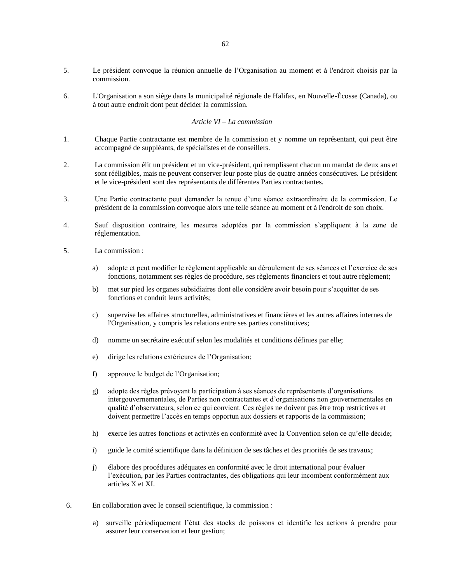- 5. Le président convoque la réunion annuelle de l'Organisation au moment et à l'endroit choisis par la commission.
- 6. L'Organisation a son siège dans la municipalité régionale de Halifax, en Nouvelle-Écosse (Canada), ou à tout autre endroit dont peut décider la commission.

### *Article VI – La commission*

- 1. Chaque Partie contractante est membre de la commission et y nomme un représentant, qui peut être accompagné de suppléants, de spécialistes et de conseillers.
- 2. La commission élit un président et un vice-président, qui remplissent chacun un mandat de deux ans et sont rééligibles, mais ne peuvent conserver leur poste plus de quatre années consécutives. Le président et le vice-président sont des représentants de différentes Parties contractantes.
- 3. Une Partie contractante peut demander la tenue d'une séance extraordinaire de la commission. Le président de la commission convoque alors une telle séance au moment et à l'endroit de son choix.
- 4. Sauf disposition contraire, les mesures adoptées par la commission s'appliquent à la zone de réglementation.
- 5. La commission :
	- a) adopte et peut modifier le règlement applicable au déroulement de ses séances et l'exercice de ses fonctions, notamment ses règles de procédure, ses règlements financiers et tout autre règlement;
	- b) met sur pied les organes subsidiaires dont elle considère avoir besoin pour s'acquitter de ses fonctions et conduit leurs activités;
	- c) supervise les affaires structurelles, administratives et financières et les autres affaires internes de l'Organisation, y compris les relations entre ses parties constitutives;
	- d) nomme un secrétaire exécutif selon les modalités et conditions définies par elle;
	- e) dirige les relations extérieures de l'Organisation;
	- f) approuve le budget de l'Organisation;
	- g) adopte des règles prévoyant la participation à ses séances de représentants d'organisations intergouvernementales, de Parties non contractantes et d'organisations non gouvernementales en qualité d'observateurs, selon ce qui convient. Ces règles ne doivent pas être trop restrictives et doivent permettre l'accès en temps opportun aux dossiers et rapports de la commission;
	- h) exerce les autres fonctions et activités en conformité avec la Convention selon ce qu'elle décide;
	- i) guide le comité scientifique dans la définition de ses tâches et des priorités de ses travaux;
	- j) élabore des procédures adéquates en conformité avec le droit international pour évaluer l'exécution, par les Parties contractantes, des obligations qui leur incombent conformément aux articles X et XI.
- 6. En collaboration avec le conseil scientifique, la commission :
	- a) surveille périodiquement l'état des stocks de poissons et identifie les actions à prendre pour assurer leur conservation et leur gestion;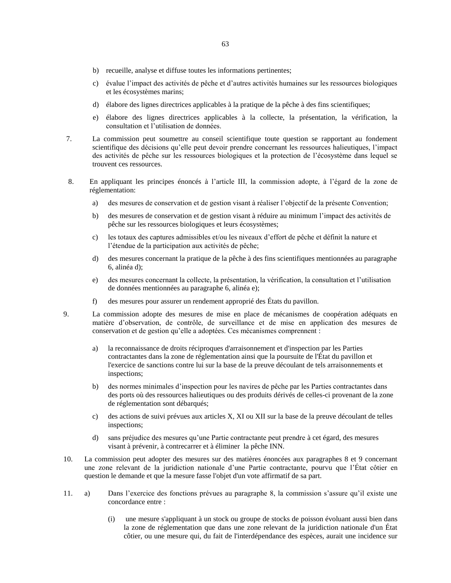- b) recueille, analyse et diffuse toutes les informations pertinentes;
- c) évalue l'impact des activités de pêche et d'autres activités humaines sur les ressources biologiques et les écosystèmes marins;
- d) élabore des lignes directrices applicables à la pratique de la pêche à des fins scientifiques;
- e) élabore des lignes directrices applicables à la collecte, la présentation, la vérification, la consultation et l'utilisation de données.
- 7. La commission peut soumettre au conseil scientifique toute question se rapportant au fondement scientifique des décisions qu'elle peut devoir prendre concernant les ressources halieutiques, l'impact des activités de pêche sur les ressources biologiques et la protection de l'écosystème dans lequel se trouvent ces ressources.
- 8. En appliquant les principes énoncés à l'article III, la commission adopte, à l'égard de la zone de réglementation:
	- a) des mesures de conservation et de gestion visant à réaliser l'objectif de la présente Convention;
	- b) des mesures de conservation et de gestion visant à réduire au minimum l'impact des activités de pêche sur les ressources biologiques et leurs écosystèmes;
	- c) les totaux des captures admissibles et/ou les niveaux d'effort de pêche et définit la nature et l'étendue de la participation aux activités de pêche;
	- d) des mesures concernant la pratique de la pêche à des fins scientifiques mentionnées au paragraphe 6, alinéa d);
	- e) des mesures concernant la collecte, la présentation, la vérification, la consultation et l'utilisation de données mentionnées au paragraphe 6, alinéa e);
	- f) des mesures pour assurer un rendement approprié des États du pavillon.
- 9. La commission adopte des mesures de mise en place de mécanismes de coopération adéquats en matière d'observation, de contrôle, de surveillance et de mise en application des mesures de conservation et de gestion qu'elle a adoptées. Ces mécanismes comprennent :
	- a) la reconnaissance de droits réciproques d'arraisonnement et d'inspection par les Parties contractantes dans la zone de réglementation ainsi que la poursuite de l'État du pavillon et l'exercice de sanctions contre lui sur la base de la preuve découlant de tels arraisonnements et inspections;
	- b) des normes minimales d'inspection pour les navires de pêche par les Parties contractantes dans des ports où des ressources halieutiques ou des produits dérivés de celles-ci provenant de la zone de réglementation sont débarqués;
	- c) des actions de suivi prévues aux articles X, XI ou XII sur la base de la preuve découlant de telles inspections;
	- d) sans préjudice des mesures qu'une Partie contractante peut prendre à cet égard, des mesures visant à prévenir, à contrecarrer et à éliminer la pêche INN.
- 10. La commission peut adopter des mesures sur des matières énoncées aux paragraphes 8 et 9 concernant une zone relevant de la juridiction nationale d'une Partie contractante, pourvu que l'État côtier en question le demande et que la mesure fasse l'objet d'un vote affirmatif de sa part.
- 11. a) Dans l'exercice des fonctions prévues au paragraphe 8, la commission s'assure qu'il existe une concordance entre :
	- (i) une mesure s'appliquant à un stock ou groupe de stocks de poisson évoluant aussi bien dans la zone de réglementation que dans une zone relevant de la juridiction nationale d'un État côtier, ou une mesure qui, du fait de l'interdépendance des espèces, aurait une incidence sur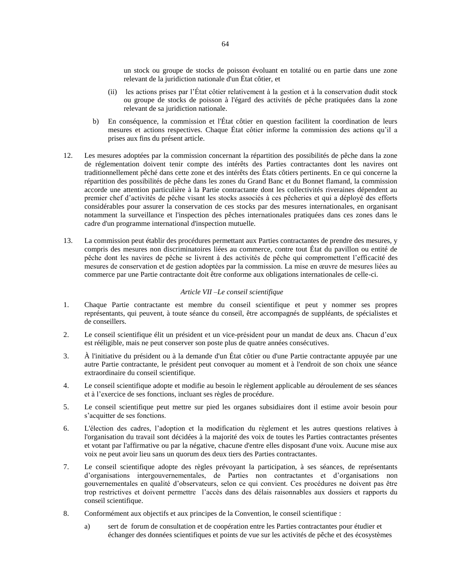un stock ou groupe de stocks de poisson évoluant en totalité ou en partie dans une zone relevant de la juridiction nationale d'un État côtier, et

- (ii) les actions prises par l'État côtier relativement à la gestion et à la conservation dudit stock ou groupe de stocks de poisson à l'égard des activités de pêche pratiquées dans la zone relevant de sa juridiction nationale.
- b) En conséquence, la commission et l'État côtier en question facilitent la coordination de leurs mesures et actions respectives. Chaque État côtier informe la commission des actions qu'il a prises aux fins du présent article.
- 12. Les mesures adoptées par la commission concernant la répartition des possibilités de pêche dans la zone de réglementation doivent tenir compte des intérêts des Parties contractantes dont les navires ont traditionnellement pêché dans cette zone et des intérêts des États côtiers pertinents. En ce qui concerne la répartition des possibilités de pêche dans les zones du Grand Banc et du Bonnet flamand, la commission accorde une attention particulière à la Partie contractante dont les collectivités riveraines dépendent au premier chef d'activités de pêche visant les stocks associés à ces pêcheries et qui a déployé des efforts considérables pour assurer la conservation de ces stocks par des mesures internationales, en organisant notamment la surveillance et l'inspection des pêches internationales pratiquées dans ces zones dans le cadre d'un programme international d'inspection mutuelle.
- 13. La commission peut établir des procédures permettant aux Parties contractantes de prendre des mesures, y compris des mesures non discriminatoires liées au commerce, contre tout État du pavillon ou entité de pêche dont les navires de pêche se livrent à des activités de pêche qui compromettent l'efficacité des mesures de conservation et de gestion adoptées par la commission. La mise en œuvre de mesures liées au commerce par une Partie contractante doit être conforme aux obligations internationales de celle-ci.

### *Article VII –Le conseil scientifique*

- 1. Chaque Partie contractante est membre du conseil scientifique et peut y nommer ses propres représentants, qui peuvent, à toute séance du conseil, être accompagnés de suppléants, de spécialistes et de conseillers.
- 2. Le conseil scientifique élit un président et un vice-président pour un mandat de deux ans. Chacun d'eux est rééligible, mais ne peut conserver son poste plus de quatre années consécutives.
- 3. À l'initiative du président ou à la demande d'un État côtier ou d'une Partie contractante appuyée par une autre Partie contractante, le président peut convoquer au moment et à l'endroit de son choix une séance extraordinaire du conseil scientifique.
- 4. Le conseil scientifique adopte et modifie au besoin le règlement applicable au déroulement de ses séances et à l'exercice de ses fonctions, incluant ses règles de procédure.
- 5. Le conseil scientifique peut mettre sur pied les organes subsidiaires dont il estime avoir besoin pour s'acquitter de ses fonctions.
- 6. L'élection des cadres, l'adoption et la modification du règlement et les autres questions relatives à l'organisation du travail sont décidées à la majorité des voix de toutes les Parties contractantes présentes et votant par l'affirmative ou par la négative, chacune d'entre elles disposant d'une voix. Aucune mise aux voix ne peut avoir lieu sans un quorum des deux tiers des Parties contractantes.
- 7. Le conseil scientifique adopte des règles prévoyant la participation, à ses séances, de représentants d'organisations intergouvernementales, de Parties non contractantes et d'organisations non gouvernementales en qualité d'observateurs, selon ce qui convient. Ces procédures ne doivent pas être trop restrictives et doivent permettre l'accès dans des délais raisonnables aux dossiers et rapports du conseil scientifique.
- 8. Conformément aux objectifs et aux principes de la Convention, le conseil scientifique :
	- a) sert de forum de consultation et de coopération entre les Parties contractantes pour étudier et échanger des données scientifiques et points de vue sur les activités de pêche et des écosystèmes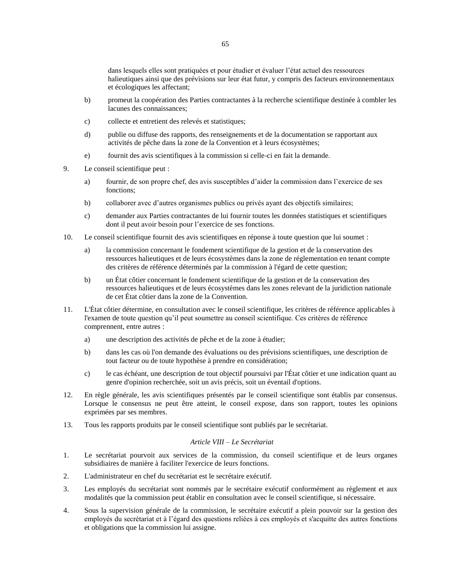- b) promeut la coopération des Parties contractantes à la recherche scientifique destinée à combler les lacunes des connaissances;
- c) collecte et entretient des relevés et statistiques;
- d) publie ou diffuse des rapports, des renseignements et de la documentation se rapportant aux activités de pêche dans la zone de la Convention et à leurs écosystèmes;
- e) fournit des avis scientifiques à la commission si celle-ci en fait la demande.
- 9. Le conseil scientifique peut :
	- a) fournir, de son propre chef, des avis susceptibles d'aider la commission dans l'exercice de ses fonctions;
	- b) collaborer avec d'autres organismes publics ou privés ayant des objectifs similaires;
	- c) demander aux Parties contractantes de lui fournir toutes les données statistiques et scientifiques dont il peut avoir besoin pour l'exercice de ses fonctions.
- 10. Le conseil scientifique fournit des avis scientifiques en réponse à toute question que lui soumet :
	- a) la commission concernant le fondement scientifique de la gestion et de la conservation des ressources halieutiques et de leurs écosystèmes dans la zone de réglementation en tenant compte des critères de référence déterminés par la commission à l'égard de cette question;
	- b) un État côtier concernant le fondement scientifique de la gestion et de la conservation des ressources halieutiques et de leurs écosystèmes dans les zones relevant de la juridiction nationale de cet État côtier dans la zone de la Convention.
- 11. L'État côtier détermine, en consultation avec le conseil scientifique, les critères de référence applicables à l'examen de toute question qu'il peut soumettre au conseil scientifique. Ces critères de référence comprennent, entre autres :
	- a) une description des activités de pêche et de la zone à étudier;
	- b) dans les cas où l'on demande des évaluations ou des prévisions scientifiques, une description de tout facteur ou de toute hypothèse à prendre en considération;
	- c) le cas échéant, une description de tout objectif poursuivi par l'État côtier et une indication quant au genre d'opinion recherchée, soit un avis précis, soit un éventail d'options.
- 12. En règle générale, les avis scientifiques présentés par le conseil scientifique sont établis par consensus. Lorsque le consensus ne peut être atteint, le conseil expose, dans son rapport, toutes les opinions exprimées par ses membres.
- 13. Tous les rapports produits par le conseil scientifique sont publiés par le secrétariat.

### *Article VIII – Le Secrétariat*

- 1. Le secrétariat pourvoit aux services de la commission, du conseil scientifique et de leurs organes subsidiaires de manière à faciliter l'exercice de leurs fonctions.
- 2. L'administrateur en chef du secrétariat est le secrétaire exécutif.
- 3. Les employés du secrétariat sont nommés par le secrétaire exécutif conformément au règlement et aux modalités que la commission peut établir en consultation avec le conseil scientifique, si nécessaire.
- 4. Sous la supervision générale de la commission, le secrétaire exécutif a plein pouvoir sur la gestion des employés du secrétariat et à l'égard des questions reliées à ces employés et s'acquitte des autres fonctions et obligations que la commission lui assigne.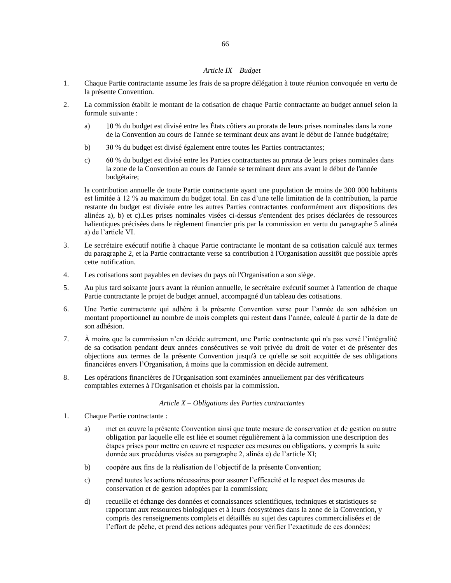### *Article IX – Budget*

- 1. Chaque Partie contractante assume les frais de sa propre délégation à toute réunion convoquée en vertu de la présente Convention.
- 2. La commission établit le montant de la cotisation de chaque Partie contractante au budget annuel selon la formule suivante :
	- a) % du budget est divisé entre les États côtiers au prorata de leurs prises nominales dans la zone de la Convention au cours de l'année se terminant deux ans avant le début de l'année budgétaire;
	- b) % du budget est divisé également entre toutes les Parties contractantes;
	- c) % du budget est divisé entre les Parties contractantes au prorata de leurs prises nominales dans la zone de la Convention au cours de l'année se terminant deux ans avant le début de l'année budgétaire;

la contribution annuelle de toute Partie contractante ayant une population de moins de 300 000 habitants est limitée à 12 % au maximum du budget total. En cas d'une telle limitation de la contribution, la partie restante du budget est divisée entre les autres Parties contractantes conformément aux dispositions des alinéas a), b) et c).Les prises nominales visées ci-dessus s'entendent des prises déclarées de ressources halieutiques précisées dans le règlement financier pris par la commission en vertu du paragraphe 5 alinéa a) de l'article VI.

- 3. Le secrétaire exécutif notifie à chaque Partie contractante le montant de sa cotisation calculé aux termes du paragraphe 2, et la Partie contractante verse sa contribution à l'Organisation aussitôt que possible après cette notification.
- 4. Les cotisations sont payables en devises du pays où l'Organisation a son siège.
- 5. Au plus tard soixante jours avant la réunion annuelle, le secrétaire exécutif soumet à l'attention de chaque Partie contractante le projet de budget annuel, accompagné d'un tableau des cotisations.
- 6. Une Partie contractante qui adhère à la présente Convention verse pour l'année de son adhésion un montant proportionnel au nombre de mois complets qui restent dans l'année, calculé à partir de la date de son adhésion.
- 7. À moins que la commission n'en décide autrement, une Partie contractante qui n'a pas versé l'intégralité de sa cotisation pendant deux années consécutives se voit privée du droit de voter et de présenter des objections aux termes de la présente Convention jusqu'à ce qu'elle se soit acquittée de ses obligations financières envers l'Organisation, à moins que la commission en décide autrement.
- 8. Les opérations financières de l'Organisation sont examinées annuellement par des vérificateurs comptables externes à l'Organisation et choisis par la commission.

#### *Article X – Obligations des Parties contractantes*

- 1. Chaque Partie contractante :
	- a) met en œuvre la présente Convention ainsi que toute mesure de conservation et de gestion ou autre obligation par laquelle elle est liée et soumet régulièrement à la commission une description des étapes prises pour mettre en œuvre et respecter ces mesures ou obligations, y compris la suite donnée aux procédures visées au paragraphe 2, alinéa e) de l'article XI;
	- b) coopère aux fins de la réalisation de l'objectif de la présente Convention;
	- c) prend toutes les actions nécessaires pour assurer l'efficacité et le respect des mesures de conservation et de gestion adoptées par la commission;
	- d) recueille et échange des données et connaissances scientifiques, techniques et statistiques se rapportant aux ressources biologiques et à leurs écosystèmes dans la zone de la Convention, y compris des renseignements complets et détaillés au sujet des captures commercialisées et de l'effort de pêche, et prend des actions adéquates pour vérifier l'exactitude de ces données;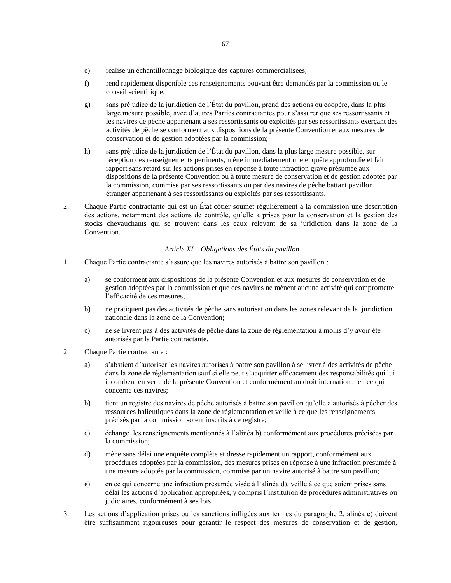- e) réalise un échantillonnage biologique des captures commercialisées;
- f) rend rapidement disponible ces renseignements pouvant être demandés par la commission ou le conseil scientifique;
- g) sans préjudice de la juridiction de l'État du pavillon, prend des actions ou coopère, dans la plus large mesure possible, avec d'autres Parties contractantes pour s'assurer que ses ressortissants et les navires de pêche appartenant à ses ressortissants ou exploités par ses ressortissants exerçant des activités de pêche se conforment aux dispositions de la présente Convention et aux mesures de conservation et de gestion adoptées par la commission;
- h) sans préjudice de la juridiction de l'État du pavillon, dans la plus large mesure possible, sur réception des renseignements pertinents, mène immédiatement une enquête approfondie et fait rapport sans retard sur les actions prises en réponse à toute infraction grave présumée aux dispositions de la présente Convention ou à toute mesure de conservation et de gestion adoptée par la commission, commise par ses ressortissants ou par des navires de pêche battant pavillon étranger appartenant à ses ressortissants ou exploités par ses ressortissants.
- 2. Chaque Partie contractante qui est un État côtier soumet régulièrement à la commission une description des actions, notamment des actions de contrôle, qu'elle a prises pour la conservation et la gestion des stocks chevauchants qui se trouvent dans les eaux relevant de sa juridiction dans la zone de la Convention.

### *Article XI – Obligations des États du pavillon*

- 1. Chaque Partie contractante s'assure que les navires autorisés à battre son pavillon :
	- a) se conforment aux dispositions de la présente Convention et aux mesures de conservation et de gestion adoptées par la commission et que ces navires ne mènent aucune activité qui compromette l'efficacité de ces mesures;
	- b) ne pratiquent pas des activités de pêche sans autorisation dans les zones relevant de la juridiction nationale dans la zone de la Convention;
	- c) ne se livrent pas à des activités de pêche dans la zone de réglementation à moins d'y avoir été autorisés par la Partie contractante.
- 2. Chaque Partie contractante :
	- a) s'abstient d'autoriser les navires autorisés à battre son pavillon à se livrer à des activités de pêche dans la zone de réglementation sauf si elle peut s'acquitter efficacement des responsabilités qui lui incombent en vertu de la présente Convention et conformément au droit international en ce qui concerne ces navires;
	- b) tient un registre des navires de pêche autorisés à battre son pavillon qu'elle a autorisés à pêcher des ressources halieutiques dans la zone de réglementation et veille à ce que les renseignements précisés par la commission soient inscrits à ce registre;
	- c) échange les renseignements mentionnés à l'alinéa b) conformément aux procédures précisées par la commission;
	- d) mène sans délai une enquête complète et dresse rapidement un rapport, conformément aux procédures adoptées par la commission, des mesures prises en réponse à une infraction présumée à une mesure adoptée par la commission, commise par un navire autorisé à battre son pavillon;
	- e) en ce qui concerne une infraction présumée visée à l'alinéa d), veille à ce que soient prises sans délai les actions d'application appropriées, y compris l'institution de procédures administratives ou judiciaires, conformément à ses lois.
- 3. Les actions d'application prises ou les sanctions infligées aux termes du paragraphe 2, alinéa e) doivent être suffisamment rigoureuses pour garantir le respect des mesures de conservation et de gestion,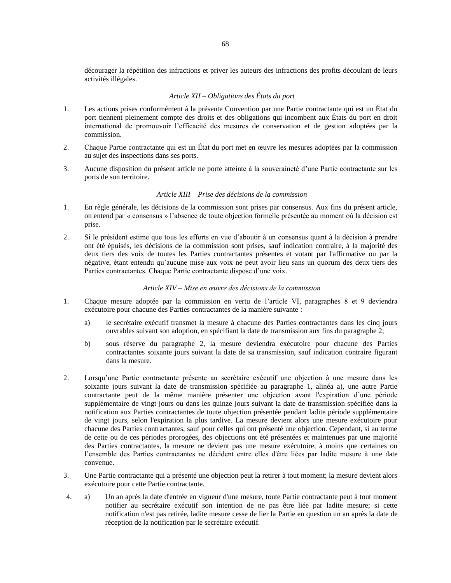décourager la répétition des infractions et priver les auteurs des infractions des profits découlant de leurs activités illégales.

### *Article XII – Obligations des États du port*

- 1. Les actions prises conformément à la présente Convention par une Partie contractante qui est un État du port tiennent pleinement compte des droits et des obligations qui incombent aux États du port en droit international de promouvoir l'efficacité des mesures de conservation et de gestion adoptées par la commission.
- 2. Chaque Partie contractante qui est un État du port met en œuvre les mesures adoptées par la commission au sujet des inspections dans ses ports.
- 3. Aucune disposition du présent article ne porte atteinte à la souveraineté d'une Partie contractante sur les ports de son territoire.

#### *Article XIII – Prise des décisions de la commission*

- 1. En règle générale, les décisions de la commission sont prises par consensus. Aux fins du présent article, on entend par « consensus » l'absence de toute objection formelle présentée au moment où la décision est prise.
- 2. Si le président estime que tous les efforts en vue d'aboutir à un consensus quant à la décision à prendre ont été épuisés, les décisions de la commission sont prises, sauf indication contraire, à la majorité des deux tiers des voix de toutes les Parties contractantes présentes et votant par l'affirmative ou par la négative, étant entendu qu'aucune mise aux voix ne peut avoir lieu sans un quorum des deux tiers des Parties contractantes. Chaque Partie contractante dispose d'une voix.

### *Article XIV – Mise en œuvre des décisions de la commission*

- 1. Chaque mesure adoptée par la commission en vertu de l'article VI, paragraphes 8 et 9 deviendra exécutoire pour chacune des Parties contractantes de la manière suivante :
	- a) le secrétaire exécutif transmet la mesure à chacune des Parties contractantes dans les cinq jours ouvrables suivant son adoption, en spécifiant la date de transmission aux fins du paragraphe 2;
	- b) sous réserve du paragraphe 2, la mesure deviendra exécutoire pour chacune des Parties contractantes soixante jours suivant la date de sa transmission, sauf indication contraire figurant dans la mesure.
- 2. Lorsqu'une Partie contractante présente au secrétaire exécutif une objection à une mesure dans les soixante jours suivant la date de transmission spécifiée au paragraphe 1, alinéa a), une autre Partie contractante peut de la même manière présenter une objection avant l'expiration d'une période supplémentaire de vingt jours ou dans les quinze jours suivant la date de transmission spécifiée dans la notification aux Parties contractantes de toute objection présentée pendant ladite période supplémentaire de vingt jours, selon l'expiration la plus tardive. La mesure devient alors une mesure exécutoire pour chacune des Parties contractantes, sauf pour celles qui ont présenté une objection. Cependant, si au terme de cette ou de ces périodes prorogées, des objections ont été présentées et maintenues par une majorité des Parties contractantes, la mesure ne devient pas une mesure exécutoire, à moins que certaines ou l'ensemble des Parties contractantes ne décident entre elles d'être liées par ladite mesure à une date convenue.
- 3. Une Partie contractante qui a présenté une objection peut la retirer à tout moment; la mesure devient alors exécutoire pour cette Partie contractante.
- 4. a) Un an après la date d'entrée en vigueur d'une mesure, toute Partie contractante peut à tout moment notifier au secrétaire exécutif son intention de ne pas être liée par ladite mesure; si cette notification n'est pas retirée, ladite mesure cesse de lier la Partie en question un an après la date de réception de la notification par le secrétaire exécutif.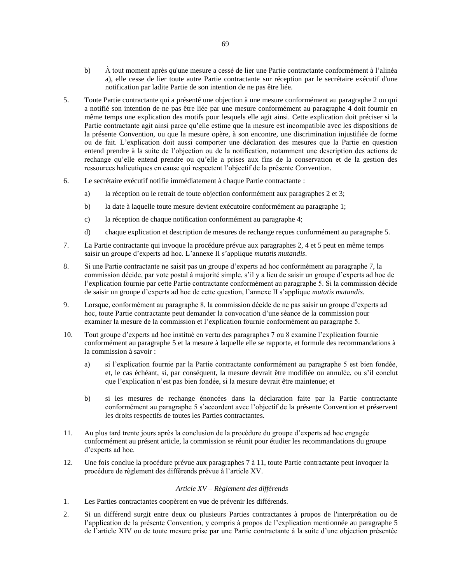- b) À tout moment après qu'une mesure a cessé de lier une Partie contractante conformément à l'alinéa a), elle cesse de lier toute autre Partie contractante sur réception par le secrétaire exécutif d'une notification par ladite Partie de son intention de ne pas être liée.
- 5. Toute Partie contractante qui a présenté une objection à une mesure conformément au paragraphe 2 ou qui a notifié son intention de ne pas être liée par une mesure conformément au paragraphe 4 doit fournir en même temps une explication des motifs pour lesquels elle agit ainsi. Cette explication doit préciser si la Partie contractante agit ainsi parce qu'elle estime que la mesure est incompatible avec les dispositions de la présente Convention, ou que la mesure opère, à son encontre, une discrimination injustifiée de forme ou de fait. L'explication doit aussi comporter une déclaration des mesures que la Partie en question entend prendre à la suite de l'objection ou de la notification, notamment une description des actions de rechange qu'elle entend prendre ou qu'elle a prises aux fins de la conservation et de la gestion des ressources halieutiques en cause qui respectent l'objectif de la présente Convention.
- 6. Le secrétaire exécutif notifie immédiatement à chaque Partie contractante :
	- a) la réception ou le retrait de toute objection conformément aux paragraphes 2 et 3;
	- b) la date à laquelle toute mesure devient exécutoire conformément au paragraphe 1;
	- c) la réception de chaque notification conformément au paragraphe 4;
	- d) chaque explication et description de mesures de rechange reçues conformément au paragraphe 5.
- 7. La Partie contractante qui invoque la procédure prévue aux paragraphes 2, 4 et 5 peut en même temps saisir un groupe d'experts ad hoc. L'annexe II s'applique *mutatis mutandis*.
- 8. Si une Partie contractante ne saisit pas un groupe d'experts ad hoc conformément au paragraphe 7, la commission décide, par vote postal à majorité simple, s'il y a lieu de saisir un groupe d'experts ad hoc de l'explication fournie par cette Partie contractante conformément au paragraphe 5. Si la commission décide de saisir un groupe d'experts ad hoc de cette question, l'annexe II s'applique *mutatis mutandis*.
- 9. Lorsque, conformément au paragraphe 8, la commission décide de ne pas saisir un groupe d'experts ad hoc, toute Partie contractante peut demander la convocation d'une séance de la commission pour examiner la mesure de la commission et l'explication fournie conformément au paragraphe 5.
- 10. Tout groupe d'experts ad hoc institué en vertu des paragraphes 7 ou 8 examine l'explication fournie conformément au paragraphe 5 et la mesure à laquelle elle se rapporte, et formule des recommandations à la commission à savoir :
	- a) si l'explication fournie par la Partie contractante conformément au paragraphe 5 est bien fondée, et, le cas échéant, si, par conséquent, la mesure devrait être modifiée ou annulée, ou s'il conclut que l'explication n'est pas bien fondée, si la mesure devrait être maintenue; et
	- b) si les mesures de rechange énoncées dans la déclaration faite par la Partie contractante conformément au paragraphe 5 s'accordent avec l'objectif de la présente Convention et préservent les droits respectifs de toutes les Parties contractantes.
- 11. Au plus tard trente jours après la conclusion de la procédure du groupe d'experts ad hoc engagée conformément au présent article, la commission se réunit pour étudier les recommandations du groupe d'experts ad hoc.
- 12. Une fois conclue la procédure prévue aux paragraphes 7 à 11, toute Partie contractante peut invoquer la procédure de règlement des différends prévue à l'article XV.

### *Article XV – Règlement des différends*

- 1. Les Parties contractantes coopèrent en vue de prévenir les différends.
- 2. Si un différend surgit entre deux ou plusieurs Parties contractantes à propos de l'interprétation ou de l'application de la présente Convention, y compris à propos de l'explication mentionnée au paragraphe 5 de l'article XIV ou de toute mesure prise par une Partie contractante à la suite d'une objection présentée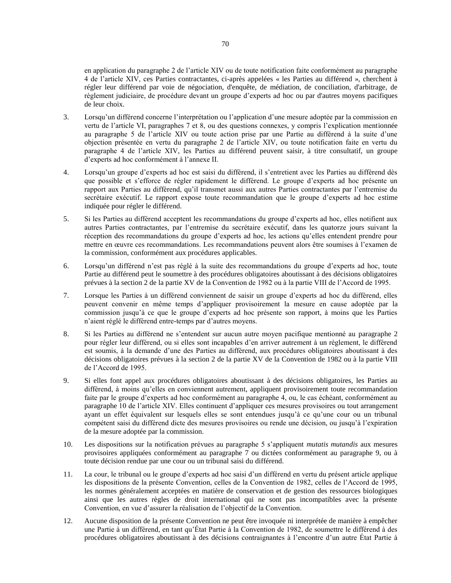en application du paragraphe 2 de l'article XIV ou de toute notification faite conformément au paragraphe 4 de l'article XIV, ces Parties contractantes, ci-après appelées « les Parties au différend », cherchent à régler leur différend par voie de négociation, d'enquête, de médiation, de conciliation, d'arbitrage, de règlement judiciaire, de procédure devant un groupe d'experts ad hoc ou par d'autres moyens pacifiques de leur choix.

- 3. Lorsqu'un différend concerne l'interprétation ou l'application d'une mesure adoptée par la commission en vertu de l'article VI, paragraphes 7 et 8, ou des questions connexes, y compris l'explication mentionnée au paragraphe 5 de l'article XIV ou toute action prise par une Partie au différend à la suite d'une objection présentée en vertu du paragraphe 2 de l'article XIV, ou toute notification faite en vertu du paragraphe 4 de l'article XIV, les Parties au différend peuvent saisir, à titre consultatif, un groupe d'experts ad hoc conformément à l'annexe II.
- 4. Lorsqu'un groupe d'experts ad hoc est saisi du différend, il s'entretient avec les Parties au différend dès que possible et s'efforce de régler rapidement le différend. Le groupe d'experts ad hoc présente un rapport aux Parties au différend, qu'il transmet aussi aux autres Parties contractantes par l'entremise du secrétaire exécutif. Le rapport expose toute recommandation que le groupe d'experts ad hoc estime indiquée pour régler le différend.
- 5. Si les Parties au différend acceptent les recommandations du groupe d'experts ad hoc, elles notifient aux autres Parties contractantes, par l'entremise du secrétaire exécutif, dans les quatorze jours suivant la réception des recommandations du groupe d'experts ad hoc, les actions qu'elles entendent prendre pour mettre en œuvre ces recommandations. Les recommandations peuvent alors être soumises à l'examen de la commission, conformément aux procédures applicables.
- 6. Lorsqu'un différend n'est pas réglé à la suite des recommandations du groupe d'experts ad hoc, toute Partie au différend peut le soumettre à des procédures obligatoires aboutissant à des décisions obligatoires prévues à la section 2 de la partie XV de la Convention de 1982 ou à la partie VIII de l'Accord de 1995.
- 7. Lorsque les Parties à un différend conviennent de saisir un groupe d'experts ad hoc du différend, elles peuvent convenir en même temps d'appliquer provisoirement la mesure en cause adoptée par la commission jusqu'à ce que le groupe d'experts ad hoc présente son rapport, à moins que les Parties n'aient réglé le différend entre-temps par d'autres moyens.
- 8. Si les Parties au différend ne s'entendent sur aucun autre moyen pacifique mentionné au paragraphe 2 pour régler leur différend, ou si elles sont incapables d'en arriver autrement à un règlement, le différend est soumis, à la demande d'une des Parties au différend, aux procédures obligatoires aboutissant à des décisions obligatoires prévues à la section 2 de la partie XV de la Convention de 1982 ou à la partie VIII de l'Accord de 1995.
- 9. Si elles font appel aux procédures obligatoires aboutissant à des décisions obligatoires, les Parties au différend, à moins qu'elles en conviennent autrement, appliquent provisoirement toute recommandation faite par le groupe d'experts ad hoc conformément au paragraphe 4, ou, le cas échéant, conformément au paragraphe 10 de l'article XIV. Elles continuent d'appliquer ces mesures provisoires ou tout arrangement ayant un effet équivalent sur lesquels elles se sont entendues jusqu'à ce qu'une cour ou un tribunal compétent saisi du différend dicte des mesures provisoires ou rende une décision, ou jusqu'à l'expiration de la mesure adoptée par la commission.
- 10. Les dispositions sur la notification prévues au paragraphe 5 s'appliquent *mutatis mutandis* aux mesures provisoires appliquées conformément au paragraphe 7 ou dictées conformément au paragraphe 9, ou à toute décision rendue par une cour ou un tribunal saisi du différend.
- 11. La cour, le tribunal ou le groupe d'experts ad hoc saisi d'un différend en vertu du présent article applique les dispositions de la présente Convention, celles de la Convention de 1982, celles de l'Accord de 1995, les normes généralement acceptées en matière de conservation et de gestion des ressources biologiques ainsi que les autres règles de droit international qui ne sont pas incompatibles avec la présente Convention, en vue d'assurer la réalisation de l'objectif de la Convention.
- 12. Aucune disposition de la présente Convention ne peut être invoquée ni interprétée de manière à empêcher une Partie à un différend, en tant qu'État Partie à la Convention de 1982, de soumettre le différend à des procédures obligatoires aboutissant à des décisions contraignantes à l'encontre d'un autre État Partie à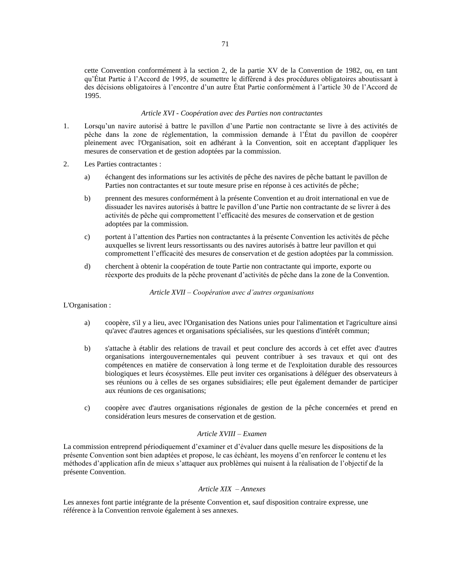cette Convention conformément à la section 2, de la partie XV de la Convention de 1982, ou, en tant qu'État Partie à l'Accord de 1995, de soumettre le différend à des procédures obligatoires aboutissant à des décisions obligatoires à l'encontre d'un autre État Partie conformément à l'article 30 de l'Accord de 1995.

### *Article XVI - Coopération avec des Parties non contractantes*

- 1. Lorsqu'un navire autorisé à battre le pavillon d'une Partie non contractante se livre à des activités de pêche dans la zone de réglementation, la commission demande à l'État du pavillon de coopérer pleinement avec l'Organisation, soit en adhérant à la Convention, soit en acceptant d'appliquer les mesures de conservation et de gestion adoptées par la commission.
- 2. Les Parties contractantes :
	- a) échangent des informations sur les activités de pêche des navires de pêche battant le pavillon de Parties non contractantes et sur toute mesure prise en réponse à ces activités de pêche;
	- b) prennent des mesures conformément à la présente Convention et au droit international en vue de dissuader les navires autorisés à battre le pavillon d'une Partie non contractante de se livrer à des activités de pêche qui compromettent l'efficacité des mesures de conservation et de gestion adoptées par la commission.
	- c) portent à l'attention des Parties non contractantes à la présente Convention les activités de pêche auxquelles se livrent leurs ressortissants ou des navires autorisés à battre leur pavillon et qui compromettent l'efficacité des mesures de conservation et de gestion adoptées par la commission.
	- d) cherchent à obtenir la coopération de toute Partie non contractante qui importe, exporte ou réexporte des produits de la pêche provenant d'activités de pêche dans la zone de la Convention.

*Article XVII – Coopération avec d'autres organisations*

#### L'Organisation :

- a) coopère, s'il y a lieu, avec l'Organisation des Nations unies pour l'alimentation et l'agriculture ainsi qu'avec d'autres agences et organisations spécialisées, sur les questions d'intérêt commun;
- b) s'attache à établir des relations de travail et peut conclure des accords à cet effet avec d'autres organisations intergouvernementales qui peuvent contribuer à ses travaux et qui ont des compétences en matière de conservation à long terme et de l'exploitation durable des ressources biologiques et leurs écosystèmes. Elle peut inviter ces organisations à déléguer des observateurs à ses réunions ou à celles de ses organes subsidiaires; elle peut également demander de participer aux réunions de ces organisations;
- c) coopère avec d'autres organisations régionales de gestion de la pêche concernées et prend en considération leurs mesures de conservation et de gestion.

### *Article XVIII – Examen*

La commission entreprend périodiquement d'examiner et d'évaluer dans quelle mesure les dispositions de la présente Convention sont bien adaptées et propose, le cas échéant, les moyens d'en renforcer le contenu et les méthodes d'application afin de mieux s'attaquer aux problèmes qui nuisent à la réalisation de l'objectif de la présente Convention.

### *Article XIX – Annexes*

Les annexes font partie intégrante de la présente Convention et, sauf disposition contraire expresse, une référence à la Convention renvoie également à ses annexes.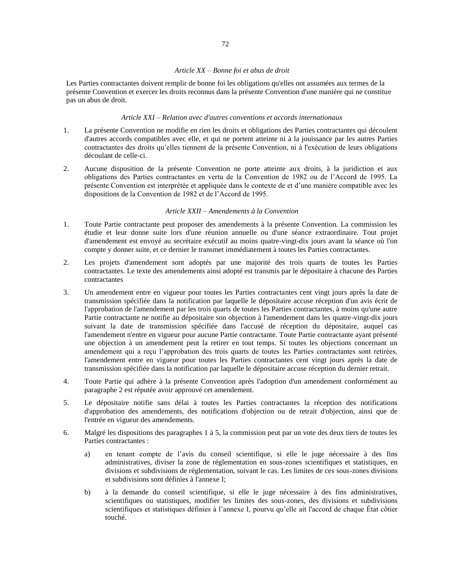### *Article XX – Bonne foi et abus de droit*

Les Parties contractantes doivent remplir de bonne foi les obligations qu'elles ont assumées aux termes de la présente Convention et exercer les droits reconnus dans la présente Convention d'une manière qui ne constitue pas un abus de droit.

### *Article XXI – Relation avec d'autres conventions et accords internationaux*

- 1. La présente Convention ne modifie en rien les droits et obligations des Parties contractantes qui découlent d'autres accords compatibles avec elle, et qui ne portent atteinte ni à la jouissance par les autres Parties contractantes des droits qu'elles tiennent de la présente Convention, ni à l'exécution de leurs obligations découlant de celle-ci.
- 2. Aucune disposition de la présente Convention ne porte atteinte aux droits, à la juridiction et aux obligations des Parties contractantes en vertu de la Convention de 1982 ou de l'Accord de 1995. La présente Convention est interprétée et appliquée dans le contexte de et d'une manière compatible avec les dispositions de la Convention de 1982 et de l'Accord de 1995.

#### *Article XXII – Amendements à la Convention*

- 1. Toute Partie contractante peut proposer des amendements à la présente Convention. La commission les étudie et leur donne suite lors d'une réunion annuelle ou d'une séance extraordinaire. Tout projet d'amendement est envoyé au secrétaire exécutif au moins quatre-vingt-dix jours avant la séance où l'on compte y donner suite, et ce dernier le transmet immédiatement à toutes les Parties contractantes.
- 2. Les projets d'amendement sont adoptés par une majorité des trois quarts de toutes les Parties contractantes. Le texte des amendements ainsi adopté est transmis par le dépositaire à chacune des Parties contractantes
- 3. Un amendement entre en vigueur pour toutes les Parties contractantes cent vingt jours après la date de transmission spécifiée dans la notification par laquelle le dépositaire accuse réception d'un avis écrit de l'approbation de l'amendement par les trois quarts de toutes les Parties contractantes, à moins qu'une autre Partie contractante ne notifie au dépositaire son objection à l'amendement dans les quatre-vingt-dix jours suivant la date de transmission spécifiée dans l'accusé de réception du dépositaire, auquel cas l'amendement n'entre en vigueur pour aucune Partie contractante. Toute Partie contractante ayant présenté une objection à un amendement peut la retirer en tout temps. Si toutes les objections concernant un amendement qui a reçu l'approbation des trois quarts de toutes les Parties contractantes sont retirées, l'amendement entre en vigueur pour toutes les Parties contractantes cent vingt jours après la date de transmission spécifiée dans la notification par laquelle le dépositaire accuse réception du dernier retrait.
- 4. Toute Partie qui adhère à la présente Convention après l'adoption d'un amendement conformément au paragraphe 2 est réputée avoir approuvé cet amendement.
- 5. Le dépositaire notifie sans délai à toutes les Parties contractantes la réception des notifications d'approbation des amendements, des notifications d'objection ou de retrait d'objection, ainsi que de l'entrée en vigueur des amendements.
- 6. Malgré les dispositions des paragraphes 1 à 5, la commission peut par un vote des deux tiers de toutes les Parties contractantes :
	- a) en tenant compte de l'avis du conseil scientifique, si elle le juge nécessaire à des fins administratives, diviser la zone de réglementation en sous-zones scientifiques et statistiques, en divisions et subdivisions de réglementation, suivant le cas. Les limites de ces sous-zones divisions et subdivisions sont définies à l'annexe I;
	- b) à la demande du conseil scientifique, si elle le juge nécessaire à des fins administratives, scientifiques ou statistiques, modifier les limites des sous-zones, des divisions et subdivisions scientifiques et statistiques définies à l'annexe I, pourvu qu'elle ait l'accord de chaque État côtier touché.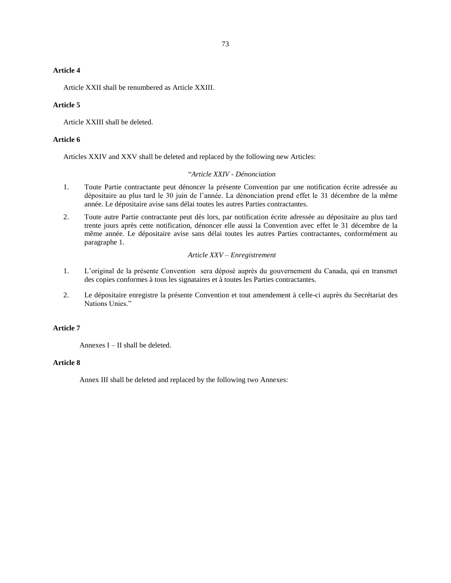### **Article 4**

Article XXII shall be renumbered as Article XXIII.

### **Article 5**

Article XXIII shall be deleted.

#### **Article 6**

Articles XXIV and XXV shall be deleted and replaced by the following new Articles:

### "*Article XXIV - Dénonciation*

- 1. Toute Partie contractante peut dénoncer la présente Convention par une notification écrite adressée au dépositaire au plus tard le 30 juin de l'année. La dénonciation prend effet le 31 décembre de la même année. Le dépositaire avise sans délai toutes les autres Parties contractantes.
- 2. Toute autre Partie contractante peut dès lors, par notification écrite adressée au dépositaire au plus tard trente jours après cette notification, dénoncer elle aussi la Convention avec effet le 31 décembre de la même année. Le dépositaire avise sans délai toutes les autres Parties contractantes, conformément au paragraphe 1.

### *Article XXV – Enregistrement*

- 1. L'original de la présente Convention sera déposé auprès du gouvernement du Canada, qui en transmet des copies conformes à tous les signataires et à toutes les Parties contractantes.
- 2. Le dépositaire enregistre la présente Convention et tout amendement à celle-ci auprès du Secrétariat des Nations Unies."

### **Article 7**

Annexes  $I - II$  shall be deleted.

### **Article 8**

Annex III shall be deleted and replaced by the following two Annexes: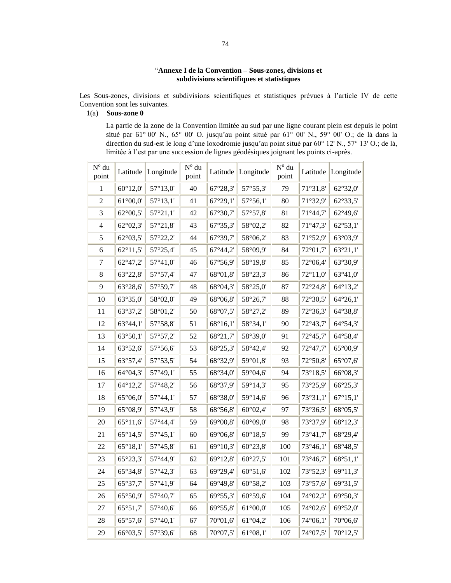## "**Annexe I de la Convention – Sous-zones, divisions et subdivisions scientifiques et statistiques**

Les Sous-zones, divisions et subdivisions scientifiques et statistiques prévues à l'article IV de cette Convention sont les suivantes.

1(a) **Sous-zone 0** 

La partie de la zone de la Convention limitée au sud par une ligne courant plein est depuis le point situé par 61° 00' N., 65° 00' O. jusqu'au point situé par 61° 00' N., 59° 00' O.; de là dans la direction du sud-est le long d'une loxodromie jusqu'au point situé par 60° 12' N., 57° 13' O.; de là, limitée à l'est par une succession de lignes géodésiques joignant les points ci-après.

| $\mathbf{N}^{\mathrm{o}}$ du<br>point | Latitude          | Longitude         | $\mathbf{N}^{\mathrm{o}}$ du<br>point | Latitude          | Longitude         | $N^{\circ}$ du<br>point | Latitude          | Longitude         |
|---------------------------------------|-------------------|-------------------|---------------------------------------|-------------------|-------------------|-------------------------|-------------------|-------------------|
| 1                                     | $60^{\circ}12,0'$ | 57°13,0'          | 40                                    | $67^{\circ}28,3'$ | 57°55,3'          | 79                      | 71°31,8'          | $62^{\circ}32.0'$ |
| $\overline{2}$                        | $61^{\circ}00,0'$ | $57^{\circ}13,1'$ | 41                                    | 67°29,1'          | $57^{\circ}56,1'$ | 80                      | 71°32,9'          | $62^{\circ}33,5'$ |
| 3                                     | 62°00,5'          | 57°21,1'          | 42                                    | 67°30,7'          | 57°57,8'          | 81                      | 71°44,7'          | $62^{\circ}49,6'$ |
| 4                                     | 62°02,3'          | 57°21,8'          | 43                                    | 67°35,3'          | 58°02,2'          | 82                      | $71^{\circ}47,3'$ | $62^{\circ}53,1'$ |
| 5                                     | $62^{\circ}03,5'$ | 57°22,2'          | 44                                    | 67°39,7'          | 58°06,2'          | 83                      | 71°52,9'          | 63°03,9'          |
| 6                                     | $62^{\circ}11,5'$ | 57°25,4'          | 45                                    | $67^{\circ}44,2'$ | 58°09,9'          | 84                      | 72°01,7'          | 63°21,1'          |
| $\tau$                                | 62°47,2'          | 57°41,0'          | 46                                    | 67°56,9'          | 58°19,8'          | 85                      | 72°06,4'          | 63°30,9'          |
| 8                                     | 63°22,8'          | 57°57,4'          | 47                                    | 68°01,8'          | 58°23,3'          | 86                      | $72^{\circ}11,0'$ | $63^{\circ}41,0'$ |
| 9                                     | 63°28,6'          | 57°59,7'          | 48                                    | 68°04,3'          | 58°25,0'          | 87                      | 72°24,8'          | $64^{\circ}13,2'$ |
| 10                                    | 63°35,0'          | $58^{\circ}02.0'$ | 49                                    | 68°06,8'          | 58°26,7'          | 88                      | 72°30,5'          | $64^{\circ}26,1'$ |
| 11                                    | 63°37,2'          | 58°01,2'          | 50                                    | 68°07,5'          | 58°27,2'          | 89                      | 72°36,3'          | 64°38,8'          |
| 12                                    | $63^{\circ}44,1'$ | 57°58,8'          | 51                                    | $68^{\circ}16,1'$ | 58°34,1'          | 90                      | 72°43,7'          | $64^{\circ}54,3'$ |
| 13                                    | 63°50,1'          | 57°57,2'          | 52                                    | 68°21,7'          | 58°39,0'          | 91                      | 72°45,7'          | 64°58,4'          |
| 14                                    | 63°52,6'          | 57°56,6'          | 53                                    | 68°25,3'          | 58°42,4'          | 92                      | 72°47,7'          | $65^{\circ}00.9'$ |
| 15                                    | 63°57,4'          | 57°53,5'          | 54                                    | 68°32,9'          | 59°01,8'          | 93                      | 72°50,8'          | $65^{\circ}07,6'$ |
| 16                                    | 64°04,3'          | 57°49,1'          | 55                                    | 68°34,0'          | 59°04,6'          | 94                      | 73°18,5'          | 66°08,3'          |
| 17                                    | 64°12,2'          | 57°48,2'          | 56                                    | 68°37,9'          | 59°14,3'          | 95                      | 73°25,9'          | 66°25,3'          |
| 18                                    | $65^{\circ}06,0'$ | $57^{\circ}44,1'$ | 57                                    | 68°38,0'          | 59°14,6'          | 96                      | 73°31,1'          | $67^{\circ}15,1'$ |
| 19                                    | 65°08,9'          | 57°43,9'          | 58                                    | 68°56,8'          | $60^{\circ}02,4'$ | 97                      | 73°36,5'          | 68°05,5'          |
| 20                                    | $65^{\circ}11,6'$ | 57°44,4'          | 59                                    | 69°00,8'          | $60^{\circ}09,0'$ | 98                      | 73°37,9'          | 68°12,3'          |
| 21                                    | $65^{\circ}14.5'$ | $57^{\circ}45.1'$ | 60                                    | $69^{\circ}06.8'$ | $60^{\circ}18.5'$ | 99                      | 73°41,7'          | 68°29,4'          |
| 22                                    | $65^{\circ}18,1'$ | 57°45,8'          | 61                                    | 69°10,3'          | $60^{\circ}23,8'$ | 100                     | 73°46,1'          | 68°48,5'          |
| 23                                    | 65°23,3'          | 57°44,9'          | 62                                    | 69°12,8'          | $60^{\circ}27.5'$ | 101                     | 73°46,7'          | 68°51,1'          |
| 24                                    | 65°34,8'          | $57^{\circ}42.3'$ | 63                                    | 69°29,4'          | $60^{\circ}51,6'$ | 102                     | 73°52,3'          | $69^{\circ}11,3'$ |
| 25                                    | 65°37,7'          | 57°41,9'          | 64                                    | 69°49,8'          | $60^{\circ}58,2'$ | 103                     | 73°57,6'          | 69°31,5'          |
| 26                                    | 65°50,9'          | 57°40,7'          | 65                                    | 69°55,3'          | $60^{\circ}59,6'$ | 104                     | 74°02,2'          | 69°50,3'          |
| 27                                    | 65°51,7'          | $57^{\circ}40,6'$ | 66                                    | 69°55,8'          | $61^{\circ}00,0'$ | 105                     | 74°02,6'          | $69^{\circ}52,0'$ |
| 28                                    | 65°57,6'          | 57°40,1'          | 67                                    | 70°01,6'          | $61^{\circ}04,2'$ | 106                     | 74°06,1'          | 70°06,6'          |
| 29                                    | 66°03,5'          | 57°39,6'          | 68                                    | 70°07,5'          | $61^{\circ}08,1'$ | 107                     | 74°07,5'          | 70°12,5'          |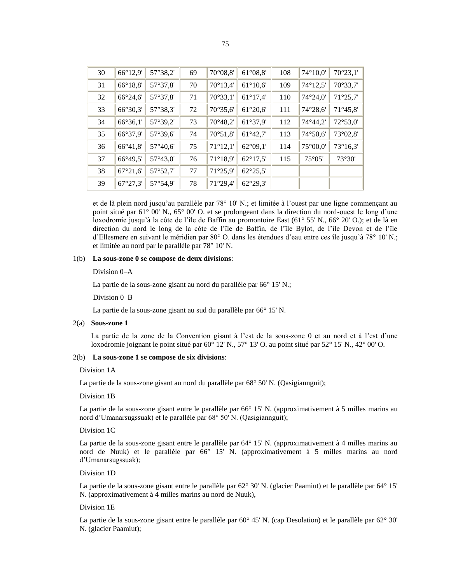| I  | ۰.<br>۰. |
|----|----------|
| ۰. | ×<br>٠   |

| 30 | 66°12,9'          | 57°38,2'          | 69 | 70°08,8'          | $61^{\circ}08.8'$ | 108 | 74°10,0'          | $70^{\circ}23,1'$ |
|----|-------------------|-------------------|----|-------------------|-------------------|-----|-------------------|-------------------|
| 31 | 66°18,8'          | 57°37,8'          | 70 | $70^{\circ}13,4'$ | $61^{\circ}10,6'$ | 109 | 74°12,5'          | 70°33,7'          |
| 32 | 66°24,6'          | 57°37,8'          | 71 | 70°33,1'          | $61^{\circ}17,4'$ | 110 | $74^{\circ}24.0'$ | $71^{\circ}25.7'$ |
| 33 | 66°30,3'          | 57°38,3'          | 72 | 70°35,6'          | $61^{\circ}20,6'$ | 111 | 74°28,6'          | $71^{\circ}45.8'$ |
| 34 | 66°36,1'          | 57°39,2'          | 73 | 70°48,2'          | 61°37,9'          | 112 | 74°44,2'          | 72°53,0'          |
| 35 | 66°37,9'          | 57°39,6'          | 74 | $70^{\circ}51,8'$ | $61^{\circ}42,7'$ | 113 | 74°50,6'          | 73°02,8'          |
| 36 | $66^{\circ}41,8'$ | $57^{\circ}40,6'$ | 75 | $71^{\circ}12,1'$ | $62^{\circ}09.1'$ | 114 | 75°00,0'          | $73^{\circ}16,3'$ |
| 37 | 66°49,5'          | 57°43,0'          | 76 | $71^{\circ}18.9'$ | $62^{\circ}17.5'$ | 115 | 75°05'            | 73°30'            |
| 38 | 67°21,6'          | 57°52,7'          | 77 | 71°25,9'          | $62^{\circ}25.5'$ |     |                   |                   |
| 39 | $67^{\circ}27.3'$ | 57°54,9'          | 78 | $71^{\circ}29.4'$ | $62^{\circ}29.3'$ |     |                   |                   |

et de là plein nord jusqu'au parallèle par 78° 10' N.; et limitée à l'ouest par une ligne commençant au point situé par 61° 00' N., 65° 00' O. et se prolongeant dans la direction du nord-ouest le long d'une loxodromie jusqu'à la côte de l'île de Baffin au promontoire East (61° 55' N., 66° 20' O.); et de là en direction du nord le long de la côte de l'île de Baffin, de l'île Bylot, de l'île Devon et de l'île d'Ellesmere en suivant le méridien par 80° O. dans les étendues d'eau entre ces île jusqu'à 78° 10' N.; et limitée au nord par le parallèle par 78° 10' N.

### 1(b) **La sous-zone 0 se compose de deux divisions**:

Division 0–A

La partie de la sous-zone gisant au nord du parallèle par 66° 15' N.;

Division 0–B

La partie de la sous-zone gisant au sud du parallèle par 66° 15' N.

### 2(a) **Sous-zone 1**

La partie de la zone de la Convention gisant à l'est de la sous-zone 0 et au nord et à l'est d'une loxodromie joignant le point situé par 60° 12' N., 57° 13' O. au point situé par 52° 15' N., 42° 00' O.

#### 2(b) **La sous-zone 1 se compose de six divisions**:

Division 1A

La partie de la sous-zone gisant au nord du parallèle par 68° 50' N. (Oasigiannguit);

#### Division 1B

La partie de la sous-zone gisant entre le parallèle par 66° 15' N. (approximativement à 5 milles marins au nord d'Umanarsugssuak) et le parallèle par 68° 50' N. (Qasigiannguit);

#### Division 1C

La partie de la sous-zone gisant entre le parallèle par 64° 15' N. (approximativement à 4 milles marins au nord de Nuuk) et le parallèle par 66° 15' N. (approximativement à 5 milles marins au nord d'Umanarsugssuak);

### Division 1D

La partie de la sous-zone gisant entre le parallèle par 62° 30' N. (glacier Paamiut) et le parallèle par 64° 15' N. (approximativement à 4 milles marins au nord de Nuuk),

#### Division 1E

La partie de la sous-zone gisant entre le parallèle par 60° 45' N. (cap Desolation) et le parallèle par 62° 30' N. (glacier Paamiut);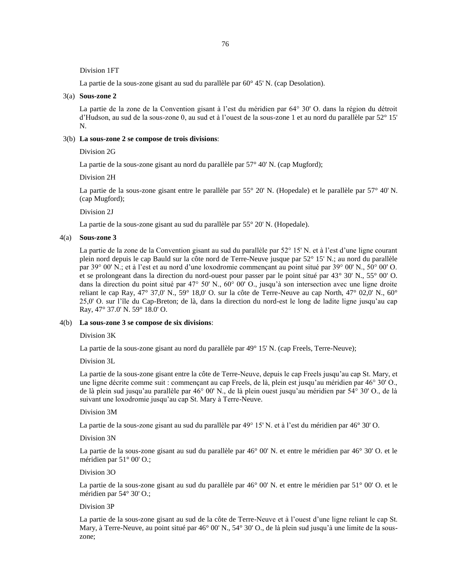Division 1FT

La partie de la sous-zone gisant au sud du parallèle par 60° 45' N. (cap Desolation).

#### 3(a) **Sous-zone 2**

La partie de la zone de la Convention gisant à l'est du méridien par 64° 30' O. dans la région du détroit d'Hudson, au sud de la sous-zone 0, au sud et à l'ouest de la sous-zone 1 et au nord du parallèle par 52° 15' N.

#### 3(b) **La sous-zone 2 se compose de trois divisions**:

Division 2G

La partie de la sous-zone gisant au nord du parallèle par 57° 40' N. (cap Mugford);

Division 2H

La partie de la sous-zone gisant entre le parallèle par 55° 20' N. (Hopedale) et le parallèle par 57° 40' N. (cap Mugford);

Division 2J

La partie de la sous-zone gisant au sud du parallèle par 55° 20' N. (Hopedale).

#### 4(a) **Sous-zone 3**

La partie de la zone de la Convention gisant au sud du parallèle par 52° 15' N. et à l'est d'une ligne courant plein nord depuis le cap Bauld sur la côte nord de Terre-Neuve jusque par 52° 15' N.; au nord du parallèle par 39° 00' N.; et à l'est et au nord d'une loxodromie commençant au point situé par 39° 00' N., 50° 00' O. et se prolongeant dans la direction du nord-ouest pour passer par le point situé par 43° 30' N., 55° 00' O. dans la direction du point situé par 47° 50' N., 60° 00' O., jusqu'à son intersection avec une ligne droite reliant le cap Ray, 47° 37,0' N., 59° 18,0' O. sur la côte de Terre-Neuve au cap North, 47° 02,0' N., 60° 25,0' O. sur l'île du Cap-Breton; de là, dans la direction du nord-est le long de ladite ligne jusqu'au cap Ray, 47° 37.0' N. 59° 18.0' O.

### 4(b) **La sous-zone 3 se compose de six divisions**:

Division 3K

La partie de la sous-zone gisant au nord du parallèle par 49° 15' N. (cap Freels, Terre-Neuve);

Division 3L

La partie de la sous-zone gisant entre la côte de Terre-Neuve, depuis le cap Freels jusqu'au cap St. Mary, et une ligne décrite comme suit : commençant au cap Freels, de là, plein est jusqu'au méridien par 46° 30' O., de là plein sud jusqu'au parallèle par 46° 00' N., de là plein ouest jusqu'au méridien par 54° 30' O., de là suivant une loxodromie jusqu'au cap St. Mary à Terre-Neuve.

### Division 3M

La partie de la sous-zone gisant au sud du parallèle par 49° 15' N. et à l'est du méridien par 46° 30' O.

Division 3N

La partie de la sous-zone gisant au sud du parallèle par 46° 00' N. et entre le méridien par 46° 30' O. et le méridien par 51° 00' O.;

#### Division 3O

La partie de la sous-zone gisant au sud du parallèle par 46° 00' N. et entre le méridien par 51° 00' O. et le méridien par 54° 30' O.;

#### Division 3P

La partie de la sous-zone gisant au sud de la côte de Terre-Neuve et à l'ouest d'une ligne reliant le cap St. Mary, à Terre-Neuve, au point situé par 46° 00' N., 54° 30' O., de là plein sud jusqu'à une limite de la souszone;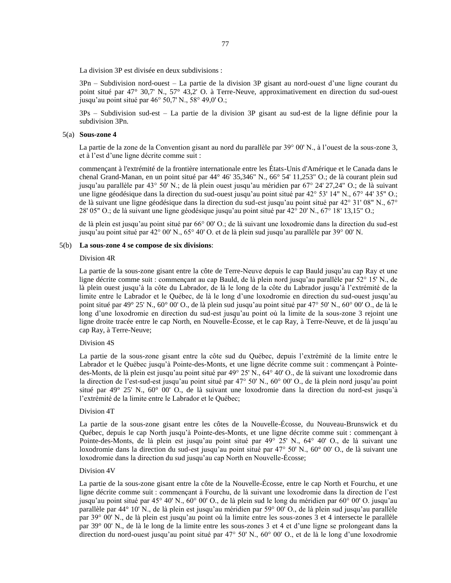La division 3P est divisée en deux subdivisions :

3Pn – Subdivision nord-ouest – La partie de la division 3P gisant au nord-ouest d'une ligne courant du point situé par 47° 30,7' N., 57° 43,2' O. à Terre-Neuve, approximativement en direction du sud-ouest jusqu'au point situé par 46° 50,7' N., 58° 49,0' O.;

3Ps – Subdivision sud-est – La partie de la division 3P gisant au sud-est de la ligne définie pour la subdivision 3Pn.

#### 5(a) **Sous-zone 4**

La partie de la zone de la Convention gisant au nord du parallèle par 39° 00' N., à l'ouest de la sous-zone 3, et à l'est d'une ligne décrite comme suit :

commençant à l'extrémité de la frontière internationale entre les États-Unis d'Amérique et le Canada dans le chenal Grand-Manan, en un point situé par 44° 46' 35,346" N., 66° 54' 11,253" O.; de là courant plein sud jusqu'au parallèle par 43° 50' N.; de là plein ouest jusqu'au méridien par 67° 24' 27,24" O.; de là suivant une ligne géodésique dans la direction du sud-ouest jusqu'au point situé par 42° 53' 14" N., 67° 44' 35" O.; de là suivant une ligne géodésique dans la direction du sud-est jusqu'au point situé par 42° 31' 08" N., 67° 28' 05" O.; de là suivant une ligne géodésique jusqu'au point situé par 42° 20' N., 67° 18' 13,15" O.;

de là plein est jusqu'au point situé par 66° 00' O.; de là suivant une loxodromie dans la direction du sud-est jusqu'au point situé par 42° 00' N., 65° 40' O. et de là plein sud jusqu'au parallèle par 39° 00' N.

#### 5(b) **La sous-zone 4 se compose de six divisions**:

#### Division 4R

La partie de la sous-zone gisant entre la côte de Terre-Neuve depuis le cap Bauld jusqu'au cap Ray et une ligne décrite comme suit : commençant au cap Bauld, de là plein nord jusqu'au parallèle par 52° 15' N., de là plein ouest jusqu'à la côte du Labrador, de là le long de la côte du Labrador jusqu'à l'extrémité de la limite entre le Labrador et le Québec, de là le long d'une loxodromie en direction du sud-ouest jusqu'au point situé par 49° 25' N., 60° 00' O., de là plein sud jusqu'au point situé par 47° 50' N., 60° 00' O., de là le long d'une loxodromie en direction du sud-est jusqu'au point où la limite de la sous-zone 3 rejoint une ligne droite tracée entre le cap North, en Nouvelle-Écosse, et le cap Ray, à Terre-Neuve, et de là jusqu'au cap Ray, à Terre-Neuve;

#### Division 4S

La partie de la sous-zone gisant entre la côte sud du Québec, depuis l'extrémité de la limite entre le Labrador et le Québec jusqu'à Pointe-des-Monts, et une ligne décrite comme suit : commençant à Pointedes-Monts, de là plein est jusqu'au point situé par 49° 25' N., 64° 40' O., de là suivant une loxodromie dans la direction de l'est-sud-est jusqu'au point situé par 47° 50' N., 60° 00' O., de là plein nord jusqu'au point situé par 49° 25' N., 60° 00' O., de là suivant une loxodromie dans la direction du nord-est jusqu'à l'extrémité de la limite entre le Labrador et le Québec;

#### Division 4T

La partie de la sous-zone gisant entre les côtes de la Nouvelle-Écosse, du Nouveau-Brunswick et du Québec, depuis le cap North jusqu'à Pointe-des-Monts, et une ligne décrite comme suit : commençant à Pointe-des-Monts, de là plein est jusqu'au point situé par 49° 25' N., 64° 40' O., de là suivant une loxodromie dans la direction du sud-est jusqu'au point situé par 47° 50' N., 60° 00' O., de là suivant une loxodromie dans la direction du sud jusqu'au cap North en Nouvelle-Écosse;

#### Division 4V

La partie de la sous-zone gisant entre la côte de la Nouvelle-Écosse, entre le cap North et Fourchu, et une ligne décrite comme suit : commençant à Fourchu, de là suivant une loxodromie dans la direction de l'est jusqu'au point situé par 45° 40' N., 60° 00' O., de là plein sud le long du méridien par 60° 00' O. jusqu'au parallèle par 44° 10' N., de là plein est jusqu'au méridien par 59° 00' O., de là plein sud jusqu'au parallèle par 39° 00' N., de là plein est jusqu'au point où la limite entre les sous-zones 3 et 4 intersecte le parallèle par 39° 00' N., de là le long de la limite entre les sous-zones 3 et 4 et d'une ligne se prolongeant dans la direction du nord-ouest jusqu'au point situé par 47° 50' N., 60° 00' O., et de là le long d'une loxodromie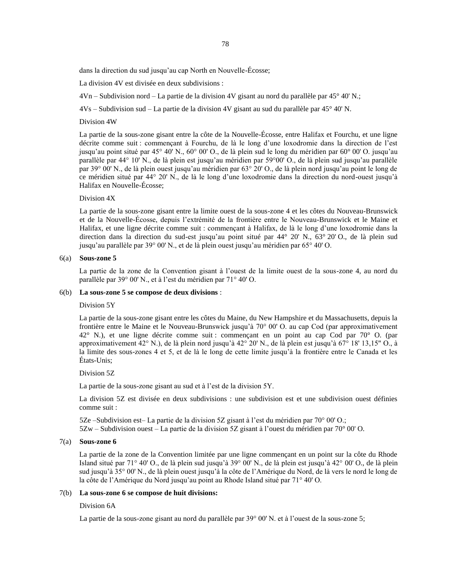78

dans la direction du sud jusqu'au cap North en Nouvelle-Écosse;

La division 4V est divisée en deux subdivisions :

 $4Vn - Subdivision nord - La partie de la division 4V gisant au nord du parallele par 45° 40' N.$ ;

4Vs – Subdivision sud – La partie de la division 4V gisant au sud du parallèle par 45° 40' N.

#### Division 4W

La partie de la sous-zone gisant entre la côte de la Nouvelle-Écosse, entre Halifax et Fourchu, et une ligne décrite comme suit : commençant à Fourchu, de là le long d'une loxodromie dans la direction de l'est jusqu'au point situé par 45° 40' N., 60° 00' O., de là plein sud le long du méridien par 60° 00' O. jusqu'au parallèle par 44° 10' N., de là plein est jusqu'au méridien par 59°00' O., de là plein sud jusqu'au parallèle par 39° 00' N., de là plein ouest jusqu'au méridien par 63° 20' O., de là plein nord jusqu'au point le long de ce méridien situé par 44° 20' N., de là le long d'une loxodromie dans la direction du nord-ouest jusqu'à Halifax en Nouvelle-Écosse;

### Division 4X

La partie de la sous-zone gisant entre la limite ouest de la sous-zone 4 et les côtes du Nouveau-Brunswick et de la Nouvelle-Écosse, depuis l'extrémité de la frontière entre le Nouveau-Brunswick et le Maine et Halifax, et une ligne décrite comme suit : commençant à Halifax, de là le long d'une loxodromie dans la direction dans la direction du sud-est jusqu'au point situé par 44° 20' N., 63° 20' O., de là plein sud jusqu'au parallèle par 39° 00' N., et de là plein ouest jusqu'au méridien par 65° 40' O.

### 6(a) **Sous-zone 5**

La partie de la zone de la Convention gisant à l'ouest de la limite ouest de la sous-zone 4, au nord du parallèle par 39° 00' N., et à l'est du méridien par 71° 40' O.

#### 6(b) **La sous-zone 5 se compose de deux divisions** :

#### Division 5Y

La partie de la sous-zone gisant entre les côtes du Maine, du New Hampshire et du Massachusetts, depuis la frontière entre le Maine et le Nouveau-Brunswick jusqu'à 70° 00' O. au cap Cod (par approximativement 42° N.), et une ligne décrite comme suit : commençant en un point au cap Cod par 70° O. (par approximativement 42° N.), de là plein nord jusqu'à 42° 20' N., de là plein est jusqu'à 67° 18' 13,15" O., à la limite des sous-zones 4 et 5, et de là le long de cette limite jusqu'à la frontière entre le Canada et les États-Unis;

#### Division 5Z

La partie de la sous-zone gisant au sud et à l'est de la division 5Y.

La division 5Z est divisée en deux subdivisions : une subdivision est et une subdivision ouest définies comme suit :

5Ze –Subdivision est– La partie de la division 5Z gisant à l'est du méridien par 70° 00' O.; 5Zw – Subdivision ouest – La partie de la division 5Z gisant à l'ouest du méridien par 70° 00' O.

#### 7(a) **Sous-zone 6**

La partie de la zone de la Convention limitée par une ligne commençant en un point sur la côte du Rhode Island situé par 71° 40' O., de là plein sud jusqu'à 39° 00' N., de là plein est jusqu'à 42° 00' O., de là plein sud jusqu'à 35° 00' N., de là plein ouest jusqu'à la côte de l'Amérique du Nord, de là vers le nord le long de la côte de l'Amérique du Nord jusqu'au point au Rhode Island situé par 71° 40' O.

### 7(b) **La sous-zone 6 se compose de huit divisions:**

#### Division 6A

La partie de la sous-zone gisant au nord du parallèle par 39° 00' N. et à l'ouest de la sous-zone 5;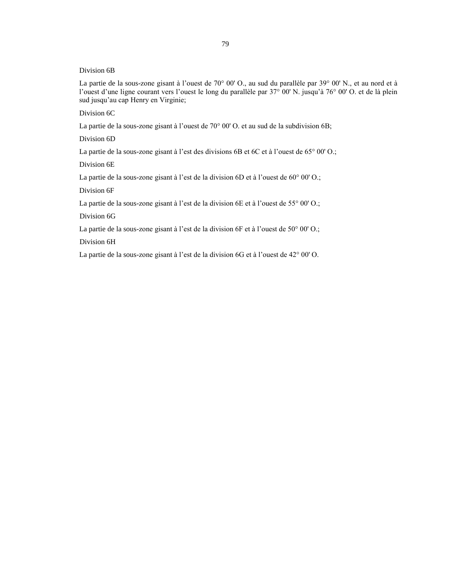Division 6B

La partie de la sous-zone gisant à l'ouest de 70° 00' O., au sud du parallèle par 39° 00' N., et au nord et à l'ouest d'une ligne courant vers l'ouest le long du parallèle par 37° 00' N. jusqu'à 76° 00' O. et de là plein sud jusqu'au cap Henry en Virginie;

Division 6C

La partie de la sous-zone gisant à l'ouest de 70° 00' O. et au sud de la subdivision 6B;

Division 6D

La partie de la sous-zone gisant à l'est des divisions 6B et 6C et à l'ouest de 65° 00' O.;

Division 6E

La partie de la sous-zone gisant à l'est de la division 6D et à l'ouest de 60° 00' O.;

Division 6F

La partie de la sous-zone gisant à l'est de la division 6E et à l'ouest de 55° 00' O.;

Division 6G

La partie de la sous-zone gisant à l'est de la division 6F et à l'ouest de 50° 00' O.;

Division 6H

La partie de la sous-zone gisant à l'est de la division 6G et à l'ouest de 42° 00' O.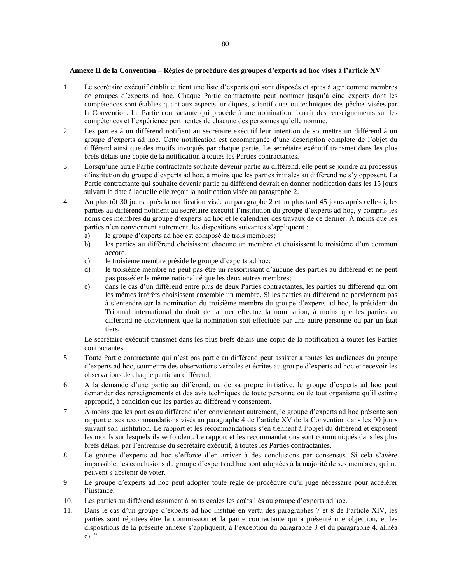### **Annexe II de la Convention – Règles de procédure des groupes d'experts ad hoc visés à l'article XV**

- 1. Le secrétaire exécutif établit et tient une liste d'experts qui sont disposés et aptes à agir comme membres de groupes d'experts ad hoc. Chaque Partie contractante peut nommer jusqu'à cinq experts dont les compétences sont établies quant aux aspects juridiques, scientifiques ou techniques des pêches visées par la Convention. La Partie contractante qui procède à une nomination fournit des renseignements sur les compétences et l'expérience pertinentes de chacune des personnes qu'elle nomme.
- 2. Les parties à un différend notifient au secrétaire exécutif leur intention de soumettre un différend à un groupe d'experts ad hoc. Cette notification est accompagnée d'une description complète de l'objet du différend ainsi que des motifs invoqués par chaque partie. Le secrétaire exécutif transmet dans les plus brefs délais une copie de la notification à toutes les Parties contractantes.
- 3. Lorsqu'une autre Partie contractante souhaite devenir partie au différend, elle peut se joindre au processus d'institution du groupe d'experts ad hoc, à moins que les parties initiales au différend ne s'y opposent. La Partie contractante qui souhaite devenir partie au différend devrait en donner notification dans les 15 jours suivant la date à laquelle elle reçoit la notification visée au paragraphe 2.
- 4. Au plus tôt 30 jours après la notification visée au paragraphe 2 et au plus tard 45 jours après celle-ci, les parties au différend notifient au secrétaire exécutif l'institution du groupe d'experts ad hoc, y compris les noms des membres du groupe d'experts ad hoc et le calendrier des travaux de ce dernier. À moins que les parties n'en conviennent autrement, les dispositions suivantes s'appliquent :
	- a) le groupe d'experts ad hoc est composé de trois membres;
	- b) les parties au différend choisissent chacune un membre et choisissent le troisième d'un commun accord;
	- c) le troisième membre préside le groupe d'experts ad hoc;
	- d) le troisième membre ne peut pas être un ressortissant d'aucune des parties au différend et ne peut pas posséder la même nationalité que les deux autres membres;
	- e) dans le cas d'un différend entre plus de deux Parties contractantes, les parties au différend qui ont les mêmes intérêts choisissent ensemble un membre. Si les parties au différend ne parviennent pas à s'entendre sur la nomination du troisième membre du groupe d'experts ad hoc, le président du Tribunal international du droit de la mer effectue la nomination, à moins que les parties au différend ne conviennent que la nomination soit effectuée par une autre personne ou par un État tiers.

Le secrétaire exécutif transmet dans les plus brefs délais une copie de la notification à toutes les Parties contractantes.

- 5. Toute Partie contractante qui n'est pas partie au différend peut assister à toutes les audiences du groupe d'experts ad hoc, soumettre des observations verbales et écrites au groupe d'experts ad hoc et recevoir les observations de chaque partie au différend.
- 6. À la demande d'une partie au différend, ou de sa propre initiative, le groupe d'experts ad hoc peut demander des renseignements et des avis techniques de toute personne ou de tout organisme qu'il estime approprié, à condition que les parties au différend y consentent.
- 7. À moins que les parties au différend n'en conviennent autrement, le groupe d'experts ad hoc présente son rapport et ses recommandations visés au paragraphe 4 de l'article XV de la Convention dans les 90 jours suivant son institution. Le rapport et les recommandations s'en tiennent à l'objet du différend et exposent les motifs sur lesquels ils se fondent. Le rapport et les recommandations sont communiqués dans les plus brefs délais, par l'entremise du secrétaire exécutif, à toutes les Parties contractantes.
- 8. Le groupe d'experts ad hoc s'efforce d'en arriver à des conclusions par consensus. Si cela s'avère impossible, les conclusions du groupe d'experts ad hoc sont adoptées à la majorité de ses membres, qui ne peuvent s'abstenir de voter.
- 9. Le groupe d'experts ad hoc peut adopter toute règle de procédure qu'il juge nécessaire pour accélérer l'instance.
- 10. Les parties au différend assument à parts égales les coûts liés au groupe d'experts ad hoc.
- 11. Dans le cas d'un groupe d'experts ad hoc institué en vertu des paragraphes 7 et 8 de l'article XIV, les parties sont réputées être la commission et la partie contractante qui a présenté une objection, et les dispositions de la présente annexe s'appliquent, à l'exception du paragraphe 3 et du paragraphe 4, alinéa e). "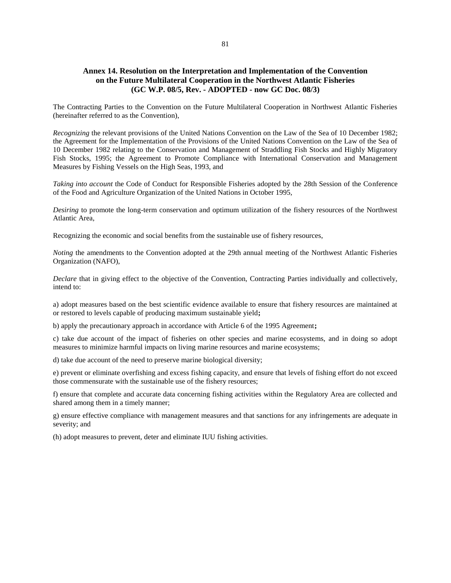## **Annex 14. Resolution on the Interpretation and Implementation of the Convention on the Future Multilateral Cooperation in the Northwest Atlantic Fisheries (GC W.P. 08/5, Rev. - ADOPTED - now GC Doc. 08/3)**

The Contracting Parties to the Convention on the Future Multilateral Cooperation in Northwest Atlantic Fisheries (hereinafter referred to as the Convention),

*Recognizing* the relevant provisions of the United Nations Convention on the Law of the Sea of 10 December 1982; the Agreement for the Implementation of the Provisions of the United Nations Convention on the Law of the Sea of 10 December 1982 relating to the Conservation and Management of Straddling Fish Stocks and Highly Migratory Fish Stocks, 1995; the Agreement to Promote Compliance with International Conservation and Management Measures by Fishing Vessels on the High Seas, 1993, and

*Taking into account* the Code of Conduct for Responsible Fisheries adopted by the 28th Session of the Conference of the Food and Agriculture Organization of the United Nations in October 1995,

*Desiring* to promote the long-term conservation and optimum utilization of the fishery resources of the Northwest Atlantic Area,

Recognizing the economic and social benefits from the sustainable use of fishery resources,

*Noting* the amendments to the Convention adopted at the 29th annual meeting of the Northwest Atlantic Fisheries Organization (NAFO),

*Declare* that in giving effect to the objective of the Convention, Contracting Parties individually and collectively, intend to:

a) adopt measures based on the best scientific evidence available to ensure that fishery resources are maintained at or restored to levels capable of producing maximum sustainable yield**;** 

b) apply the precautionary approach in accordance with Article 6 of the 1995 Agreement**;** 

c) take due account of the impact of fisheries on other species and marine ecosystems, and in doing so adopt measures to minimize harmful impacts on living marine resources and marine ecosystems;

d) take due account of the need to preserve marine biological diversity;

e) prevent or eliminate overfishing and excess fishing capacity, and ensure that levels of fishing effort do not exceed those commensurate with the sustainable use of the fishery resources;

f) ensure that complete and accurate data concerning fishing activities within the Regulatory Area are collected and shared among them in a timely manner;

g) ensure effective compliance with management measures and that sanctions for any infringements are adequate in severity; and

(h) adopt measures to prevent, deter and eliminate IUU fishing activities.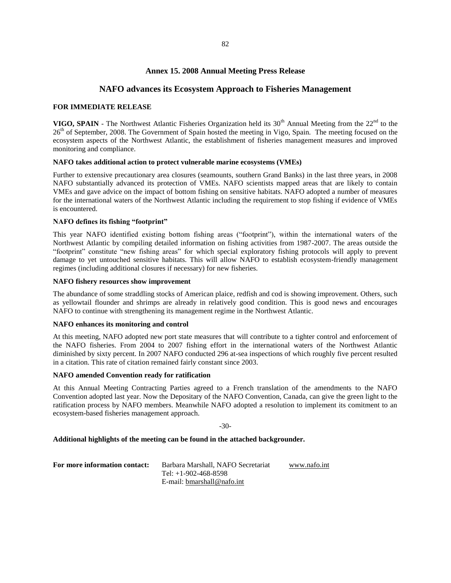### **Annex 15. 2008 Annual Meeting Press Release**

### **NAFO advances its Ecosystem Approach to Fisheries Management**

#### **FOR IMMEDIATE RELEASE**

**VIGO, SPAIN** - The Northwest Atlantic Fisheries Organization held its  $30<sup>th</sup>$  Annual Meeting from the  $22<sup>nd</sup>$  to the 26<sup>th</sup> of September, 2008. The Government of Spain hosted the meeting in Vigo, Spain. The meeting focused on the ecosystem aspects of the Northwest Atlantic, the establishment of fisheries management measures and improved monitoring and compliance.

### **NAFO takes additional action to protect vulnerable marine ecosystems (VMEs)**

Further to extensive precautionary area closures (seamounts, southern Grand Banks) in the last three years, in 2008 NAFO substantially advanced its protection of VMEs. NAFO scientists mapped areas that are likely to contain VMEs and gave advice on the impact of bottom fishing on sensitive habitats. NAFO adopted a number of measures for the international waters of the Northwest Atlantic including the requirement to stop fishing if evidence of VMEs is encountered.

#### **NAFO defines its fishing "footprint"**

This year NAFO identified existing bottom fishing areas ("footprint"), within the international waters of the Northwest Atlantic by compiling detailed information on fishing activities from 1987-2007. The areas outside the "footprint" constitute "new fishing areas" for which special exploratory fishing protocols will apply to prevent damage to yet untouched sensitive habitats. This will allow NAFO to establish ecosystem-friendly management regimes (including additional closures if necessary) for new fisheries.

#### **NAFO fishery resources show improvement**

The abundance of some straddling stocks of American plaice, redfish and cod is showing improvement. Others, such as yellowtail flounder and shrimps are already in relatively good condition. This is good news and encourages NAFO to continue with strengthening its management regime in the Northwest Atlantic.

### **NAFO enhances its monitoring and control**

At this meeting, NAFO adopted new port state measures that will contribute to a tighter control and enforcement of the NAFO fisheries. From 2004 to 2007 fishing effort in the international waters of the Northwest Atlantic diminished by sixty percent. In 2007 NAFO conducted 296 at-sea inspections of which roughly five percent resulted in a citation. This rate of citation remained fairly constant since 2003.

#### **NAFO amended Convention ready for ratification**

At this Annual Meeting Contracting Parties agreed to a French translation of the amendments to the NAFO Convention adopted last year. Now the Depositary of the NAFO Convention, Canada, can give the green light to the ratification process by NAFO members. Meanwhile NAFO adopted a resolution to implement its comitment to an ecosystem-based fisheries management approach.

```
-30-
```
#### **Additional highlights of the meeting can be found in the attached backgrounder.**

| For more information contact: | Barbara Marshall, NAFO Secretariat | www.nafo.int |
|-------------------------------|------------------------------------|--------------|
|                               | Tel: $+1-902-468-8598$             |              |
|                               | E-mail: bmarshall@nafo.int         |              |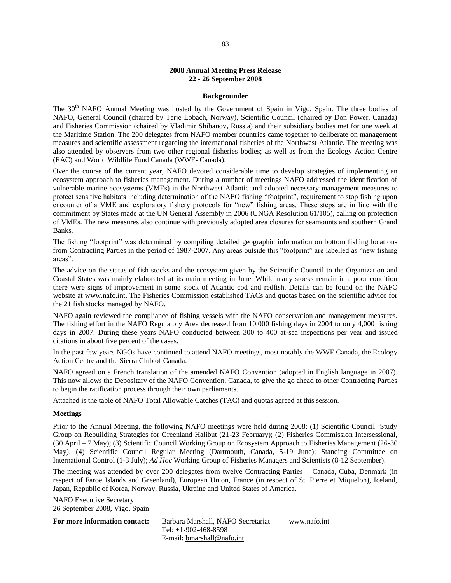### **2008 Annual Meeting Press Release 22 - 26 September 2008**

#### **Backgrounder**

The 30<sup>th</sup> NAFO Annual Meeting was hosted by the Government of Spain in Vigo, Spain. The three bodies of NAFO, General Council (chaired by Terje Lobach, Norway), Scientific Council (chaired by Don Power, Canada) and Fisheries Commission (chaired by Vladimir Shibanov, Russia) and their subsidiary bodies met for one week at the Maritime Station. The 200 delegates from NAFO member countries came together to deliberate on management measures and scientific assessment regarding the international fisheries of the Northwest Atlantic. The meeting was also attended by observers from two other regional fisheries bodies; as well as from the Ecology Action Centre (EAC) and World Wildlife Fund Canada (WWF- Canada).

Over the course of the current year, NAFO devoted considerable time to develop strategies of implementing an ecosystem approach to fisheries management. During a number of meetings NAFO addressed the identification of vulnerable marine ecosystems (VMEs) in the Northwest Atlantic and adopted necessary management measures to protect sensitive habitats including determination of the NAFO fishing "footprint", requirement to stop fishing upon encounter of a VME and exploratory fishery protocols for "new" fishing areas. These steps are in line with the commitment by States made at the UN General Assembly in 2006 (UNGA Resolution 61/105), calling on protection of VMEs. The new measures also continue with previously adopted area closures for seamounts and southern Grand Banks.

The fishing "footprint" was determined by compiling detailed geographic information on bottom fishing locations from Contracting Parties in the period of 1987-2007. Any areas outside this "footprint" are labelled as "new fishing areas".

The advice on the status of fish stocks and the ecosystem given by the Scientific Council to the Organization and Coastal States was mainly elaborated at its main meeting in June. While many stocks remain in a poor condition there were signs of improvement in some stock of Atlantic cod and redfish. Details can be found on the NAFO website at [www.nafo.int.](http://www.nafo.int/) The Fisheries Commission established TACs and quotas based on the scientific advice for the 21 fish stocks managed by NAFO.

NAFO again reviewed the compliance of fishing vessels with the NAFO conservation and management measures. The fishing effort in the NAFO Regulatory Area decreased from 10,000 fishing days in 2004 to only 4,000 fishing days in 2007. During these years NAFO conducted between 300 to 400 at-sea inspections per year and issued citations in about five percent of the cases.

In the past few years NGOs have continued to attend NAFO meetings, most notably the WWF Canada, the Ecology Action Centre and the Sierra Club of Canada.

NAFO agreed on a French translation of the amended NAFO Convention (adopted in English language in 2007). This now allows the Depositary of the NAFO Convention, Canada, to give the go ahead to other Contracting Parties to begin the ratification process through their own parliaments.

Attached is the table of NAFO Total Allowable Catches (TAC) and quotas agreed at this session.

#### **Meetings**

Prior to the Annual Meeting, the following NAFO meetings were held during 2008: (1) Scientific Council Study Group on Rebuilding Strategies for Greenland Halibut (21-23 February); (2) Fisheries Commission Intersessional, (30 April – 7 May); (3) Scientific Council Working Group on Ecosystem Approach to Fisheries Management (26-30 May); (4) Scientific Council Regular Meeting (Dartmouth, Canada, 5-19 June); Standing Committee on International Control (1-3 July); *Ad Hoc* Working Group of Fisheries Managers and Scientists (8-12 September).

The meeting was attended by over 200 delegates from twelve Contracting Parties – Canada, Cuba, Denmark (in respect of Faroe Islands and Greenland), European Union, France (in respect of St. Pierre et Miquelon), Iceland, Japan, Republic of Korea, Norway, Russia, Ukraine and United States of America.

NAFO Executive Secretary 26 September 2008, Vigo. Spain

**For more information contact:** Barbara Marshall, NAFO Secretariat Tel: +1-902-468-8598 E-mail: [bmarshall@nafo.int](mailto:bmarshall@nafo.int) [www.nafo.int](http://www.nafo.int/)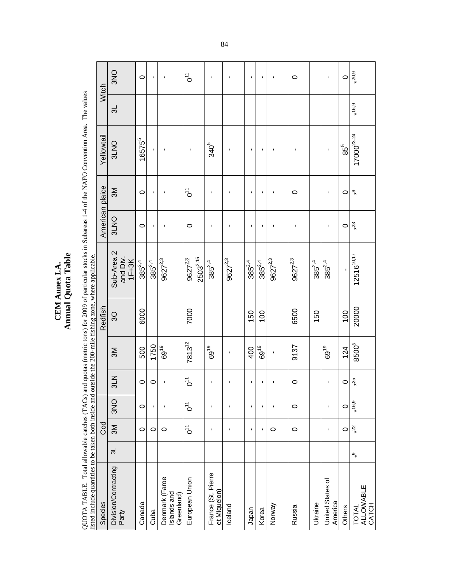CEM Annex I.A.<br>Annual Quota Table **Annual Quota Table CEM Annex I.A.** 

QUOTA TABLE. Total allowable catches (TACs) and quotas (metric tons) for 2009 of particular stocks in Subareas 1-4 of the NAFO Convention Area. The values<br>Iisted include quantities to be taken both inside and outside the 2 QUOTA TABLE. Total allowable catches (TACs) and quotas (metric tons) for 2009 of particular stocks in Subareas 1-4 of the NAFO Convention Area. The values listed include quantities to be taken both inside and outside the 200-mile fishing zone, where applicable.

| Witch                                                                                                             | <b>ONS</b>                      | $\circ$     | ı           | ı                                           | $\bar{C}$                                 | $\blacksquare$                     |                | ı           | <b>I</b>       |                | $\circ$      |             | f,                          | $\circ$         | $*20,9$                     |
|-------------------------------------------------------------------------------------------------------------------|---------------------------------|-------------|-------------|---------------------------------------------|-------------------------------------------|------------------------------------|----------------|-------------|----------------|----------------|--------------|-------------|-----------------------------|-----------------|-----------------------------|
|                                                                                                                   | ಸ                               |             |             |                                             |                                           |                                    |                |             |                |                |              |             |                             |                 | $*16,9$                     |
| Yellowtail                                                                                                        | 3LNO                            | $16575^{5}$ |             |                                             | f,                                        | 340 <sup>5</sup>                   |                |             |                |                | ı            |             | Ţ                           | $85^{5}$        | 17000 <sup>23.24</sup>      |
|                                                                                                                   | 3M                              | $\circ$     | ٠           | п                                           | $\bar{c}$                                 | ı                                  |                | п           | ٠              | п              | $\circ$      |             | f,                          | $\circ$         | $\mathbf{e}^*$              |
| American plaice                                                                                                   | 3LNO                            | $\circ$     | ı           | ı                                           | $\circ$                                   | ı                                  |                | ٠           | ı              | ı              | J,           |             | J.                          | $\circ$         | $*^{23}$                    |
|                                                                                                                   | Sub-Area 2<br>and Div.<br>1F+3K | $385^{2,4}$ | $385^{2,4}$ | $9627^{2,3}$                                | $2503^{2,15}$<br>$9627^{\underline{2.3}}$ | $385^{2,4}$                        | $9627^{2,3}$   | $385^{2,4}$ | $385^{2,4}$    | $9627^{2,3}$   | $9627^{2,3}$ | $385^{2,4}$ | $385^{2,4}$                 |                 | $12516^{10,17}$             |
| Redfish                                                                                                           | $\overline{3}$                  | 6000        |             |                                             | 7000                                      |                                    |                | 150         | 100            |                | 6500         | 150         |                             | $\overline{00}$ | 20000                       |
|                                                                                                                   | <b>N</b>                        | 500         | 1750        | 6919                                        | $7813^{12}$                               | 69 <sup>19</sup>                   | ٠              | 400         | ၉<br>69        | $\blacksquare$ | 9137         |             | 6919                        | 124             | 8500                        |
|                                                                                                                   | 3L <sub>N</sub>                 | $\circ$     | $\circ$     |                                             | $\bar{c}$                                 | ı                                  |                |             |                |                | $\circ$      |             | Ţ                           | $\circ$         | $*25$                       |
|                                                                                                                   | <b>ONS</b>                      | $\circ$     | f,          | $\blacksquare$                              | $\vec{c}$                                 | 1                                  | f,             | f,          | $\blacksquare$ | f,             | $\circ$      |             | f,                          | $\circ$         | $*16,9$                     |
| <b>Cod</b>                                                                                                        | $\mathbb{N}$                    | $\circ$     | 0           | $\circ$                                     | $\vec{c}$                                 | $\blacksquare$                     | ٠              | ٠           | $\blacksquare$ | $\circ$        | $\circ$      |             | f,                          | $\circ$         | $*22$                       |
|                                                                                                                   | ಸ                               |             |             |                                             |                                           |                                    |                |             |                |                |              |             |                             |                 | $\mathcal{O}_*$             |
| nsied include quantities to be taken tour mistue and outside the 200-mine msimig zone, where approadic<br>Species | Division/Contracting<br>Party   | Canada      | Cuba        | Denmark (Faroe<br>Islands and<br>Greenland) | European Union                            | France (St. Pierre<br>et Miquelon) | <b>Iceland</b> | Japan       | Korea          | Norway         | Russia       | Ukraine     | United States of<br>America | Others          | TOTAL<br>ALLOWABLE<br>CATCH |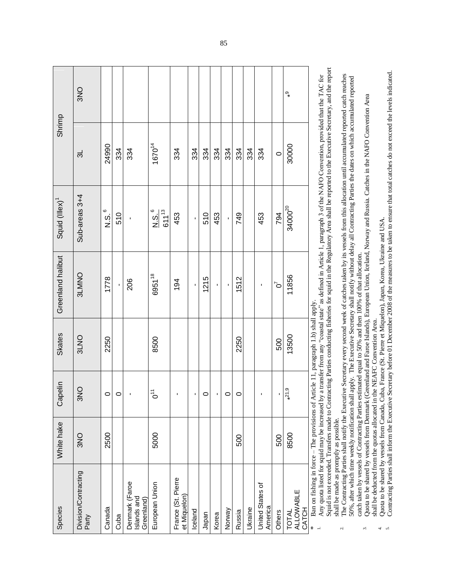|                            | <b>ONS</b>                    |               |         |                                             |                                 |                                    |                |         |       |         |         |                |                             |         | $\mathbb{Q}^*$                            |                                                                                                                                     |
|----------------------------|-------------------------------|---------------|---------|---------------------------------------------|---------------------------------|------------------------------------|----------------|---------|-------|---------|---------|----------------|-----------------------------|---------|-------------------------------------------|-------------------------------------------------------------------------------------------------------------------------------------|
| Shrimp                     | ಸ                             | 24990         | 334     | 334                                         | 167014                          | 334                                | 334            | 334     | 334   | 334     | 334     | 334            | 334                         | $\circ$ | 30000                                     |                                                                                                                                     |
| Squid (Illex) <sup>1</sup> | Sub-areas 3+4                 | 6<br>si<br>Si | 510     | ı                                           | N.S. <sup>6</sup><br>$611^{13}$ | 453                                | ı              | 510     | 453   |         | 749     |                | 453                         | 794     | $34000^{20}$                              |                                                                                                                                     |
| Greenland halibut          | <b>SLMNO</b>                  | 1778          | í.      | 206                                         | 695118                          | 194                                | $\blacksquare$ | 1215    | T,    |         | 1512    |                | ٠                           | ิ์จ     | 11856                                     | $\mu_{\alpha\alpha\alpha\gamma}^{(2)}$ and defined in Article 1, nononingle 2, of the NIAEO Consequention, movidad that the FAC for |
| <b>Skates</b>              | 3LNO                          | 2250          |         |                                             | 8500                            |                                    |                |         |       |         | 2250    |                |                             | 500     | 13500                                     | Article 11, paragraph 1.b) shall apply.                                                                                             |
| Capelin                    | <b>ONS</b>                    | $\circ$       | $\circ$ |                                             | $\vec{c}$                       |                                    | ı              | $\circ$ |       | $\circ$ | $\circ$ |                |                             |         | $*21,9$                                   | matar fra                                                                                                                           |
| White hake                 | <b>ONS</b>                    | 2500          |         |                                             | 5000                            |                                    |                |         |       |         | 500     |                |                             | 500     | 8500                                      |                                                                                                                                     |
| Species                    | Division/Contracting<br>Party | Canada        | Cuba    | Denmark (Faroe<br>Islands and<br>Greenland) | European Union                  | France (St. Pierre<br>et Miquelon) | Iceland        | Japan   | Korea | Norway  | Russia  | <b>Ukraine</b> | United States of<br>America | Others  | <b>ALLOWABLE</b><br>CATCH<br><b>TOTAL</b> | A se and lista for our des tour les inconoco<br>Ban on fishing in force - The provisions of<br>⋇                                    |

Squid is not exceeded. Transfers made to Contracting Parties conducting fisheries for squid in the Regulatory Area shall be reported to the Executive Secretary, and the report Squid is not exceeded. Transfers made to Contracting Parties conducting fisheries for squid in the Regulatory Area shall be reported to the Executive Secretary, and the report Any quota listed for squid may be increased by a transfer from any "coastal state" as defined in Article 1, paragraph 3 of the NAFO Convention, provided that the TAC for Any quota listed for squid may be increased by a transfer from any "coastal state" as defined in Article 1, paragraph 3 of the NAFO Convention, provided that the TAC for shall be made as promptly as possible. shall be made as promptly as possible.

 The Contracting Parties shall notify the Executive Secretary every second week of catches taken by its vessels from this allocation until accumulated reported catch reaches The Contracting Parties shall notify the Executive Secretary every second week of catches taken by its vessels from this allocation until accumulated reported catch reaches 50%, after which time weekly notification shall a 50%, after which time weekly notification shall apply. The Executive Secretary shall notify without delay all Contracting Parties the dates on which accumulated reported catch taken by vessels of Contracting Parties estimated equal to 50% and then 100% of that allocation. catch taken by vessels of Contracting Parties estimated equal to 50% and then 100% of that allocation.  $\overline{c}$ 

Quota to be shared by vessels from Denmark (Greenland and Faroe Islands), European Union, Iceland, Norway and Russia. Catches in the NAFO Convention Area Quota to be shared by vessels from Denmark (Greenland and Faroe Islands), European Union, Iceland, Norway and Russia. Catches in the NAFO Convention Area shall be deducted from the quotas allocated in the NEAFC Convention Area. shall be deducted from the quotas allocated in the NEAFC Convention Area. 3.

 Quota to be shared by vessels from Canada, Cuba, France (St. Pierre et Miquelon), Japan, Korea, Ukraine and USA. Quota to be shared by vessels from Canada, Cuba, France (St. Pierre et Miquelon), Japan, Korea, Ukraine and USA. 4.

 Contracting Parties shall inform the Executive Secretary before 01 December 2008 of the measures to be taken to ensure that total catches do not exceed the levels indicated. Contracting Parties shall inform the Executive Secretary before 01 December 2008 of the measures to be taken to ensure that total catches do not exceed the levels indicated. .<br>أم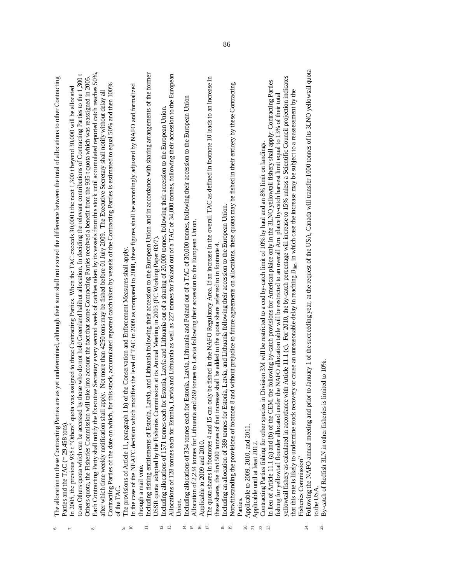| Ξ,<br>≌<br>20.<br>$\overline{z}$<br>24<br>$\Xi$<br>$\Xi$<br>4<br>5<br>91<br>$\overline{9}$<br>$\mathfrak{L}$<br>∞<br>െ<br>৩ | Following the NAFO annual meeting and prior to January 1 of the succeeding year, at the request of the USA, Canada will transfer 1000 tonnes of its 3LNO yellowtail quota<br>Each Contracting Party shall notify the Executive Secretary every second week of catches taken by its vessels from this stock until accumulated reported catch reaches 50%,<br>Including fishing entitlements of Estonia, Latvia, and Lithuania following their accession to the European Union and in accordance with sharing arrangements of the former<br>Allocations of 128 tonnes each for Estonia, Latvia and Lithuania as well as 227 tonnes for Poland out of a TAC of 34,000 tonnes, following their accession to the European<br>to an Others quota which can be accessed by those who do not hold Greenland halibut allocation. In deciding the relevant contributions of Contracting Parties to the 1,300 t<br>Others quota, the Fisheries Commission will take into account the fact that some Contracting Parties received a benefit from the 935 t quota which was reassigned in 2005.<br>yellowtail fishery as calculated in accordance with Article 11.1 (c). For 2010, the by-catch percentage will increase to 15% unless a Scientific Council projection indicates<br>The quota shares in footnotes 4 and 15 can only be fished in the NAFO Regulatory Area. If an increase in the overall TAC as defined in footnote 10 leads to an increase in<br>as yet undetermined, although their sum shall not exceed the difference between the total of allocations to other Contracting<br>the following by-catch provisions for American plaice only in the 3LNO yellowtail fishery shall apply. Contracting Parties<br>Notwithstanding the provisions of footnote 8 and without prejudice to future agreements on allocations, these quotas may be fished in their entirety by these Contracting<br>Contracting Parties of the date on which, for this stock, accumulated reported catch taken by vessels of the Contracting Parties is estimated to equal 50% and then 100%<br>In the case of the NEAFC decision which modifies the level of TAC in 2009 as compared to 2008, these figures shall be accordingly adjusted by NAFO and formalized<br>In 2005, the previous 935 t "Others" quota was assigned to three Contracting Parties. When the TAC exceeds 30,000 t the next 1,300 t beyond 30,000 will be allocated<br>ery or cause an unreasonable delay in reaching B <sub>lim</sub> , in which case the increase may be subject to a reassessment by the<br>after which time weekly notification shall apply. Not more than 4250 tons may be fished before 01 July 2009. The Executive Secretary shall notify without delay all<br>fishing for yellowtail flounder allocated under the NAFO allocation table will be restricted to an overall Am. plaice by-catch harvest limit equal to 13% of their total<br>Including allocations of 334 tonnes each for Estonia, Latvia, Lithuania and Poland out of a TAC of 30,000 tomes, following their accession to the European Union<br>Including allocations of 1571 tomes each for Estonia, Latvia and Lithuania out of a sharing of 20,000 tonnes, following their accession to the European Union.<br>Division 3M will be restricted to a cod by-catch limit of 10% by haul and an 8% limit on landings.<br>Including an allocation of 389 tomes for Estonia, Latvia, and Lithuania following their accession to the European Union.<br>Allocation of 2,234 tonnes for Lithuania and 269 tonnes to Latvia following their accession to the European Union.<br>USSR quota adopted by the Fisheries Commission at its Annual Meeting in 2003 (FC Working Paper 03/7).<br>these shares, the first 500 tonnes of that increase shall be added to the quota share referred to in footnote 4.<br>The provisions of Article 11, paragraph 1.b) of the Conservation and Enforcement Measures shall apply.<br>The allocation to these Contracting Parties are<br>Contracting Parties fishing for other species in<br>that this rate is likely to undermine stock recov<br>In lieu of Article 11.1 (a) and (b) of the CEM,<br>Parties and the TAC $(= 29.458 \text{ tons}).$<br>Applicable to 2009, 2010, and 2011.<br>Applicable to 2009 and 2010.<br>Applicable until at least 2012.<br>Fisheries Commission"<br>through a mail vote.<br>of the TAC<br>Parties.<br>Union. |
|-----------------------------------------------------------------------------------------------------------------------------|------------------------------------------------------------------------------------------------------------------------------------------------------------------------------------------------------------------------------------------------------------------------------------------------------------------------------------------------------------------------------------------------------------------------------------------------------------------------------------------------------------------------------------------------------------------------------------------------------------------------------------------------------------------------------------------------------------------------------------------------------------------------------------------------------------------------------------------------------------------------------------------------------------------------------------------------------------------------------------------------------------------------------------------------------------------------------------------------------------------------------------------------------------------------------------------------------------------------------------------------------------------------------------------------------------------------------------------------------------------------------------------------------------------------------------------------------------------------------------------------------------------------------------------------------------------------------------------------------------------------------------------------------------------------------------------------------------------------------------------------------------------------------------------------------------------------------------------------------------------------------------------------------------------------------------------------------------------------------------------------------------------------------------------------------------------------------------------------------------------------------------------------------------------------------------------------------------------------------------------------------------------------------------------------------------------------------------------------------------------------------------------------------------------------------------------------------------------------------------------------------------------------------------------------------------------------------------------------------------------------------------------------------------------------------------------------------------------------------------------------------------------------------------------------------------------------------------------------------------------------------------------------------------------------------------------------------------------------------------------------------------------------------------------------------------------------------------------------------------------------------------------------------------------------------------------------------------------------------------------------------------------------------------------------------------------------------------------------------------------------------------------------------------------------------------------------------------------------------------------------------------------------------------------------------------------------------------------------------------------------------------------------------------------------------------------------------------------------------------------------------------------------------------------------------------------------------------------------------------------------------------------------------------------------------------------------------------------------------------------------------------------------------------------------------------------------------------------------------------------------------------------------------------------------------------------------------------------------------------------------------------------------------------------------------------------------------------------------------------------------------------------------------------------------|
| 25.                                                                                                                         | imited to 10%.<br>By-catch of Redfish 3LN in other fisheries is li<br>to the USA                                                                                                                                                                                                                                                                                                                                                                                                                                                                                                                                                                                                                                                                                                                                                                                                                                                                                                                                                                                                                                                                                                                                                                                                                                                                                                                                                                                                                                                                                                                                                                                                                                                                                                                                                                                                                                                                                                                                                                                                                                                                                                                                                                                                                                                                                                                                                                                                                                                                                                                                                                                                                                                                                                                                                                                                                                                                                                                                                                                                                                                                                                                                                                                                                                                                                                                                                                                                                                                                                                                                                                                                                                                                                                                                                                                                                                                                                                                                                                                                                                                                                                                                                                                                                                                                                                                                       |
|                                                                                                                             |                                                                                                                                                                                                                                                                                                                                                                                                                                                                                                                                                                                                                                                                                                                                                                                                                                                                                                                                                                                                                                                                                                                                                                                                                                                                                                                                                                                                                                                                                                                                                                                                                                                                                                                                                                                                                                                                                                                                                                                                                                                                                                                                                                                                                                                                                                                                                                                                                                                                                                                                                                                                                                                                                                                                                                                                                                                                                                                                                                                                                                                                                                                                                                                                                                                                                                                                                                                                                                                                                                                                                                                                                                                                                                                                                                                                                                                                                                                                                                                                                                                                                                                                                                                                                                                                                                                                                                                                                        |